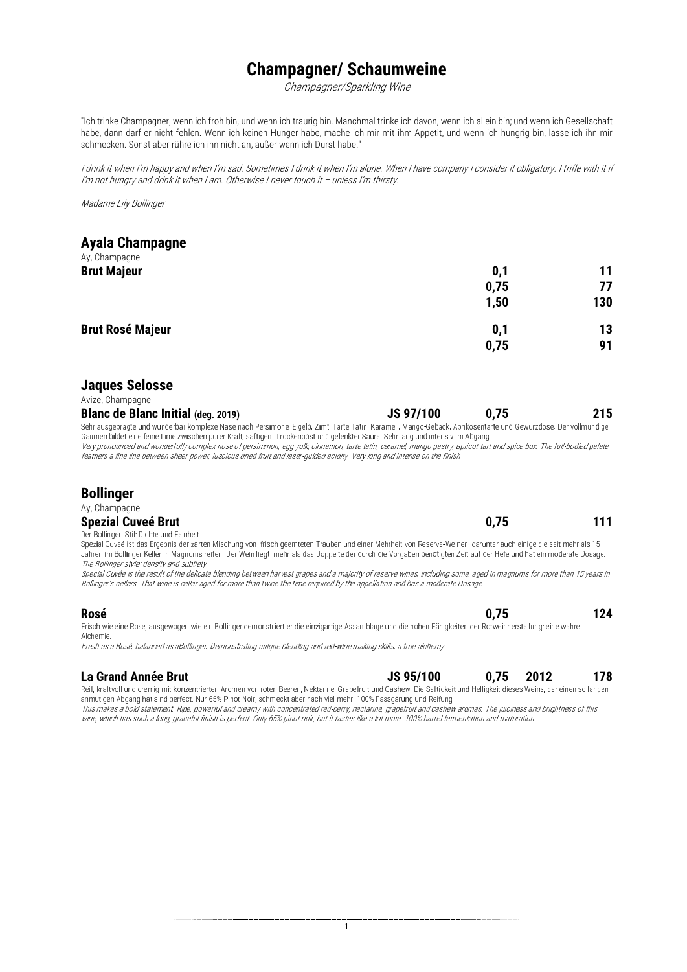### **Champagner/ Schaumweine**

Champagner/Sparkling Wine

"Ich trinke Champagner, wenn ich froh bin, und wenn ich traurig bin. Manchmal trinke ich davon, wenn ich allein bin; und wenn ich Gesellschaft habe, dann darf er nicht fehlen. Wenn ich keinen Hunger habe, mache ich mir mit ihm Appetit, und wenn ich hungrig bin, lasse ich ihn mir schmecken. Sonst aber rühre ich ihn nicht an, außer wenn ich Durst habe."

I drink it when I'm happy and when I'm sad. Sometimes I drink it when I'm alone. When I have company I consider it obligatory. I trifle with it if I'm not hungry and drink it when I am. Otherwise I never touch it - unless I'm thirsty.

Madame Lily Bollinger

 $\sim$   $\sim$ 

 $\blacksquare$ 

|      | 11  |
|------|-----|
| 0,75 | 77  |
| 1,50 | 130 |
| 0,1  | 13  |
| 0,75 | 91  |
|      | 0,1 |

111

124

178

0,75

0,75

0,75

2012

#### **Jaques Selosse**

| AVIZE, Unampagne                                                                                                                                                      |                  |      |     |
|-----------------------------------------------------------------------------------------------------------------------------------------------------------------------|------------------|------|-----|
| <b>Blanc de Blanc Initial (deg. 2019)</b>                                                                                                                             | <b>JS 97/100</b> | 0.75 | 215 |
| Sehr ausgeprägte und wunderbar komplexe Nase nach Persimone, Eigelb, Zimt, Tarte Tatin, Karamell, Mango-Gebäck, Aprikosentarte und Gewürzdose. Der vollmundige        |                  |      |     |
| Gaumen bildet eine feine Linie zwischen purer Kraft, saftigem Trockenobst und gelenkter Säure. Sehr lang und intensiv im Abgang.                                      |                  |      |     |
| Very pronounced and wonderfully complex nose of persimmon, egg yolk, cinnamon, tarte tatin, caramel, mango pastry, apricot tart and spice box. The full-bodied palate |                  |      |     |
| feathers a fine line between sheer power, luscious dried fruit and laser-guided acidity. Very long and intense on the finish.                                         |                  |      |     |

#### **Bollinger**

Ay, Champagne

#### **Spezial Cuveé Brut**

Der Bollinger - Stil: Dichte und Feinheit

Spezial Cuveé ist das Ergebnis der zarten Mischung von frisch geernteten Trauben und einer Mehrheit von Reserve-Weinen, darunter auch einige die seit mehr als 15 Jahren im Bollinger Keller in Magnums reifen. Der Wein liegt mehr als das Doppelte der durch die Vorgaben benötigten Zeit auf der Hefe und hat ein moderate Dosage. The Bollinger style: density and subtlety

Special Cuvée is the result of the delicate blending between harvest grapes and a majority of reserve wines, including some, aged in magnums for more than 15 years in Bollinger's cellars. That wine is cellar aged for more than twice the time required by the appellation and has a moderate Dosage

#### **Rosé**

Frisch wie eine Rose, ausgewogen wie ein Bollinger demonstriert er die einzigartige Assamblage und die hohen Fähigkeiten der Rotweinherstellung: eine wahre Alchemie.

Fresh as a Rosé, balanced as aBollinger. Demonstrating unique blending and red-wine making skills: a true alchemy.

#### La Grand Année Brut

Reif, kraftvoll und cremig mit konzentrierten Aromen von roten Beeren, Nektarine, Grapefruit und Cashew. Die Saftigkeit und Helligkeit dieses Weins, der einen so langen, anmutigen Abgang hat sind perfect. Nur 65% Pinot Noir, schmeckt aber nach viel mehr. 100% Fassgärung und Reifung. This makes a bold statement. Ripe, powerful and creamy with concentrated red-berry, nectarine, grapefruit and cashew aromas. The juiciness and brightness of this wine, which has such a long, graceful finish is perfect. Only 65% pinot noir, but it tastes like a lot more. 100% barrel fermentation and maturation.

**JS 95/100**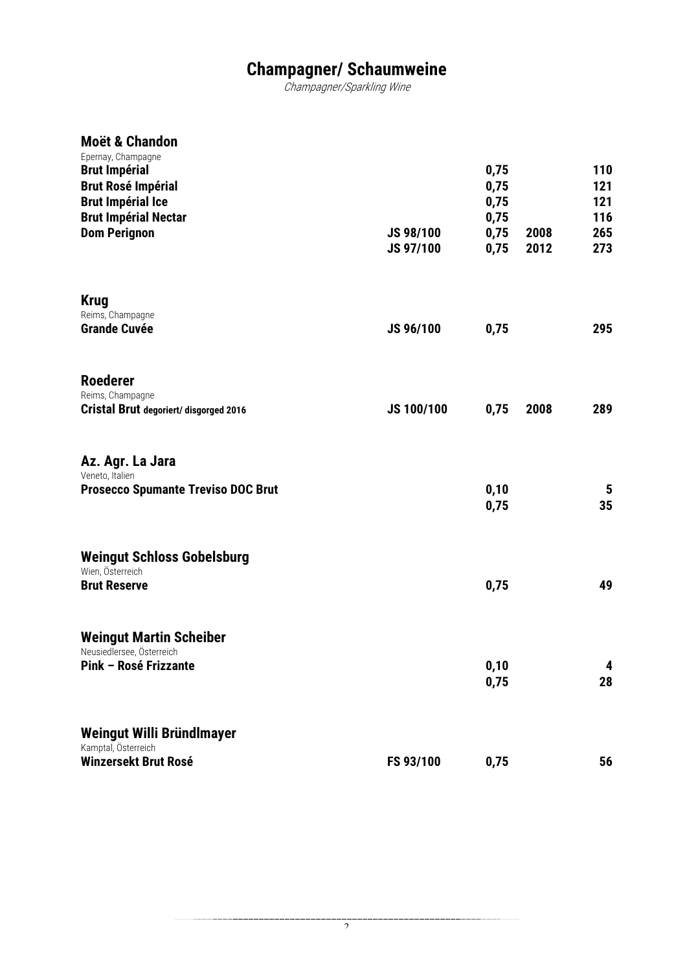# **Champagner/ Schaumweine**<br>Champagner/Sparkling Wine

| <b>Moët &amp; Chandon</b><br>Epernay, Champagne       |                                      |              |      |            |
|-------------------------------------------------------|--------------------------------------|--------------|------|------------|
| <b>Brut Impérial</b>                                  |                                      | 0,75         |      | 110        |
| <b>Brut Rosé Impérial</b>                             |                                      | 0,75         |      | 121        |
| <b>Brut Impérial Ice</b>                              |                                      | 0,75         |      | 121        |
| <b>Brut Impérial Nectar</b>                           |                                      | 0,75         | 2008 | 116<br>265 |
| <b>Dom Perignon</b>                                   | <b>JS 98/100</b><br><b>JS 97/100</b> | 0,75<br>0,75 | 2012 | 273        |
|                                                       |                                      |              |      |            |
| <b>Krug</b>                                           |                                      |              |      |            |
| Reims, Champagne                                      |                                      |              |      |            |
| <b>Grande Cuvée</b>                                   | <b>JS 96/100</b>                     | 0,75         |      | 295        |
| <b>Roederer</b>                                       |                                      |              |      |            |
| Reims, Champagne                                      |                                      |              |      |            |
| <b>Cristal Brut degoriert/ disgorged 2016</b>         | <b>JS 100/100</b>                    | 0,75         | 2008 | 289        |
|                                                       |                                      |              |      |            |
| Az. Agr. La Jara<br>Veneto, Italien                   |                                      |              |      |            |
| <b>Prosecco Spumante Treviso DOC Brut</b>             |                                      | 0,10         |      | 5          |
|                                                       |                                      | 0,75         |      | 35         |
|                                                       |                                      |              |      |            |
| <b>Weingut Schloss Gobelsburg</b><br>Wien, Österreich |                                      |              |      |            |
| <b>Brut Reserve</b>                                   |                                      | 0,75         |      | 49         |
|                                                       |                                      |              |      |            |
| <b>Weingut Martin Scheiber</b>                        |                                      |              |      |            |
| Neusiedlersee, Österreich                             |                                      |              |      |            |
| Pink - Rosé Frizzante                                 |                                      | 0,10         |      | 4<br>28    |
|                                                       |                                      | 0,75         |      |            |

# Weingut Willi Bründlmayer<br>Kamptal, Österreich<br>Winzersekt Brut Rosé

#### $0,75$ FS 93/100 56

 $\overline{\phantom{a}}$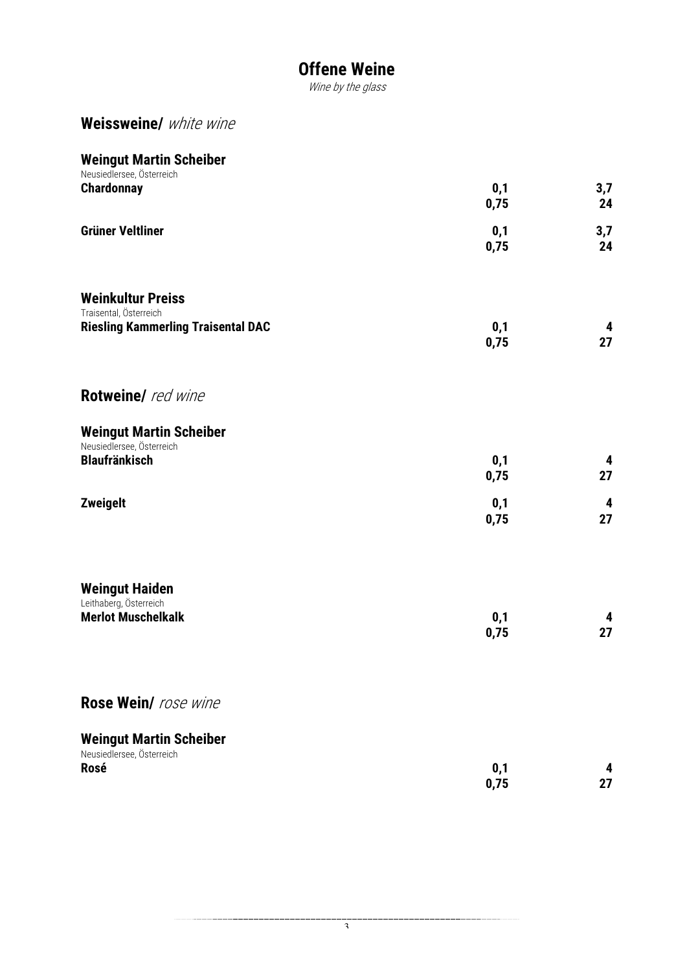### **Offene Weine**

Wine by the glass

Weissweine/ white wine

| <b>Weingut Martin Scheiber</b><br>Neusiedlersee, Österreich |             |           |
|-------------------------------------------------------------|-------------|-----------|
| <b>Chardonnay</b>                                           | 0,1<br>0,75 | 3,7<br>24 |
| <b>Grüner Veltliner</b>                                     | 0,1<br>0,75 | 3,7<br>24 |
| <b>Weinkultur Preiss</b><br>Traisental, Österreich          |             |           |
| <b>Riesling Kammerling Traisental DAC</b>                   | 0,1<br>0,75 | 4<br>27   |
| Rotweine/ red wine                                          |             |           |
| <b>Weingut Martin Scheiber</b>                              |             |           |
| Neusiedlersee, Österreich<br><b>Blaufränkisch</b>           | 0,1<br>0,75 | 4<br>27   |
| <b>Zweigelt</b>                                             | 0,1<br>0,75 | 4<br>27   |
|                                                             |             |           |
| <b>Weingut Haiden</b><br>Leithaberg, Österreich             |             |           |
| <b>Merlot Muschelkalk</b>                                   | 0,1<br>0,75 | 4<br>27   |

Rose Wein/ rose wine

# Weingut Martin Scheiber<br>Neusiedlersee, Österreich<br>Rosé

 $0,1$ <br> $0,75$  $\overline{\mathbf{4}}$  $27$ 

 $\overline{\mathbf{3}}$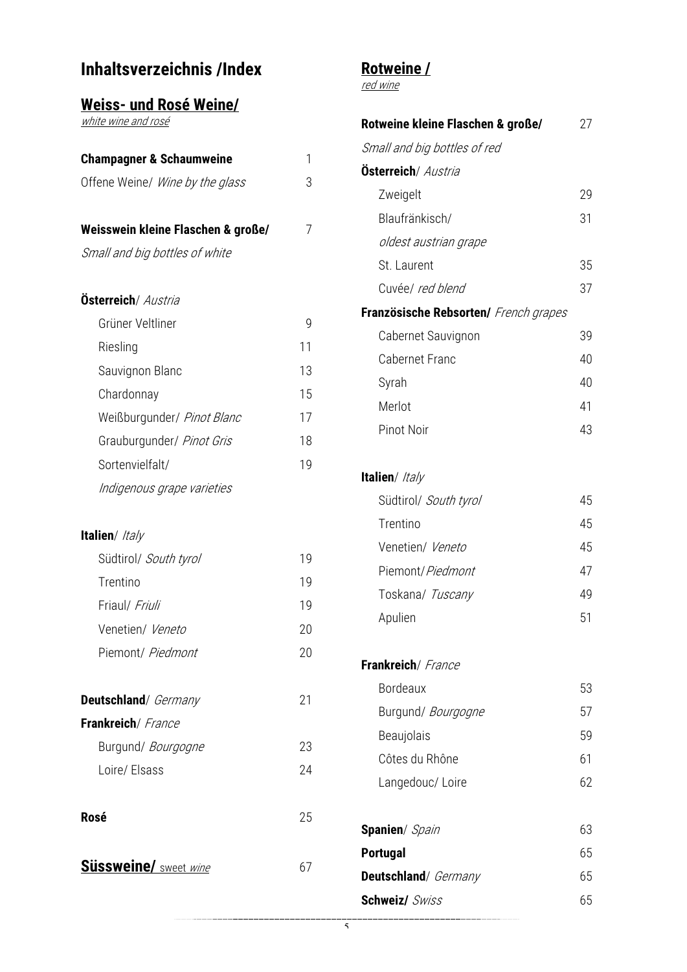### **Inhaltsverzeichnis /Index**

## **Weiss- und Rosé Weine/**<br>White wine and rosé

| <b>Champagner &amp; Schaumweine</b>    | 1  |
|----------------------------------------|----|
| Offene Weine/ <i>Wine by the glass</i> | 3  |
|                                        |    |
| Weisswein kleine Flaschen & große/     | 7  |
| Small and big bottles of white         |    |
| <b>Österreich</b> / Austria            |    |
| Grüner Veltliner                       | 9  |
| Riesling                               | 11 |
| Sauvignon Blanc                        | 13 |
| Chardonnay                             | 15 |
| Weißburgunder/ Pinot Blanc             | 17 |
| Grauburgunder/ Pinot Gris              | 18 |
| Sortenvielfalt/                        | 19 |
| Indigenous grape varieties             |    |
| <b>Italien</b> / /ta/y                 |    |
| Südtirol/ <i>South tyrol</i>           | 19 |
| Trentino                               | 19 |
| Friaul/ <i>Friuli</i>                  | 19 |
| Venetien/ <i>Veneto</i>                | 20 |
| Piemont/ <i>Piedmont</i>               | 20 |
| <b>Deutschland</b> / Germany           | 21 |
| <b>Frankreich</b> / France             |    |

### Rotweine /

red wine

| Rotweine kleine Flaschen & große/     | 27 |
|---------------------------------------|----|
| Small and big bottles of red          |    |
| Österreich/ Austria                   |    |
| Zweigelt                              | 29 |
| Blaufränkisch/                        | 31 |
| oldest austrian grape                 |    |
| St. Laurent                           | 35 |
| Cuvée/ red blend                      | 37 |
| Französische Rebsorten/ French grapes |    |
| Cabernet Sauvignon                    | 39 |
| <b>Cabernet Franc</b>                 | 40 |
| Syrah                                 | 40 |
| Merlot                                | 41 |
| Pinot Noir                            | 43 |
| Italien/ /taly                        |    |
| Südtirol/ <i>South tyrol</i>          | 45 |
| Trentino                              | 45 |
| Venetien/ <i>Veneto</i>               | 45 |
| Piemont/ <i>Piedmont</i>              | 47 |
| Toskana/ Tuscany                      | 49 |
| Apulien                               | 51 |
| <b>Frankreich</b> / France            |    |
|                                       |    |

| Deutschland/ Germany                            | 21 | <b>Bordeaux</b>                     | 53       |
|-------------------------------------------------|----|-------------------------------------|----------|
|                                                 |    | Burgund/ <i>Bourgogne</i>           | 57       |
| Frankreich/ France<br>Burgund/ <i>Bourgogne</i> | 23 | <b>Beaujolais</b><br>Côtes du Rhône | 59<br>61 |
| Loire/ Elsass                                   | 24 | Langedouc/Loire                     | 62       |
| <b>Rosé</b>                                     | 25 | Spanien/ Spain                      | 63       |
|                                                 |    | <b>Portugal</b>                     | 65       |
| <b>Süssweine/</b> sweet wine                    | 67 | Deutschland/ Germany                | 65       |
|                                                 |    | <b>Schweiz/ Swiss</b>               | 65       |
|                                                 |    |                                     |          |

 $\overline{\phantom{a}}$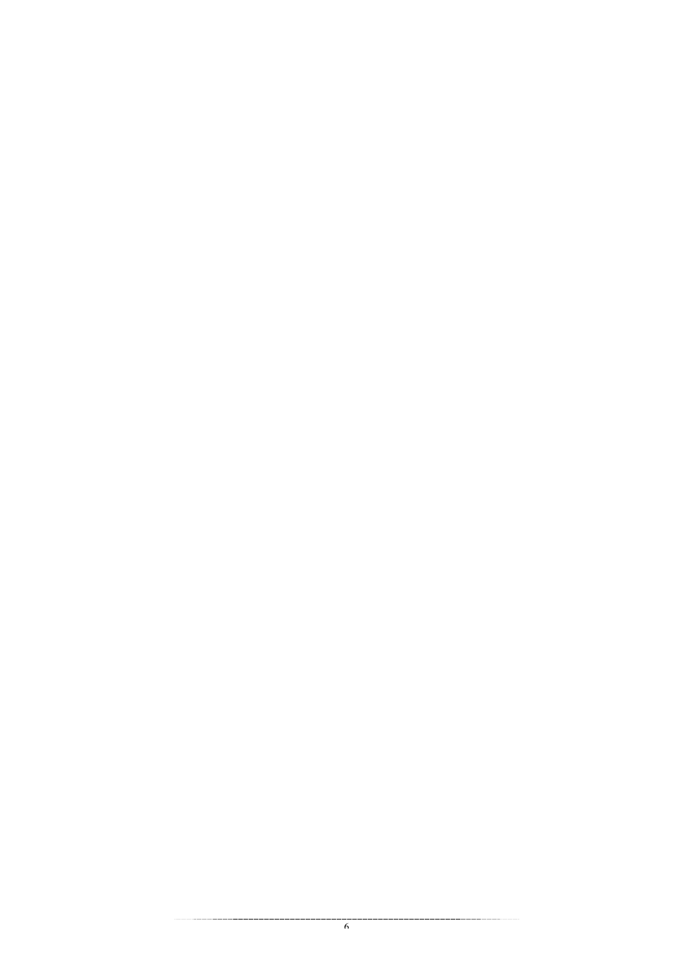$\overline{6}$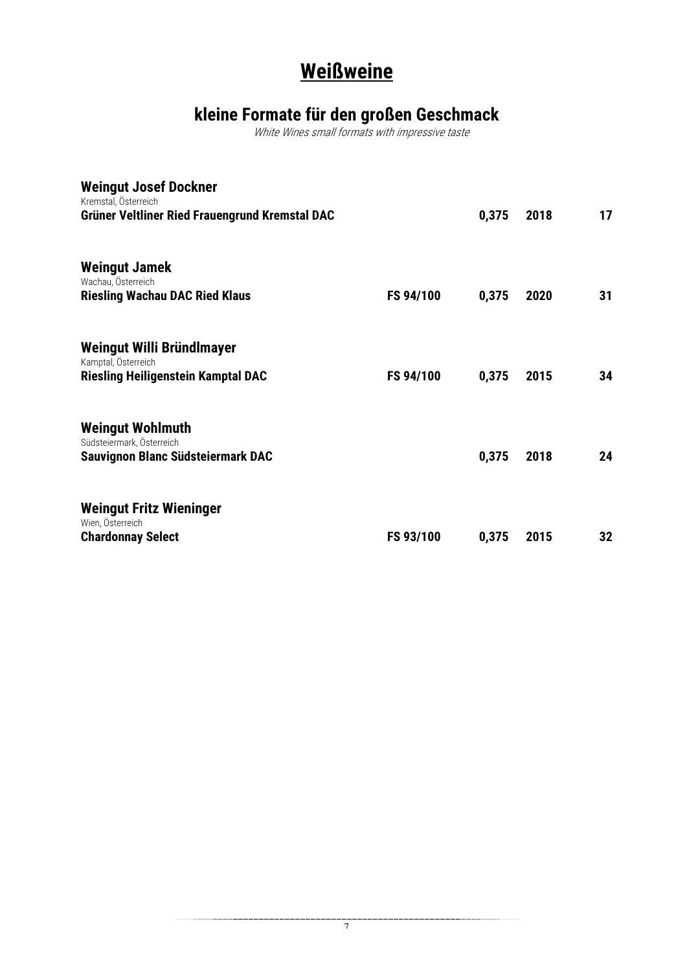## **Weißweine**

# kleine Formate für den großen Geschmack<br>White Wines small formats with impressive taste

| <b>Weingut Josef Dockner</b><br>Kremstal, Österreich<br><b>Grüner Veltliner Ried Frauengrund Kremstal DAC</b> |                  | 0,375 | 2018 | 17 |
|---------------------------------------------------------------------------------------------------------------|------------------|-------|------|----|
| <b>Weingut Jamek</b><br>Wachau, Österreich<br><b>Riesling Wachau DAC Ried Klaus</b>                           | <b>FS 94/100</b> | 0,375 | 2020 | 31 |
| Weingut Willi Bründlmayer<br>Kamptal, Österreich<br><b>Riesling Heiligenstein Kamptal DAC</b>                 | FS 94/100        | 0,375 | 2015 | 34 |
| <b>Weingut Wohlmuth</b><br>Südsteiermark, Österreich<br><b>Sauvignon Blanc Südsteiermark DAC</b>              |                  | 0,375 | 2018 | 24 |
| <b>Weingut Fritz Wieninger</b><br>Wien, Österreich<br><b>Chardonnay Select</b>                                | <b>FS 93/100</b> | 0,375 | 2015 | 32 |

 $\frac{1}{\sqrt{1-\frac{1}{2}}}$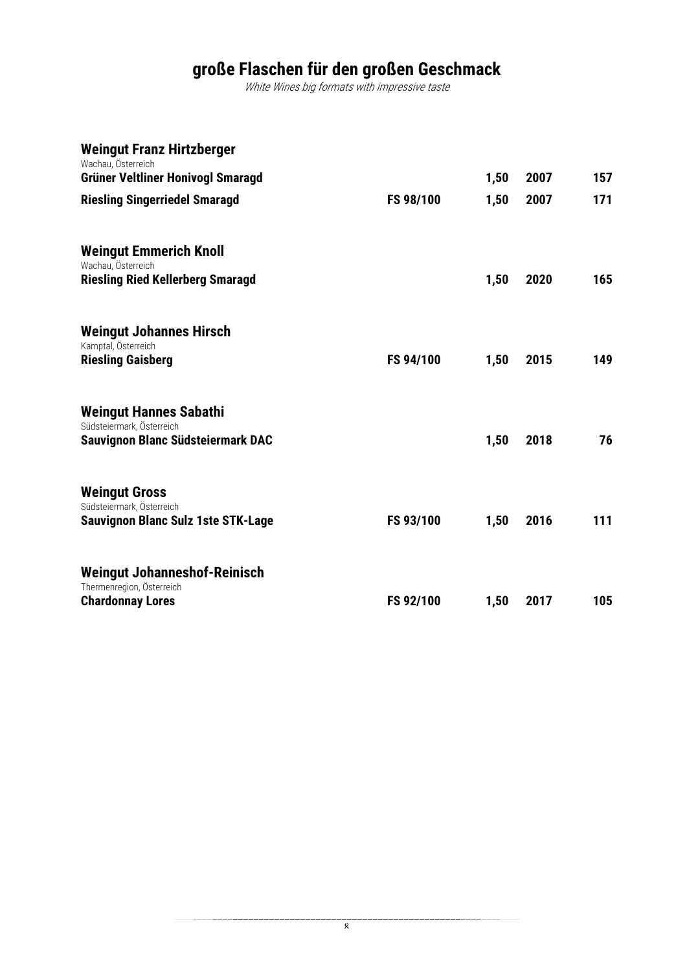# große Flaschen für den großen Geschmack<br>White Wines big formats with impressive taste

| <b>Weingut Franz Hirtzberger</b><br>Wachau, Österreich                 |                  |      |      |     |
|------------------------------------------------------------------------|------------------|------|------|-----|
| <b>Grüner Veltliner Honivogl Smaragd</b>                               |                  | 1,50 | 2007 | 157 |
| <b>Riesling Singerriedel Smaragd</b>                                   | FS 98/100        | 1,50 | 2007 | 171 |
| <b>Weingut Emmerich Knoll</b>                                          |                  |      |      |     |
| Wachau, Österreich<br><b>Riesling Ried Kellerberg Smaragd</b>          |                  | 1,50 | 2020 | 165 |
| <b>Weingut Johannes Hirsch</b>                                         |                  |      |      |     |
| Kamptal, Österreich<br><b>Riesling Gaisberg</b>                        | FS 94/100        | 1,50 | 2015 | 149 |
| <b>Weingut Hannes Sabathi</b>                                          |                  |      |      |     |
| Südsteiermark, Österreich<br><b>Sauvignon Blanc Südsteiermark DAC</b>  |                  | 1,50 | 2018 | 76  |
| <b>Weingut Gross</b>                                                   |                  |      |      |     |
| Südsteiermark, Österreich<br><b>Sauvignon Blanc Sulz 1ste STK-Lage</b> | <b>FS 93/100</b> | 1,50 | 2016 | 111 |
| <b>Weingut Johanneshof-Reinisch</b>                                    |                  |      |      |     |
| Thermenregion, Österreich<br><b>Chardonnay Lores</b>                   | FS 92/100        | 1,50 | 2017 | 105 |

 $\overline{R}$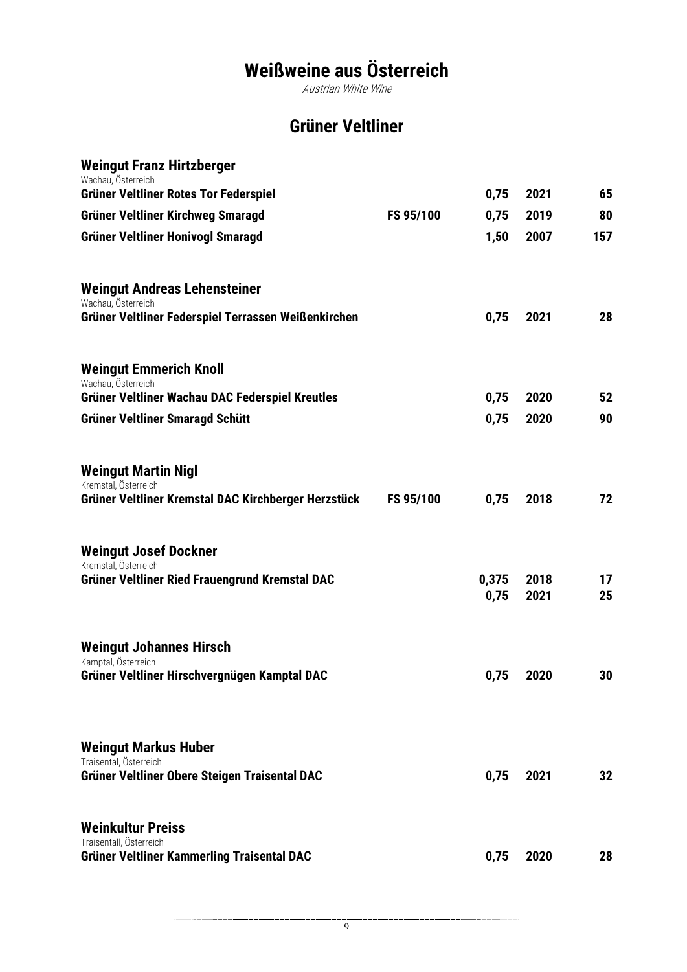### Weißweine aus Österreich

Austrian White Wine

### **Grüner Veltliner**

| Weingut Franz Hirtzberger<br>Wachau, Österreich                              |                  |               |              |          |
|------------------------------------------------------------------------------|------------------|---------------|--------------|----------|
| <b>Grüner Veltliner Rotes Tor Federspiel</b>                                 |                  | 0,75          | 2021         | 65       |
| <b>Grüner Veltliner Kirchweg Smaragd</b>                                     | <b>FS 95/100</b> | 0,75          | 2019         | 80       |
| Grüner Veltliner Honivogl Smaragd                                            |                  | 1,50          | 2007         | 157      |
| Weingut Andreas Lehensteiner                                                 |                  |               |              |          |
| Wachau, Österreich<br>Grüner Veltliner Federspiel Terrassen Weißenkirchen    |                  | 0,75          | 2021         | 28       |
| <b>Weingut Emmerich Knoll</b>                                                |                  |               |              |          |
| Wachau, Österreich<br><b>Grüner Veltliner Wachau DAC Federspiel Kreutles</b> |                  | 0,75          | 2020         | 52       |
| Grüner Veltliner Smaragd Schütt                                              |                  | 0,75          | 2020         | 90       |
|                                                                              |                  |               |              |          |
| <b>Weingut Martin Nigl</b><br>Kremstal, Österreich                           |                  |               |              |          |
| Grüner Veltliner Kremstal DAC Kirchberger Herzstück                          | FS 95/100        | 0,75          | 2018         | 72       |
| <b>Weingut Josef Dockner</b>                                                 |                  |               |              |          |
| Kremstal, Österreich                                                         |                  |               |              |          |
| <b>Grüner Veltliner Ried Frauengrund Kremstal DAC</b>                        |                  | 0,375<br>0,75 | 2018<br>2021 | 17<br>25 |
|                                                                              |                  |               |              |          |
| <b>Weingut Johannes Hirsch</b>                                               |                  |               |              |          |
| Kamptal, Österreich<br>Grüner Veltliner Hirschvergnügen Kamptal DAC          |                  | 0,75          | 2020         | 30       |

### **Weingut Markus Huber**

Traisental, Österreich

#### Grüner Veltliner Obere Steigen Traisental DAC

#### $0,75$ 2021 32

### **Weinkultur Preiss**

Traisentall, Österreich

#### **Grüner Veltliner Kammerling Traisental DAC**

#### $0,75$ 2020 **28**

 $\mathbf Q$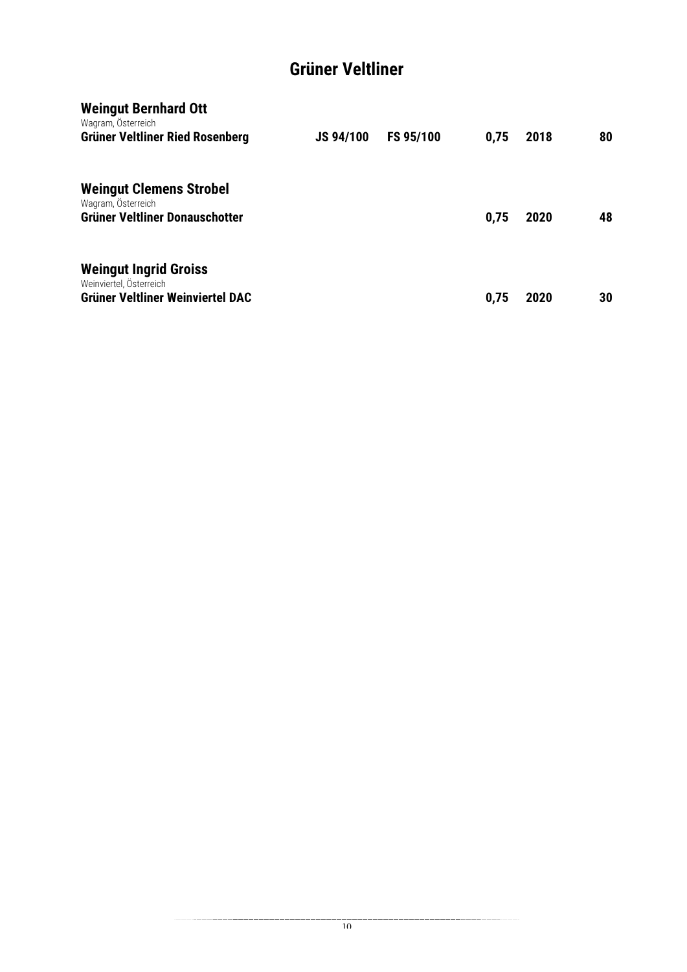### **Grüner Veltliner**

### **Weingut Bernhard Ott**

| Wagram, Osterreich<br><b>Grüner Veltliner Ried Rosenberg</b>                                       | <b>JS 94/100</b> | FS 95/100 | 0,75 | 2018 | 80 |
|----------------------------------------------------------------------------------------------------|------------------|-----------|------|------|----|
| <b>Weingut Clemens Strobel</b><br>Wagram, Österreich<br><b>Grüner Veltliner Donauschotter</b>      |                  |           | 0,75 | 2020 | 48 |
| <b>Weingut Ingrid Groiss</b><br>Weinviertel, Österreich<br><b>Grüner Veltliner Weinviertel DAC</b> |                  |           | 0,75 | 2020 | 30 |

 $\overline{10}$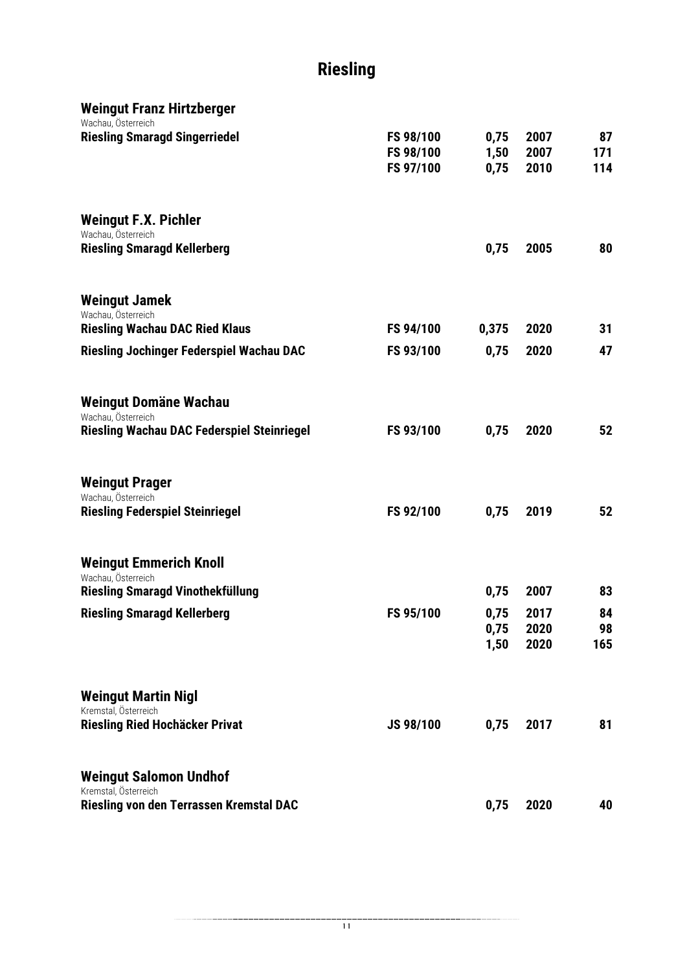### **Riesling**

## Weingut Franz Hirtzberger

| WAGHAU, USICHEIGH<br><b>Riesling Smaragd Singerriedel</b>               | FS 98/100<br><b>FS 98/100</b><br>FS 97/100 | 0,75<br>1,50<br>0,75 | 2007<br>2007<br>2010 | 87<br>171<br>114 |
|-------------------------------------------------------------------------|--------------------------------------------|----------------------|----------------------|------------------|
| <b>Weingut F.X. Pichler</b><br>Wachau, Österreich                       |                                            |                      |                      |                  |
| <b>Riesling Smaragd Kellerberg</b>                                      |                                            | 0,75                 | 2005                 | 80               |
| <b>Weingut Jamek</b>                                                    |                                            |                      |                      |                  |
| Wachau, Österreich<br><b>Riesling Wachau DAC Ried Klaus</b>             | <b>FS 94/100</b>                           | 0,375                | 2020                 | 31               |
| <b>Riesling Jochinger Federspiel Wachau DAC</b>                         | FS 93/100                                  | 0,75                 | 2020                 | 47               |
| Weingut Domäne Wachau                                                   |                                            |                      |                      |                  |
| Wachau, Österreich<br><b>Riesling Wachau DAC Federspiel Steinriegel</b> | <b>FS 93/100</b>                           | 0,75                 | 2020                 | 52               |
| <b>Weingut Prager</b>                                                   |                                            |                      |                      |                  |
| Wachau, Österreich<br><b>Riesling Federspiel Steinriegel</b>            | FS 92/100                                  | 0,75                 | 2019                 | 52               |
| <b>Weingut Emmerich Knoll</b>                                           |                                            |                      |                      |                  |
| Wachau, Österreich                                                      |                                            |                      |                      |                  |
| <b>Riesling Smaragd Vinothekfüllung</b>                                 |                                            | 0,75                 | 2007                 | 83               |
| <b>Riesling Smaragd Kellerberg</b>                                      | FS 95/100                                  | 0,75<br>0,75         | 2017<br>2020         | 84<br>98         |
|                                                                         |                                            | 1,50                 | 2020                 | 165              |
| <b>Weingut Martin Nigl</b>                                              |                                            |                      |                      |                  |
| Kremstal, Österreich<br><b>Riesling Ried Hochäcker Privat</b>           | <b>JS 98/100</b>                           | 0,75                 | 2017                 | 81               |

## Weingut Salomon Undhof

Riesling von den Terrassen Kremstal DAC

 $0,75$ 2020 40

 $11$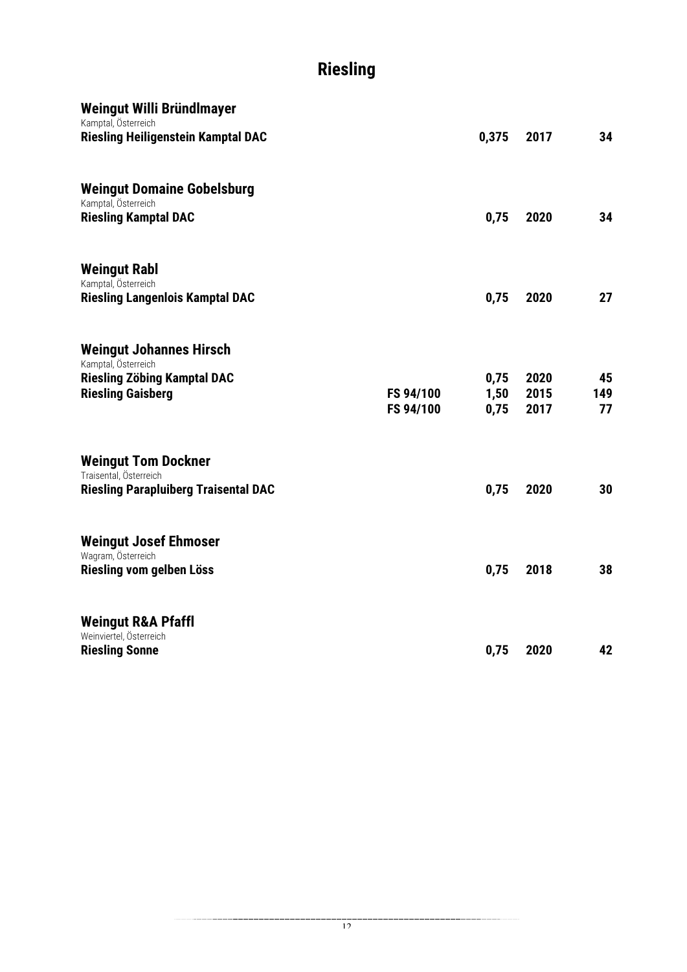### **Riesling**

| Weingut Willi Bründlmayer<br>Kamptal, Österreich                      |                  |       |      |     |
|-----------------------------------------------------------------------|------------------|-------|------|-----|
| <b>Riesling Heiligenstein Kamptal DAC</b>                             |                  | 0,375 | 2017 | 34  |
| <b>Weingut Domaine Gobelsburg</b>                                     |                  |       |      |     |
| Kamptal, Österreich<br><b>Riesling Kamptal DAC</b>                    |                  | 0,75  | 2020 | 34  |
| <b>Weingut Rabl</b>                                                   |                  |       |      |     |
| Kamptal, Österreich<br><b>Riesling Langenlois Kamptal DAC</b>         |                  | 0,75  | 2020 | 27  |
| <b>Weingut Johannes Hirsch</b>                                        |                  |       |      |     |
| Kamptal, Österreich<br><b>Riesling Zöbing Kamptal DAC</b>             |                  | 0,75  | 2020 | 45  |
| <b>Riesling Gaisberg</b>                                              | <b>FS 94/100</b> | 1,50  | 2015 | 149 |
|                                                                       | FS 94/100        | 0,75  | 2017 | 77  |
| <b>Weingut Tom Dockner</b>                                            |                  |       |      |     |
| Traisental, Österreich<br><b>Riesling Parapluiberg Traisental DAC</b> |                  | 0,75  | 2020 | 30  |
| <b>Weingut Josef Ehmoser</b>                                          |                  |       |      |     |
| Wagram, Österreich<br>Riesling vom gelben Löss                        |                  | 0,75  | 2018 | 38  |
| <b>Weingut R&amp;A Pfaffl</b>                                         |                  |       |      |     |
| Weinviertel, Österreich                                               |                  |       |      |     |
| <b>Riesling Sonne</b>                                                 |                  | 0,75  | 2020 | 42  |

 $\overline{12}$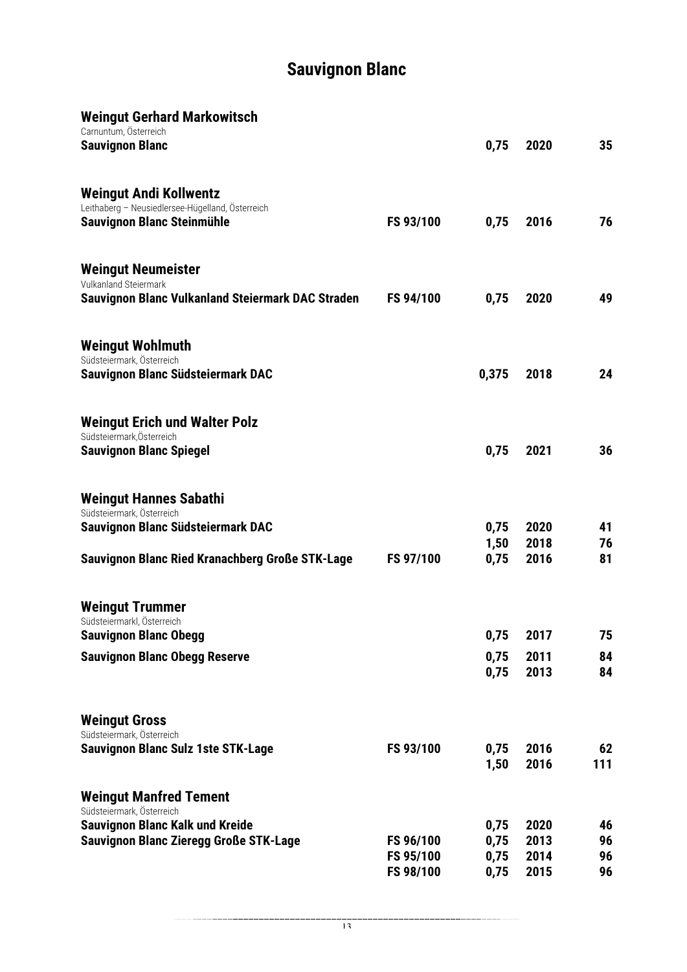### **Sauvignon Blanc**

### **Weingut Gerhard Markowitsch**

| 0,75                 |                      |                |
|----------------------|----------------------|----------------|
|                      | 2016                 | 76             |
| 0,75                 | 2020                 | 49             |
| 0,375                | 2018                 | 24             |
| 0,75                 | 2021                 | 36             |
| 0,75<br>1,50<br>0,75 | 2020<br>2018<br>2016 | 41<br>76<br>81 |
| 0,75<br>0,75         | 2017<br>2011         | 75<br>84<br>84 |
|                      | 0,75                 | 2013           |

**Weingut Gross** rlz Ä

| FS 93/100        | 0.75<br>1,50 | 2016<br>2016 | 62<br>111 |
|------------------|--------------|--------------|-----------|
|                  |              |              |           |
|                  | 0.75         | 2020         | 46        |
| <b>FS 96/100</b> | 0,75         | 2013         | 96        |
| FS 95/100        | 0,75         | 2014         | 96        |
| <b>FS 98/100</b> | 0,75         | 2015         | 96        |
|                  |              |              |           |

 $\frac{1}{13}$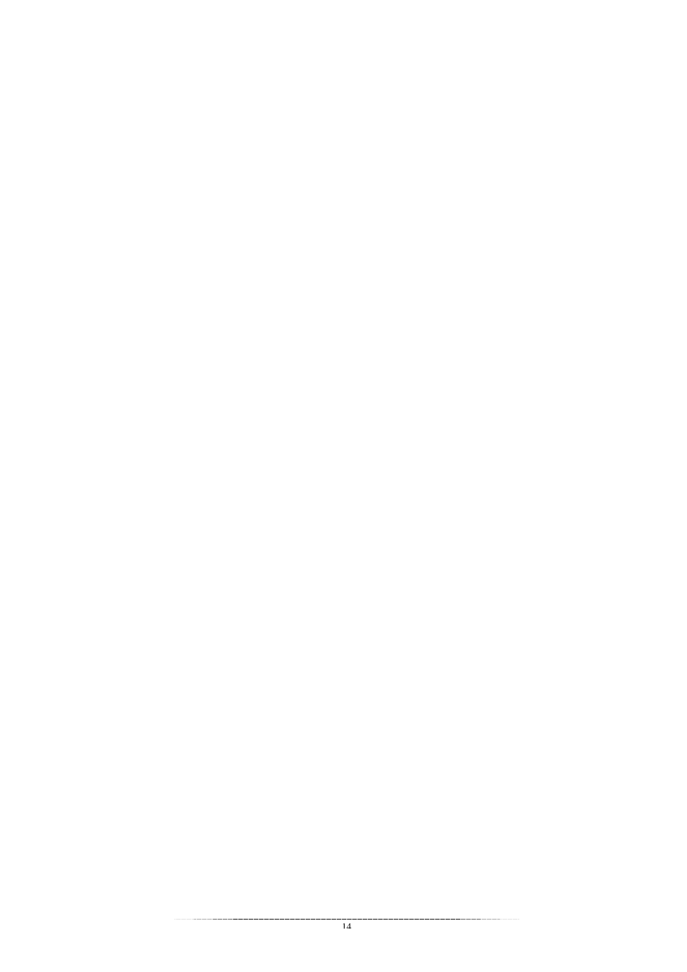$\overline{14}$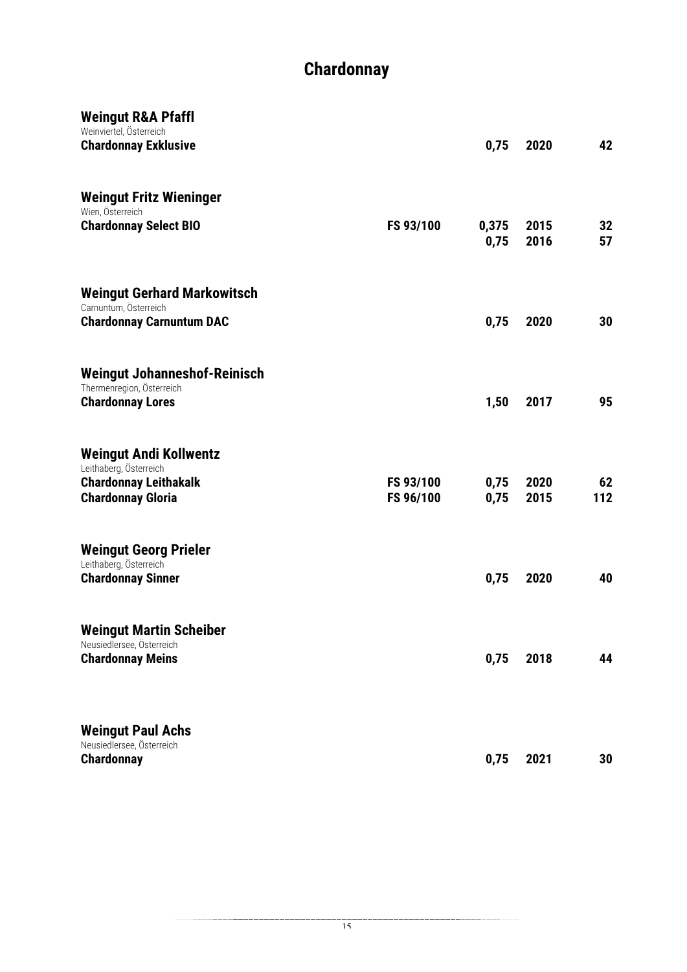### **Chardonnay**

| <b>Weingut R&amp;A Pfaffl</b>                               |                               |               |              |           |
|-------------------------------------------------------------|-------------------------------|---------------|--------------|-----------|
| Weinviertel, Österreich<br><b>Chardonnay Exklusive</b>      |                               | 0,75          | 2020         | 42        |
| <b>Weingut Fritz Wieninger</b><br>Wien, Österreich          |                               |               |              |           |
| <b>Chardonnay Select BIO</b>                                | FS 93/100                     | 0,375<br>0,75 | 2015<br>2016 | 32<br>57  |
| <b>Weingut Gerhard Markowitsch</b>                          |                               |               |              |           |
| Carnuntum, Österreich<br><b>Chardonnay Carnuntum DAC</b>    |                               | 0,75          | 2020         | 30        |
| Weingut Johanneshof-Reinisch<br>Thermenregion, Österreich   |                               |               |              |           |
| <b>Chardonnay Lores</b>                                     |                               | 1,50          | 2017         | 95        |
| <b>Weingut Andi Kollwentz</b><br>Leithaberg, Österreich     |                               |               |              |           |
| <b>Chardonnay Leithakalk</b><br><b>Chardonnay Gloria</b>    | <b>FS 93/100</b><br>FS 96/100 | 0,75<br>0,75  | 2020<br>2015 | 62<br>112 |
| <b>Weingut Georg Prieler</b>                                |                               |               |              |           |
| Leithaberg, Österreich<br><b>Chardonnay Sinner</b>          |                               | 0,75          | 2020         | 40        |
| <b>Weingut Martin Scheiber</b><br>Neusiedlersee, Österreich |                               |               |              |           |
| <b>Chardonnay Meins</b>                                     |                               | 0,75          | 2018         | 44        |

# Weingut Paul Achs<br>Neusiedlersee, Österreich<br>Chardonnay

#### $0,75$ 2021 30

 $\overline{15}$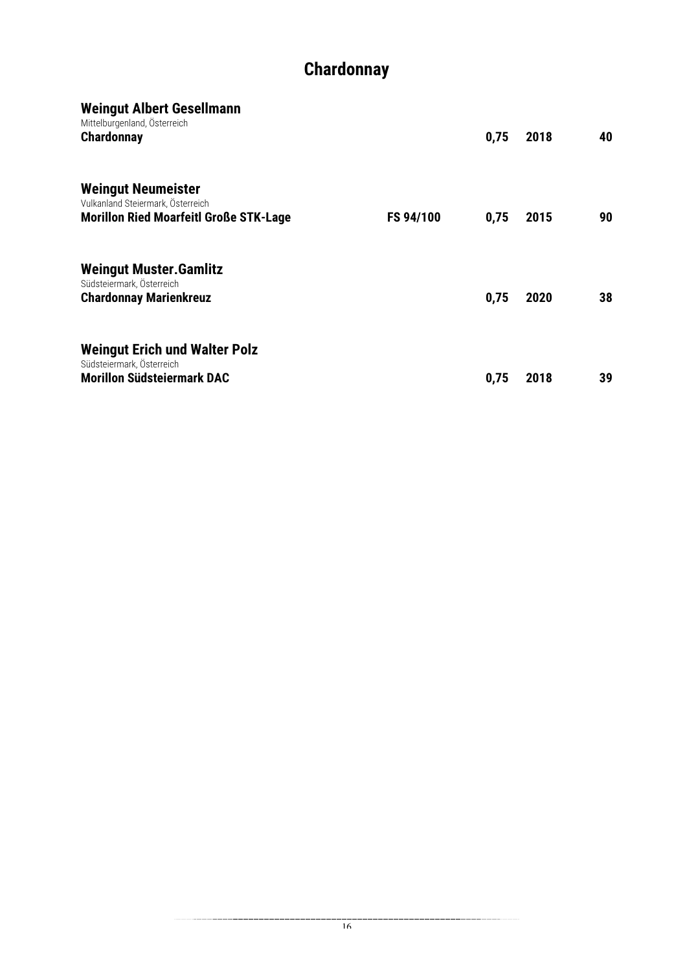### **Chardonnay**

### **Weingut Albert Gesellmann**

| Mittelburgenland, Osterreich<br><b>Chardonnay</b>                                                               |           | 0,75 | 2018 | 40 |
|-----------------------------------------------------------------------------------------------------------------|-----------|------|------|----|
| <b>Weingut Neumeister</b><br>Vulkanland Steiermark, Österreich<br><b>Morillon Ried Moarfeitl Große STK-Lage</b> | FS 94/100 | 0,75 | 2015 | 90 |
| <b>Weingut Muster.Gamlitz</b><br>Südsteiermark, Österreich<br><b>Chardonnay Marienkreuz</b>                     |           | 0,75 | 2020 | 38 |
| <b>Weingut Erich und Walter Polz</b><br>Südsteiermark, Österreich<br><b>Morillon Südsteiermark DAC</b>          |           | 0,75 | 2018 | 39 |

 $\overline{16}$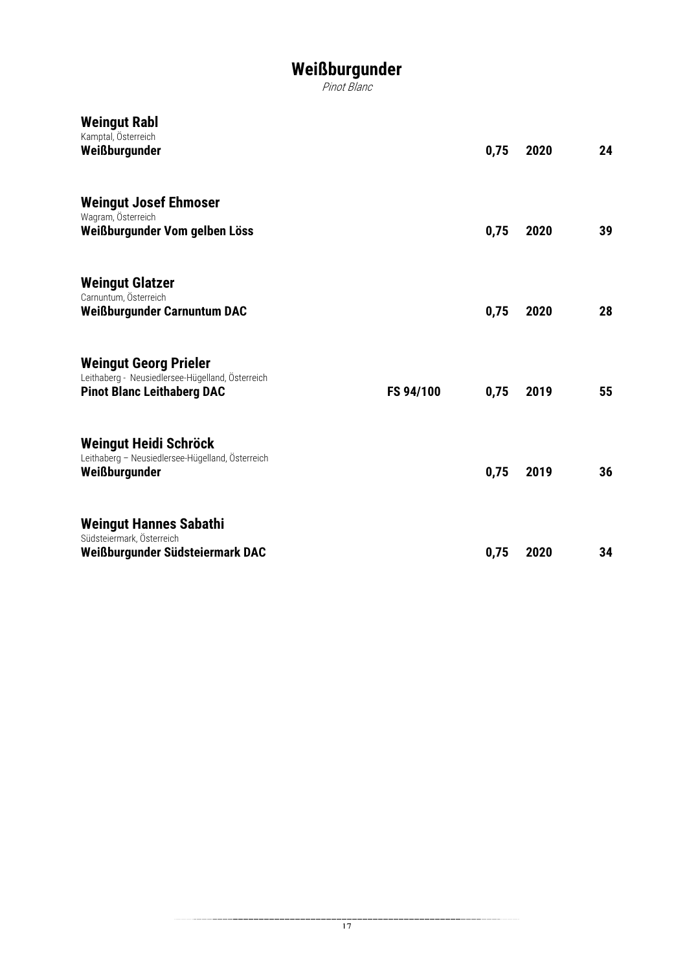## **Weißburgunder**<br>
Pinot Blanc

| <b>Weingut Rabl</b><br>Kamptal, Österreich<br>Weißburgunder                                                           |           | 0,75 | 2020 | 24 |
|-----------------------------------------------------------------------------------------------------------------------|-----------|------|------|----|
| <b>Weingut Josef Ehmoser</b><br>Wagram, Österreich<br>Weißburgunder Vom gelben Löss                                   |           | 0,75 | 2020 | 39 |
| <b>Weingut Glatzer</b><br>Carnuntum, Österreich<br><b>Weißburgunder Carnuntum DAC</b>                                 |           | 0,75 | 2020 | 28 |
| <b>Weingut Georg Prieler</b><br>Leithaberg - Neusiedlersee-Hügelland, Österreich<br><b>Pinot Blanc Leithaberg DAC</b> | FS 94/100 | 0,75 | 2019 | 55 |
| Weingut Heidi Schröck<br>Leithaberg - Neusiedlersee-Hügelland, Österreich<br>Weißburgunder                            |           | 0,75 | 2019 | 36 |
| <b>Weingut Hannes Sabathi</b><br>Südsteiermark, Österreich<br>Weißburgunder Südsteiermark DAC                         |           | 0,75 | 2020 | 34 |

 $\overline{17}$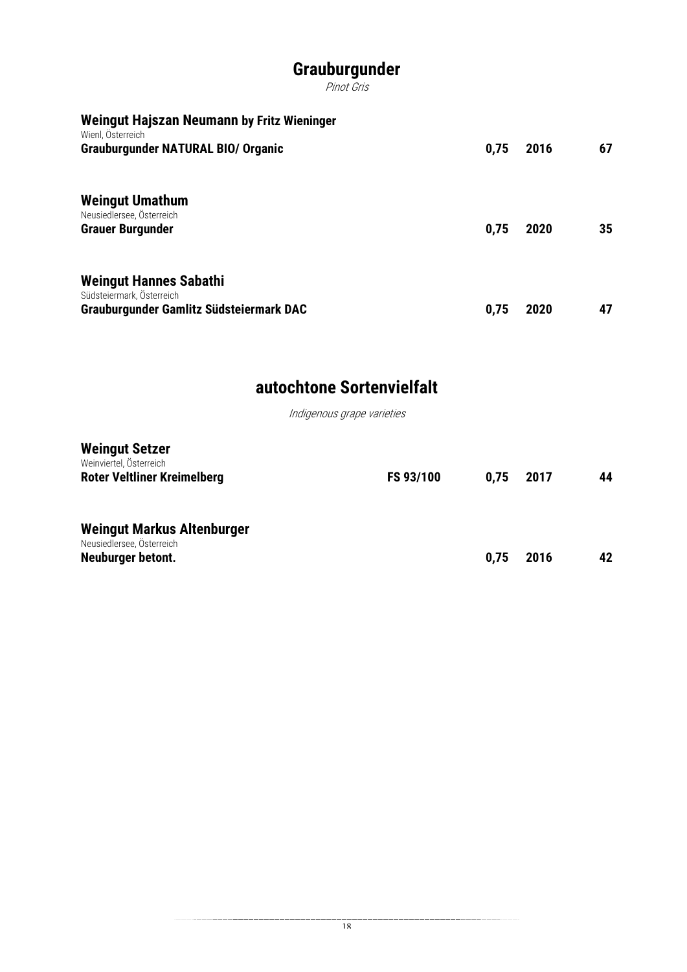## **Grauburgunder**

| Weingut Hajszan Neumann by Fritz Wieninger<br>Wienl, Österreich |      |      |    |
|-----------------------------------------------------------------|------|------|----|
| <b>Grauburgunder NATURAL BIO/ Organic</b>                       | 0,75 | 2016 | 67 |
| <b>Weingut Umathum</b>                                          |      |      |    |
| Neusiedlersee, Österreich<br><b>Grauer Burgunder</b>            | 0,75 | 2020 | 35 |
| <b>Weingut Hannes Sabathi</b>                                   |      |      |    |
| Südsteiermark, Österreich                                       |      |      |    |
| <b>Grauburgunder Gamlitz Südsteiermark DAC</b>                  | 0.75 | 2020 | 47 |

### autochtone Sortenvielfalt

Indigenous grape varieties

| <b>Weingut Setzer</b><br>Weinviertel, Österreich<br><b>Roter Veltliner Kreimelberg</b>     | FS 93/100 | 0.75 | 2017 | 44 |
|--------------------------------------------------------------------------------------------|-----------|------|------|----|
| <b>Weingut Markus Altenburger</b><br>Neusiedlersee, Österreich<br><b>Neuburger betont.</b> |           | 0,75 | 2016 | 42 |

 $\frac{1}{18}$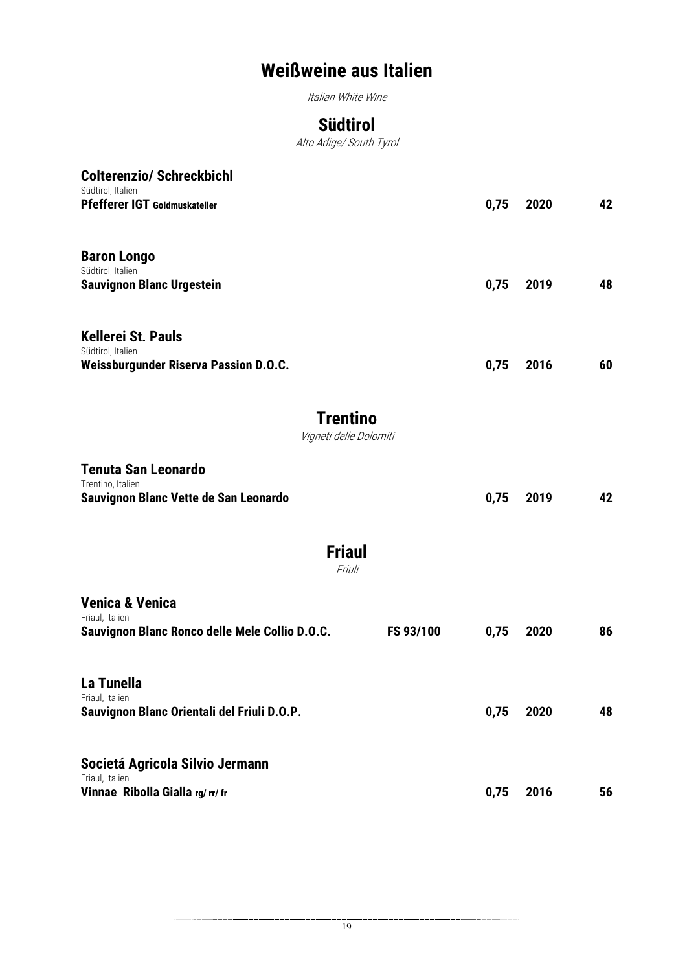### **Weißweine aus Italien**

Italian White Wine

### **Südtirol**

Alto Adige/ South Tyrol

| <b>Colterenzio/ Schreckbichl</b><br>Südtirol, Italien                                           |                   |      |    |
|-------------------------------------------------------------------------------------------------|-------------------|------|----|
| Pfefferer IGT Goldmuskateller                                                                   | 0,75              | 2020 | 42 |
| <b>Baron Longo</b><br>Südtirol, Italien<br><b>Sauvignon Blanc Urgestein</b>                     | 0,75              | 2019 | 48 |
| <b>Kellerei St. Pauls</b><br>Südtirol, Italien<br><b>Weissburgunder Riserva Passion D.O.C.</b>  | 0,75              | 2016 | 60 |
| <b>Trentino</b><br>Vigneti delle Dolomiti                                                       |                   |      |    |
| <b>Tenuta San Leonardo</b><br>Trentino, Italien<br>Sauvignon Blanc Vette de San Leonardo        | 0,75              | 2019 | 42 |
| <b>Friaul</b><br>Friuli                                                                         |                   |      |    |
| <b>Venica &amp; Venica</b><br>Friaul, Italien<br>Sauvignon Blanc Ronco delle Mele Collio D.O.C. | FS 93/100<br>0,75 | 2020 | 86 |
| La Tunella<br>Friaul, Italien<br>Sauvignon Blanc Orientali del Friuli D.O.P.                    | 0,75              | 2020 | 48 |

### Societá Agricola Silvio Jermann

Friaul, Italien Vinnae Ribolla Gialla rg/ rr/ fr

 $0,75$ 2016 56

 $10$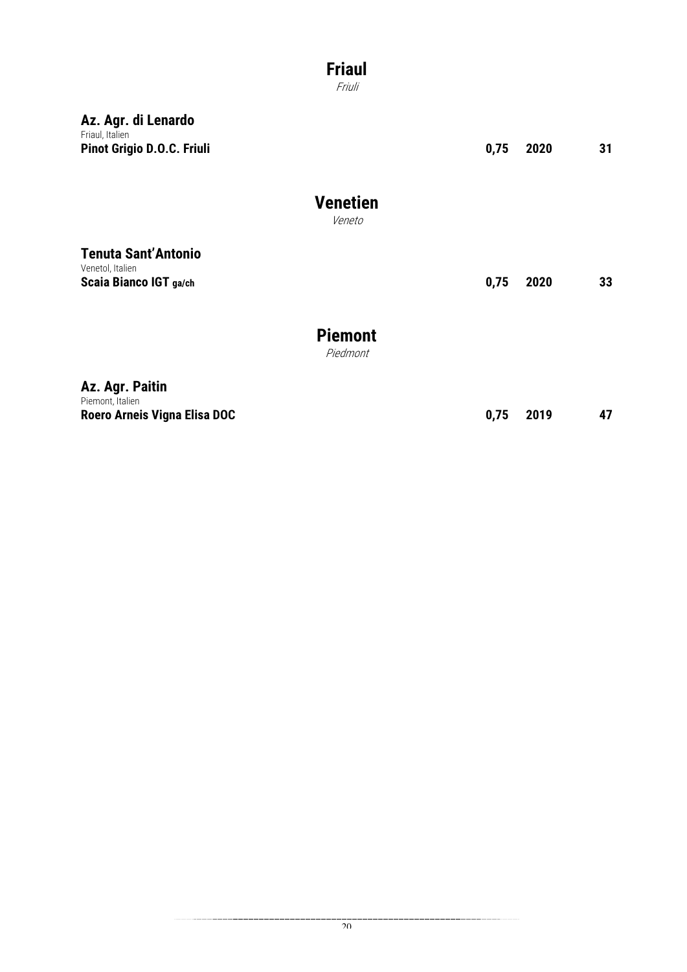### **Friaul**

Friuli

### Az. Agr. di Lenardo

Friaul, Italien Pinot Grigio D.O.C. Friuli

| 2020<br>0,75 | 31 |
|--------------|----|
|--------------|----|

### **Venetien**

Veneto

#### **Tenuta Sant'A** Venetol, Italien

**Scaia Bianco IG** 

| <b>\ntonio</b> |                |      |      |    |
|----------------|----------------|------|------|----|
| iT ga/ch       |                | 0,75 | 2020 | 33 |
|                |                |      |      |    |
|                | <b>Piemont</b> |      |      |    |
|                | Piedmont       |      |      |    |

Az. Agr. Paitin Piemont, Italien Roero Arneis Vigna Elisa DOC

 $0,75$ 2019 47

 $\overline{20}$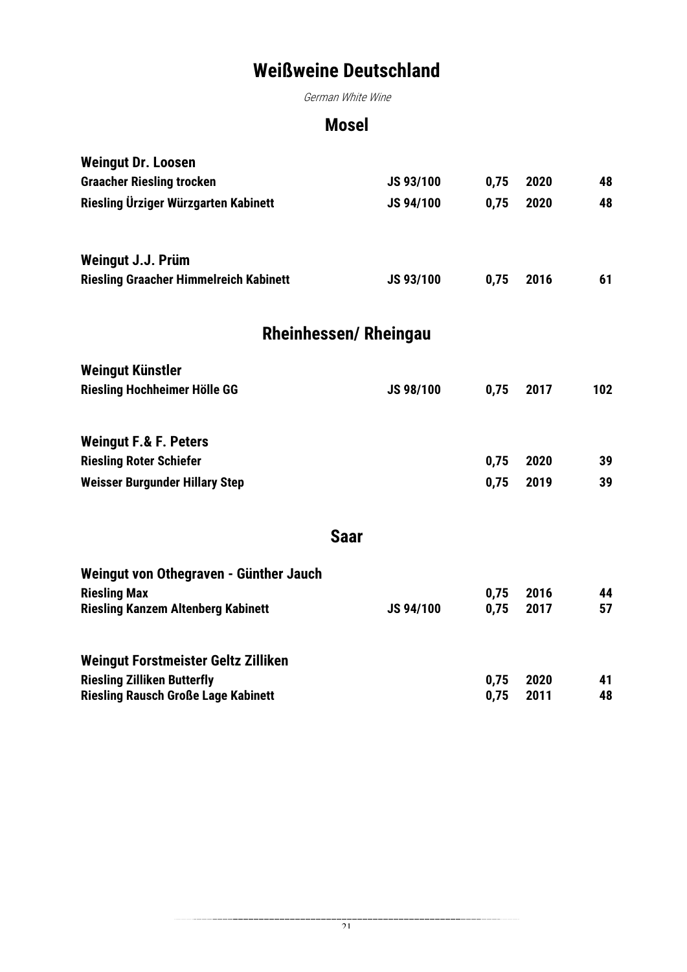### **Weißweine Deutschland**

German White Wine

### **Mosel**

| <b>Weingut Dr. Loosen</b>                     |                  |      |      |     |
|-----------------------------------------------|------------------|------|------|-----|
| <b>Graacher Riesling trocken</b>              | <b>JS 93/100</b> | 0,75 | 2020 | 48  |
| <b>Riesling Ürziger Würzgarten Kabinett</b>   | <b>JS 94/100</b> | 0,75 | 2020 | 48  |
| <b>Weingut J.J. Prüm</b>                      |                  |      |      |     |
| <b>Riesling Graacher Himmelreich Kabinett</b> | <b>JS 93/100</b> | 0,75 | 2016 | 61  |
| <b>Rheinhessen/ Rheingau</b>                  |                  |      |      |     |
| Weingut Künstler                              |                  |      |      |     |
| <b>Riesling Hochheimer Hölle GG</b>           | <b>JS 98/100</b> | 0,75 | 2017 | 102 |
| <b>Weingut F.&amp; F. Peters</b>              |                  |      |      |     |
| <b>Riesling Roter Schiefer</b>                |                  | 0,75 | 2020 | 39  |
| <b>Weisser Burgunder Hillary Step</b>         |                  | 0,75 | 2019 | 39  |
| <b>Saar</b>                                   |                  |      |      |     |
| Weingut von Othegraven - Günther Jauch        |                  |      |      |     |
| <b>Riesling Max</b>                           |                  | 0,75 | 2016 | 44  |
| <b>Riesling Kanzem Altenberg Kabinett</b>     | <b>JS 94/100</b> | 0,75 | 2017 | 57  |
| Weingut Forstmeister Geltz Zilliken           |                  |      |      |     |
| <b>Riesling Zilliken Butterfly</b>            |                  | 0,75 | 2020 | 41  |
| <b>Riesling Rausch Große Lage Kabinett</b>    |                  | 0,75 | 2011 | 48  |

 $\overline{21}$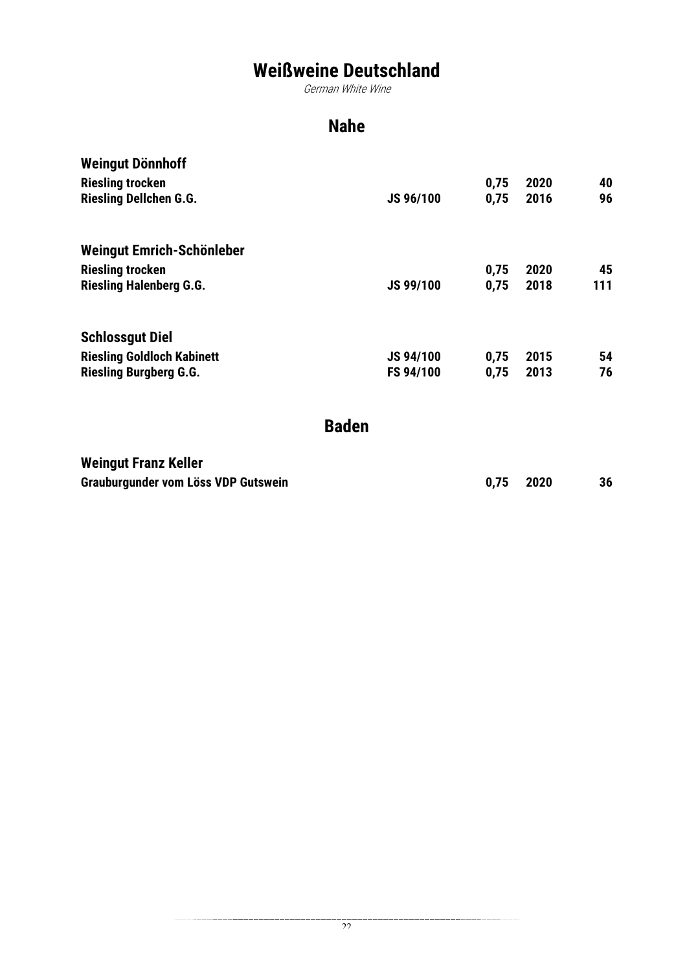### **Weißweine Deutschland**

German White Wine

### **Nahe**

| <b>Weingut Dönnhoff</b>             |                  |      |      |     |
|-------------------------------------|------------------|------|------|-----|
| <b>Riesling trocken</b>             |                  | 0,75 | 2020 | 40  |
| <b>Riesling Dellchen G.G.</b>       | <b>JS 96/100</b> | 0,75 | 2016 | 96  |
| Weingut Emrich-Schönleber           |                  |      |      |     |
| <b>Riesling trocken</b>             |                  | 0,75 | 2020 | 45  |
| <b>Riesling Halenberg G.G.</b>      | <b>JS 99/100</b> | 0,75 | 2018 | 111 |
| <b>Schlossgut Diel</b>              |                  |      |      |     |
| <b>Riesling Goldloch Kabinett</b>   | <b>JS 94/100</b> | 0,75 | 2015 | 54  |
| <b>Riesling Burgberg G.G.</b>       | FS 94/100        | 0,75 | 2013 | 76  |
|                                     | <b>Baden</b>     |      |      |     |
| <b>Weingut Franz Keller</b>         |                  |      |      |     |
|                                     |                  |      |      | 36  |
| Grauburgunder vom Löss VDP Gutswein |                  | 0,75 | 2020 |     |

 $\overline{\hspace{1.5cm}}$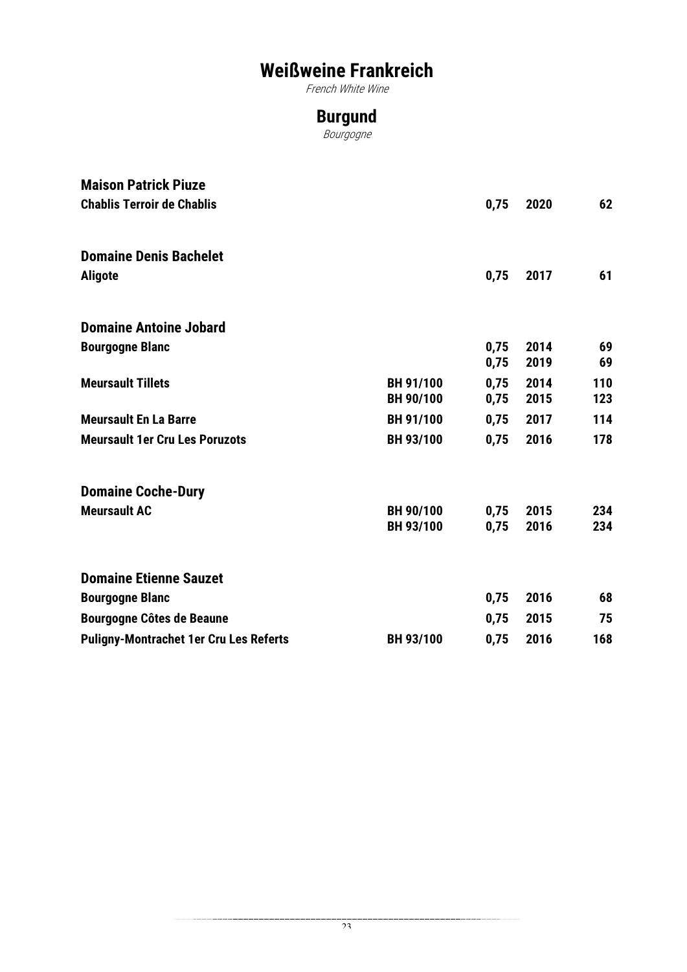### **Weißweine Frankreich**

French White Wine

## **Burgund**<br>*Bourgogne*

| <b>Maison Patrick Piuze</b>                   |                  |      |      |     |
|-----------------------------------------------|------------------|------|------|-----|
| <b>Chablis Terroir de Chablis</b>             |                  | 0,75 | 2020 | 62  |
| <b>Domaine Denis Bachelet</b>                 |                  |      |      |     |
| <b>Aligote</b>                                |                  | 0,75 | 2017 | 61  |
| <b>Domaine Antoine Jobard</b>                 |                  |      |      |     |
| <b>Bourgogne Blanc</b>                        |                  | 0,75 | 2014 | 69  |
|                                               |                  | 0,75 | 2019 | 69  |
| <b>Meursault Tillets</b>                      | <b>BH 91/100</b> | 0,75 | 2014 | 110 |
|                                               | <b>BH 90/100</b> | 0,75 | 2015 | 123 |
| <b>Meursault En La Barre</b>                  | <b>BH 91/100</b> | 0,75 | 2017 | 114 |
| <b>Meursault 1er Cru Les Poruzots</b>         | <b>BH 93/100</b> | 0,75 | 2016 | 178 |
| <b>Domaine Coche-Dury</b>                     |                  |      |      |     |
| <b>Meursault AC</b>                           | <b>BH 90/100</b> | 0,75 | 2015 | 234 |
|                                               | <b>BH 93/100</b> | 0,75 | 2016 | 234 |
| <b>Domaine Etienne Sauzet</b>                 |                  |      |      |     |
| <b>Bourgogne Blanc</b>                        |                  | 0,75 | 2016 | 68  |
| <b>Bourgogne Côtes de Beaune</b>              |                  | 0,75 | 2015 | 75  |
| <b>Puligny-Montrachet 1er Cru Les Referts</b> | <b>BH 93/100</b> | 0,75 | 2016 | 168 |

 $\overline{23}$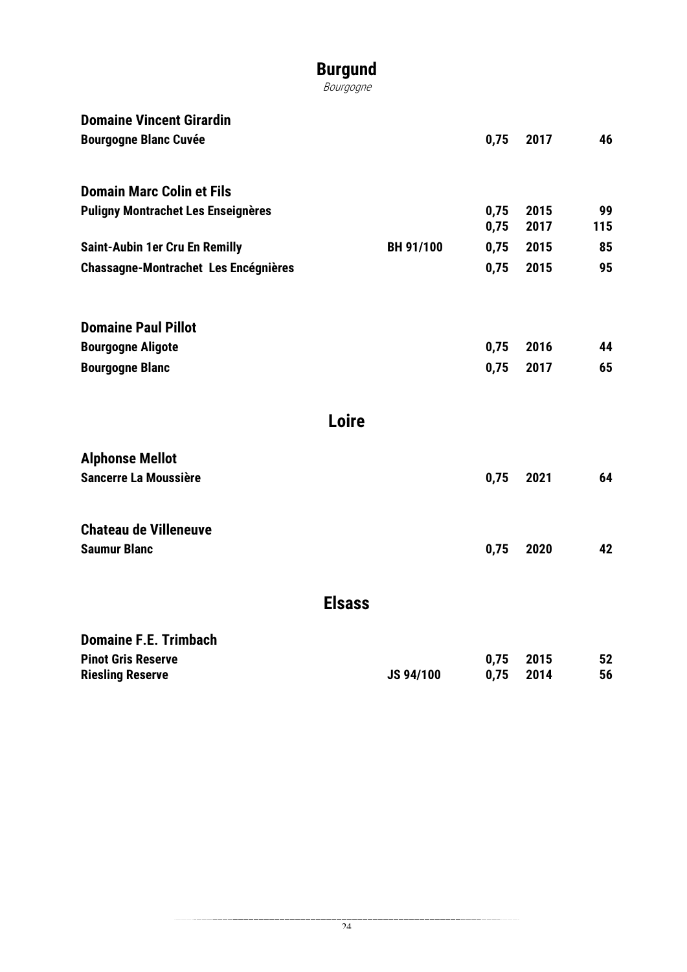### **Burgund**

Bourgogne

| <b>Domaine Vincent Girardin</b>             |               |                  |      |      |     |
|---------------------------------------------|---------------|------------------|------|------|-----|
| <b>Bourgogne Blanc Cuvée</b>                |               |                  | 0,75 | 2017 | 46  |
|                                             |               |                  |      |      |     |
| <b>Domain Marc Colin et Fils</b>            |               |                  |      |      |     |
| <b>Puligny Montrachet Les Enseignères</b>   |               |                  | 0,75 | 2015 | 99  |
|                                             |               |                  | 0,75 | 2017 | 115 |
| <b>Saint-Aubin 1er Cru En Remilly</b>       |               | <b>BH 91/100</b> | 0,75 | 2015 | 85  |
| <b>Chassagne-Montrachet Les Encégnières</b> |               |                  | 0,75 | 2015 | 95  |
|                                             |               |                  |      |      |     |
| <b>Domaine Paul Pillot</b>                  |               |                  |      |      |     |
| <b>Bourgogne Aligote</b>                    |               |                  | 0,75 | 2016 | 44  |
| <b>Bourgogne Blanc</b>                      |               |                  | 0,75 | 2017 | 65  |
|                                             |               |                  |      |      |     |
|                                             | <b>Loire</b>  |                  |      |      |     |
|                                             |               |                  |      |      |     |
| <b>Alphonse Mellot</b>                      |               |                  |      |      |     |
| <b>Sancerre La Moussière</b>                |               |                  | 0,75 | 2021 | 64  |
|                                             |               |                  |      |      |     |
| <b>Chateau de Villeneuve</b>                |               |                  |      |      |     |
| <b>Saumur Blanc</b>                         |               |                  | 0,75 | 2020 | 42  |
|                                             |               |                  |      |      |     |
|                                             | <b>Elsass</b> |                  |      |      |     |
|                                             |               |                  |      |      |     |
| <b>Domaine F.E. Trimbach</b>                |               |                  |      |      |     |
| <b>Pinot Gris Reserve</b>                   |               |                  | 0,75 | 2015 | 52  |
| <b>Riesling Reserve</b>                     |               | JS 94/100        | 0,75 | 2014 | 56  |

 $\overline{24}$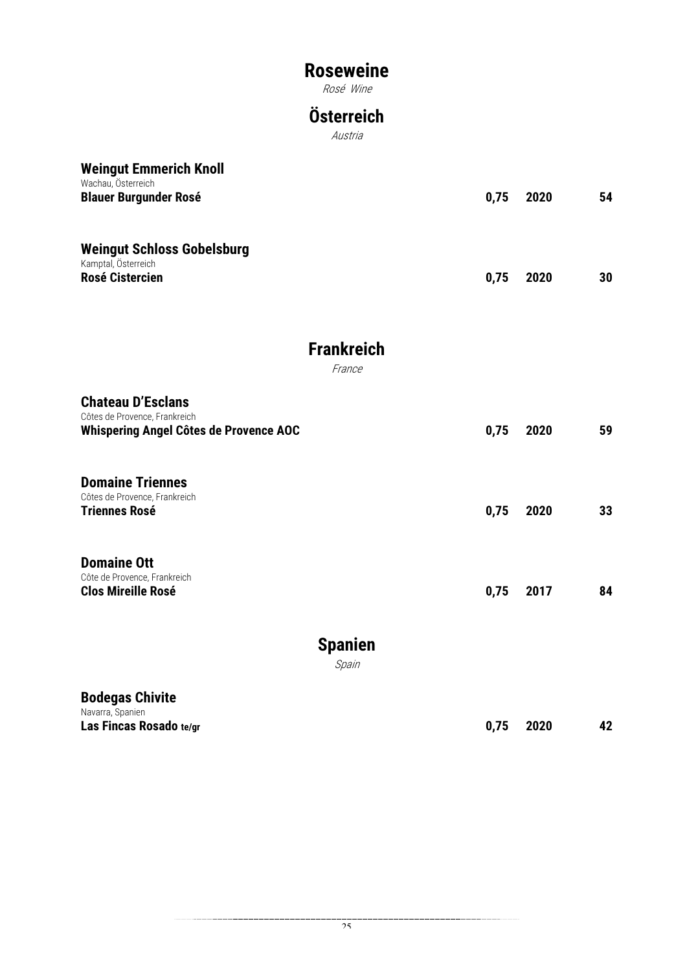### **Roseweine**

Rosé Wine

| . . | <b>Osterreich</b> |  |  |
|-----|-------------------|--|--|
|     |                   |  |  |

Austria

| <b>Weingut Emmerich Knoll</b><br>Wachau, Österreich       |      |      |    |
|-----------------------------------------------------------|------|------|----|
| <b>Blauer Burgunder Rosé</b>                              | 0,75 | 2020 | 54 |
| <b>Weingut Schloss Gobelsburg</b>                         |      |      |    |
| Kamptal, Österreich<br><b>Rosé Cistercien</b>             | 0,75 | 2020 | 30 |
|                                                           |      |      |    |
| <b>Frankreich</b><br>France                               |      |      |    |
| <b>Chateau D'Esclans</b><br>Côtes de Provence, Frankreich |      |      |    |
| Whispering Angel Côtes de Provence AOC                    | 0,75 | 2020 | 59 |
| <b>Domaine Triennes</b><br>Côtes de Provence, Frankreich  |      |      |    |
| <b>Triennes Rosé</b>                                      | 0,75 | 2020 | 33 |
| <b>Domaine Ott</b>                                        |      |      |    |
| Côte de Provence, Frankreich<br><b>Clos Mireille Rosé</b> | 0,75 | 2017 | 84 |

**Spanien** 

Spain

#### **Bodegas Chivite** Navarra, Spanien Las Fincas Rosado te/gr

 $0,75$ 42 2020

 $\overline{\phantom{1}}$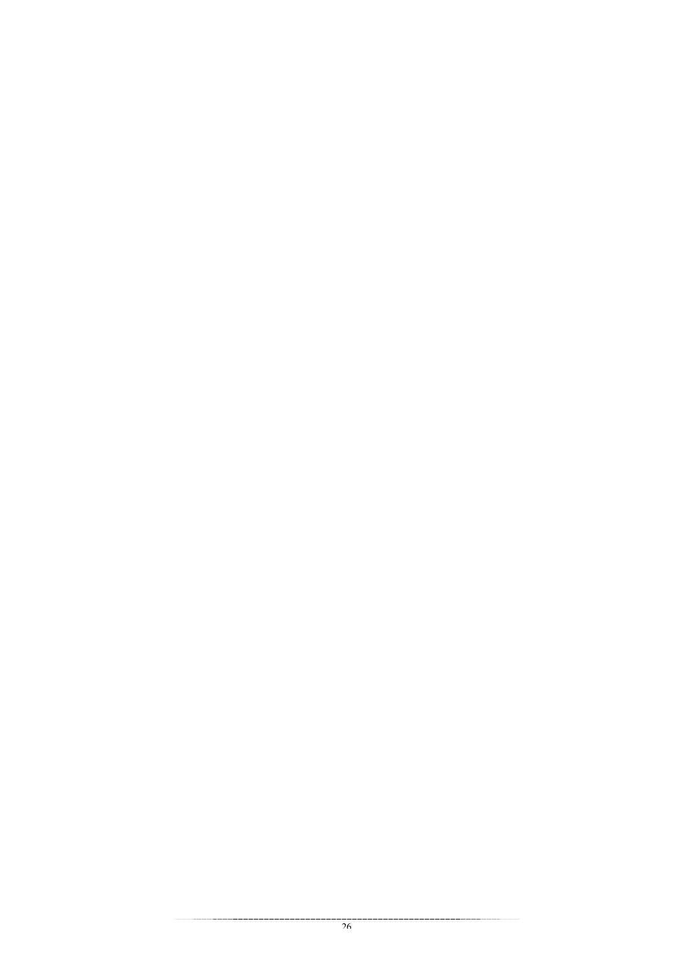$\overline{26}$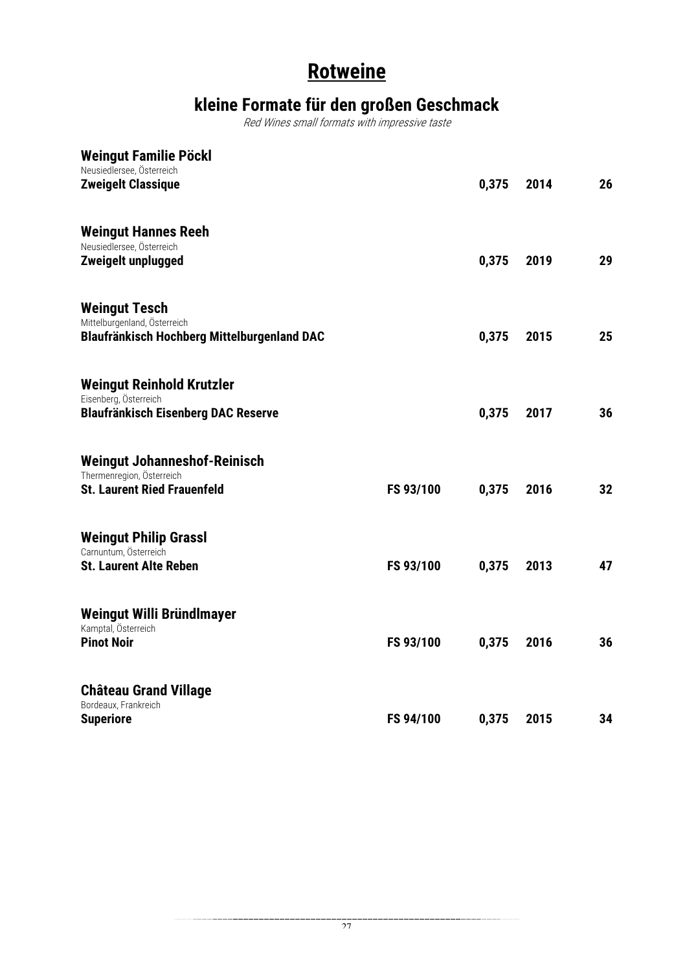### Rotweine

# kleine Formate für den großen Geschmack

| <b>Weingut Familie Pöckl</b><br>Neusiedlersee, Österreich<br><b>Zweigelt Classique</b>                     |                  | 0,375 | 2014 | 26 |
|------------------------------------------------------------------------------------------------------------|------------------|-------|------|----|
| <b>Weingut Hannes Reeh</b><br>Neusiedlersee, Österreich<br><b>Zweigelt unplugged</b>                       |                  | 0,375 | 2019 | 29 |
| <b>Weingut Tesch</b><br>Mittelburgenland, Österreich<br><b>Blaufränkisch Hochberg Mittelburgenland DAC</b> |                  | 0,375 | 2015 | 25 |
| Weingut Reinhold Krutzler<br>Eisenberg, Österreich<br><b>Blaufränkisch Eisenberg DAC Reserve</b>           |                  | 0,375 | 2017 | 36 |
| <b>Weingut Johanneshof-Reinisch</b><br>Thermenregion, Österreich<br><b>St. Laurent Ried Frauenfeld</b>     | <b>FS 93/100</b> | 0,375 | 2016 | 32 |
| <b>Weingut Philip Grassl</b><br>Carnuntum, Österreich<br><b>St. Laurent Alte Reben</b>                     | FS 93/100        | 0,375 | 2013 | 47 |
| Weingut Willi Bründlmayer<br>Kamptal, Österreich<br><b>Pinot Noir</b>                                      | <b>FS 93/100</b> | 0,375 | 2016 | 36 |
| <b>Château Grand Village</b><br>Bordeaux, Frankreich<br><b>Superiore</b>                                   | <b>FS 94/100</b> | 0,375 | 2015 | 34 |

 $\overline{27}$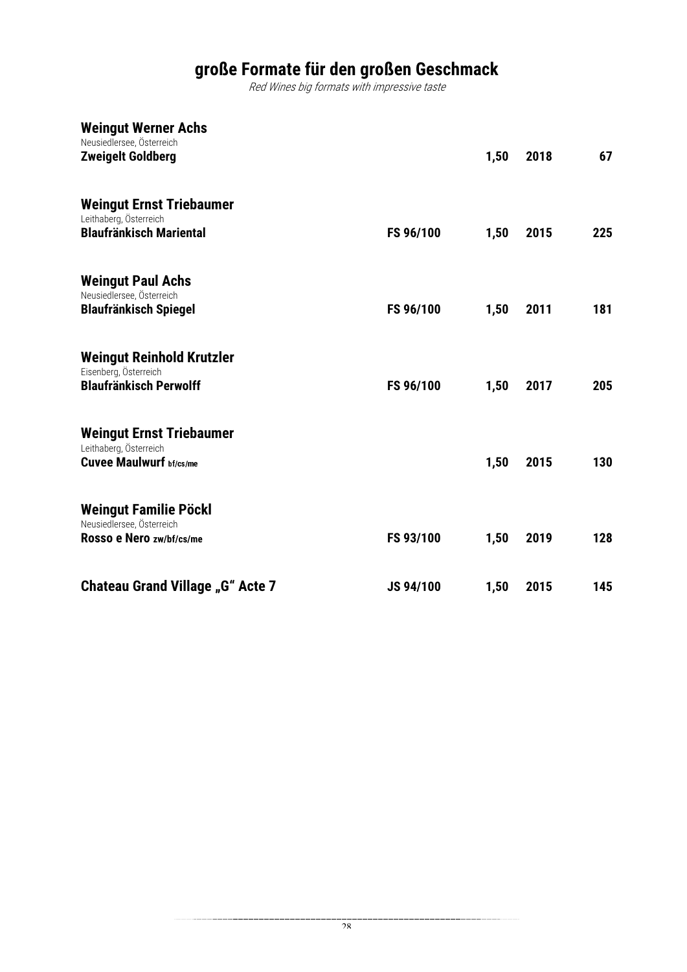# große Formate für den großen Geschmack<br>Red Wines big formats with impressive taste

| <b>Weingut Werner Achs</b><br>Neusiedlersee, Österreich<br><b>Zweigelt Goldberg</b>         |                  | 1,50 | 2018 | 67  |
|---------------------------------------------------------------------------------------------|------------------|------|------|-----|
| <b>Weingut Ernst Triebaumer</b><br>Leithaberg, Österreich<br><b>Blaufränkisch Mariental</b> | <b>FS 96/100</b> | 1,50 | 2015 | 225 |
| <b>Weingut Paul Achs</b><br>Neusiedlersee, Österreich<br><b>Blaufränkisch Spiegel</b>       | FS 96/100        | 1,50 | 2011 | 181 |
| Weingut Reinhold Krutzler<br>Eisenberg, Österreich<br><b>Blaufränkisch Perwolff</b>         | FS 96/100        | 1,50 | 2017 | 205 |
| <b>Weingut Ernst Triebaumer</b><br>Leithaberg, Österreich<br><b>Cuvee Maulwurf bf/cs/me</b> |                  | 1,50 | 2015 | 130 |
| <b>Weingut Familie Pöckl</b><br>Neusiedlersee, Österreich<br>Rosso e Nero zw/bf/cs/me       | FS 93/100        | 1,50 | 2019 | 128 |
| <b>Chateau Grand Village, G</b> Acte 7                                                      | <b>JS 94/100</b> | 1,50 | 2015 | 145 |

 $\overline{28}$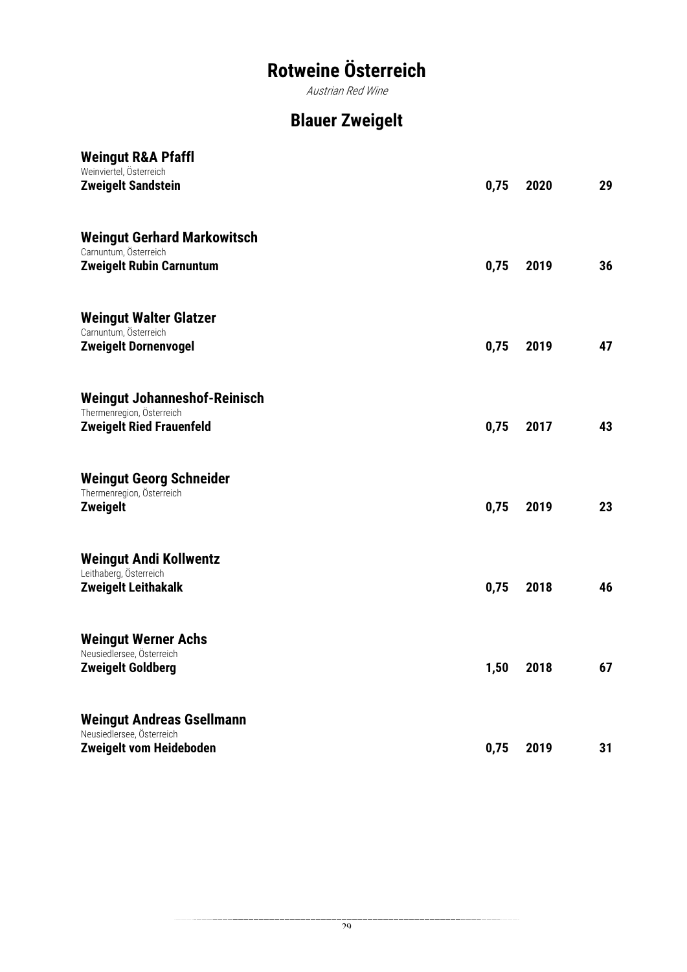## Rotweine Österreich

Austrian Red Wine

### **Blauer Zweigelt**

| <b>Weingut R&amp;A Pfaffl</b><br>Weinviertel, Österreich<br><b>Zweigelt Sandstein</b>               | 0,75 | 2020 | 29 |
|-----------------------------------------------------------------------------------------------------|------|------|----|
| <b>Weingut Gerhard Markowitsch</b><br>Carnuntum, Österreich<br><b>Zweigelt Rubin Carnuntum</b>      | 0,75 | 2019 | 36 |
| <b>Weingut Walter Glatzer</b><br>Carnuntum, Österreich<br><b>Zweigelt Dornenvogel</b>               | 0,75 | 2019 | 47 |
| <b>Weingut Johanneshof-Reinisch</b><br>Thermenregion, Österreich<br><b>Zweigelt Ried Frauenfeld</b> | 0,75 | 2017 | 43 |
| <b>Weingut Georg Schneider</b><br>Thermenregion, Österreich<br><b>Zweigelt</b>                      | 0,75 | 2019 | 23 |
| <b>Weingut Andi Kollwentz</b><br>Leithaberg, Österreich<br><b>Zweigelt Leithakalk</b>               | 0,75 | 2018 | 46 |
| <b>Weingut Werner Achs</b><br>Neusiedlersee, Österreich<br><b>Zweigelt Goldberg</b>                 | 1,50 | 2018 | 67 |

### **Weingut Andreas Gsellmann**

Neusiedlersee, Österreich

### Zweigelt vom Heideboden

 $0,75$ 2019  $31$ 

 $\overline{29}$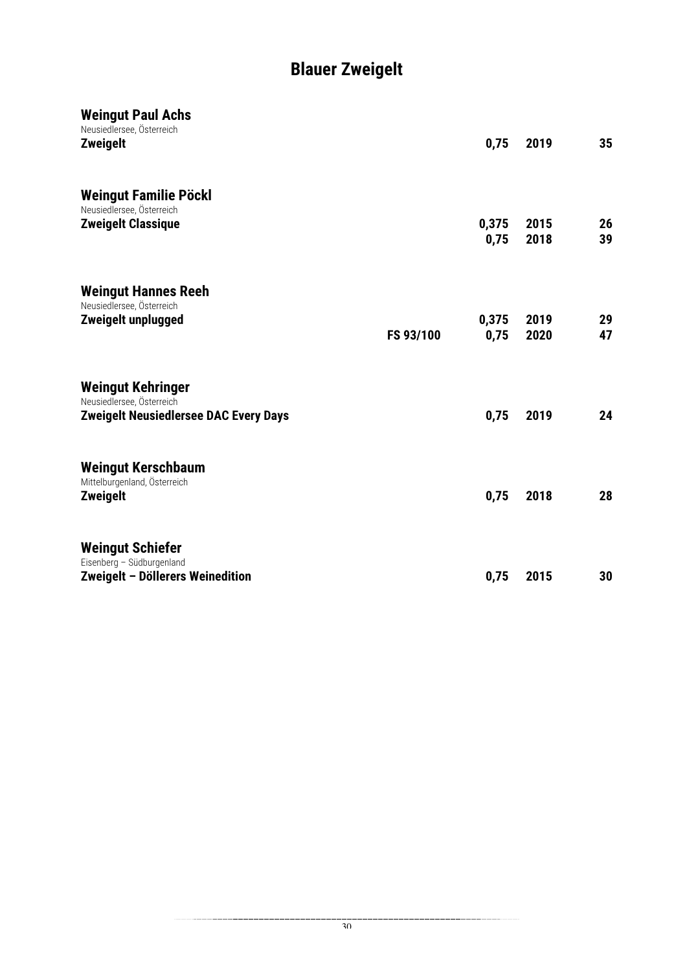### **Blauer Zweigelt**

#### **Weingut Paul Achs** Neusiedlersee, Österreich  $0,75$ 2019 35 **Zweigelt Weingut Familie Pöckl** Neusiedlersee, Österreich **Zweigelt Classique** 0,375 2015 26  $0,75$ 39 2018 **Weingut Hannes Reeh** Neusiedlersee, Österreich Zweigelt unplugged 0,375 2019 29 FS 93/100  $0,75$ 2020 47 **Weingut Kehringer** Neusiedlersee, Österreich Zweigelt Neusiedlersee DAC Every Days  $0,75$ 2019 24 **Weingut Kerschbaum** Mittelburgenland, Österreich **Zweigelt**  $0,75$ 2018 28 **Weingut Schiefer** Eisenberg - Südburgenland Zweigelt - Döllerers Weinedition  $0,75$ 30 2015

 $30$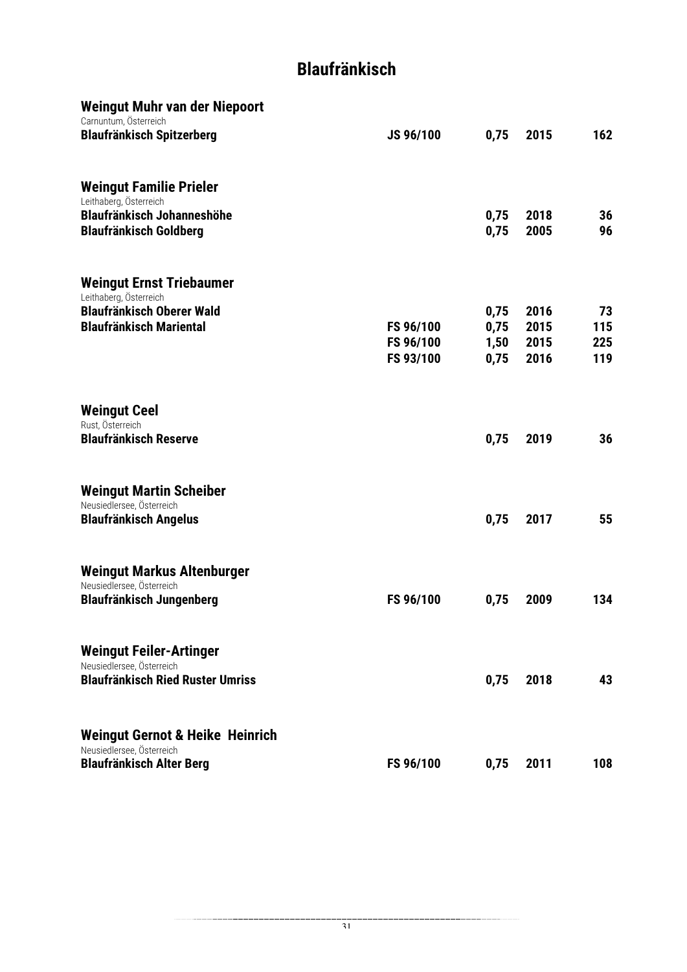### **Blaufränkisch**

## Weingut Muhr van der Niepoort

| Carnuntum, Osterreich<br><b>Blaufränkisch Spitzerberg</b>            | <b>JS 96/100</b> | 0,75 | 2015 | 162 |
|----------------------------------------------------------------------|------------------|------|------|-----|
| <b>Weingut Familie Prieler</b><br>Leithaberg, Österreich             |                  |      |      |     |
| <b>Blaufränkisch Johanneshöhe</b>                                    |                  | 0,75 | 2018 | 36  |
| <b>Blaufränkisch Goldberg</b>                                        |                  | 0,75 | 2005 | 96  |
| <b>Weingut Ernst Triebaumer</b>                                      |                  |      |      |     |
| Leithaberg, Österreich<br><b>Blaufränkisch Oberer Wald</b>           |                  | 0,75 | 2016 | 73  |
| <b>Blaufränkisch Mariental</b>                                       | FS 96/100        | 0,75 | 2015 | 115 |
|                                                                      | FS 96/100        | 1,50 | 2015 | 225 |
|                                                                      | FS 93/100        | 0,75 | 2016 | 119 |
| <b>Weingut Ceel</b>                                                  |                  |      |      |     |
| Rust, Österreich<br><b>Blaufränkisch Reserve</b>                     |                  | 0,75 | 2019 | 36  |
| <b>Weingut Martin Scheiber</b>                                       |                  |      |      |     |
| Neusiedlersee, Österreich                                            |                  |      |      |     |
| <b>Blaufränkisch Angelus</b>                                         |                  | 0,75 | 2017 | 55  |
| Weingut Markus Altenburger                                           |                  |      |      |     |
| Neusiedlersee, Österreich                                            |                  |      |      |     |
| <b>Blaufränkisch Jungenberg</b>                                      | FS 96/100        | 0,75 | 2009 | 134 |
| <b>Weingut Feiler-Artinger</b>                                       |                  |      |      |     |
| Neusiedlersee, Österreich<br><b>Blaufränkisch Ried Ruster Umriss</b> |                  |      |      |     |
|                                                                      |                  | 0,75 | 2018 | 43  |

Weingut Gernot & Heike Heinrich **Blaufränkisch Alter Berg** 

#### $0,75$ FS 96/100 2011 108

 $\overline{31}$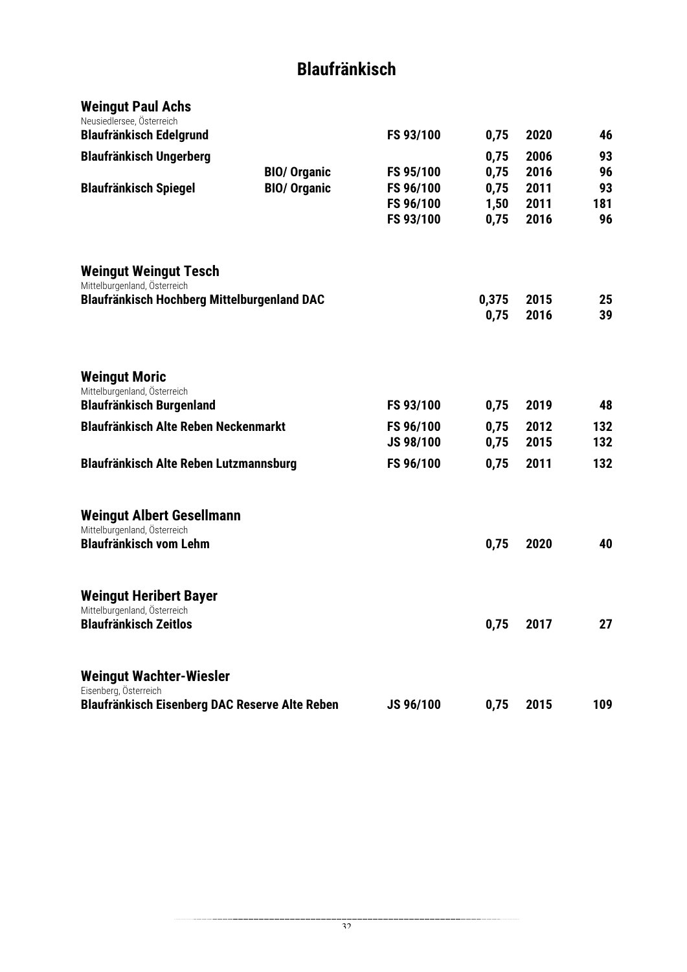### **Blaufränkisch**

| <b>Weingut Paul Achs</b><br>Neusiedlersee, Österreich         |                     |                  |       |      |     |
|---------------------------------------------------------------|---------------------|------------------|-------|------|-----|
| <b>Blaufränkisch Edelgrund</b>                                |                     | FS 93/100        | 0,75  | 2020 | 46  |
| <b>Blaufränkisch Ungerberg</b>                                |                     |                  | 0,75  | 2006 | 93  |
|                                                               | <b>BIO/ Organic</b> | <b>FS 95/100</b> | 0,75  | 2016 | 96  |
| <b>Blaufränkisch Spiegel</b>                                  | <b>BIO/ Organic</b> | FS 96/100        | 0,75  | 2011 | 93  |
|                                                               |                     | FS 96/100        | 1,50  | 2011 | 181 |
|                                                               |                     | FS 93/100        | 0,75  | 2016 | 96  |
| <b>Weingut Weingut Tesch</b><br>Mittelburgenland, Österreich  |                     |                  |       |      |     |
| <b>Blaufränkisch Hochberg Mittelburgenland DAC</b>            |                     |                  | 0,375 | 2015 | 25  |
|                                                               |                     |                  | 0,75  | 2016 | 39  |
| <b>Weingut Moric</b><br>Mittelburgenland, Österreich          |                     |                  |       |      |     |
| <b>Blaufränkisch Burgenland</b>                               |                     | FS 93/100        | 0,75  | 2019 | 48  |
| <b>Blaufränkisch Alte Reben Neckenmarkt</b>                   |                     | FS 96/100        | 0,75  | 2012 | 132 |
|                                                               |                     | <b>JS 98/100</b> | 0,75  | 2015 | 132 |
| Blaufränkisch Alte Reben Lutzmannsburg                        |                     | FS 96/100        | 0,75  | 2011 | 132 |
| Weingut Albert Gesellmann                                     |                     |                  |       |      |     |
| Mittelburgenland, Österreich<br><b>Blaufränkisch vom Lehm</b> |                     |                  | 0,75  | 2020 | 40  |
| <b>Weingut Heribert Bayer</b>                                 |                     |                  |       |      |     |
| Mittelburgenland, Österreich<br><b>Blaufränkisch Zeitlos</b>  |                     |                  | 0,75  | 2017 | 27  |
| Weingut Wachter-Wiesler<br>Eisenberg, Österreich              |                     |                  |       |      |     |
| Blaufränkisch Eisenberg DAC Reserve Alte Reben                |                     | <b>JS 96/100</b> | 0,75  | 2015 | 109 |

 $\overline{32}$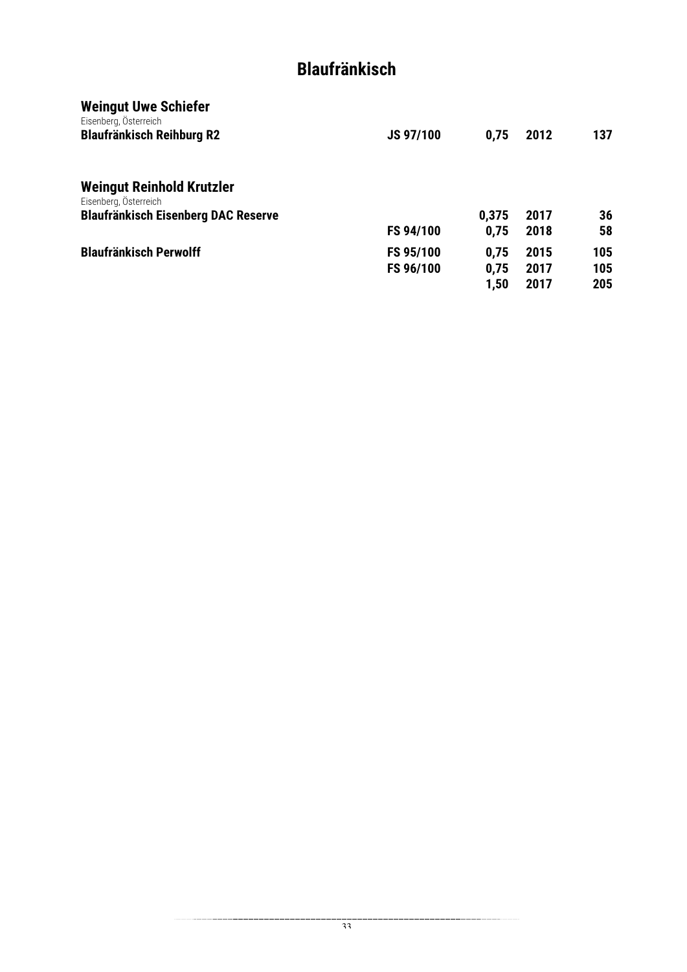### **Blaufränkisch**

### **Weingut Uwe Schiefer**

| Eisenberg, Osterreich<br><b>Blaufränkisch Reihburg R2</b>           | <b>JS 97/100</b> | 0,75  | 2012 | 137 |
|---------------------------------------------------------------------|------------------|-------|------|-----|
| <b>Weingut Reinhold Krutzler</b>                                    |                  |       |      |     |
| Eisenberg, Österreich<br><b>Blaufränkisch Eisenberg DAC Reserve</b> |                  | 0,375 | 2017 | 36  |
|                                                                     | FS 94/100        | 0,75  | 2018 | 58  |
| <b>Blaufränkisch Perwolff</b>                                       | <b>FS 95/100</b> | 0,75  | 2015 | 105 |
|                                                                     | <b>FS 96/100</b> | 0,75  | 2017 | 105 |
|                                                                     |                  | 1,50  | 2017 | 205 |

 $\overline{33}$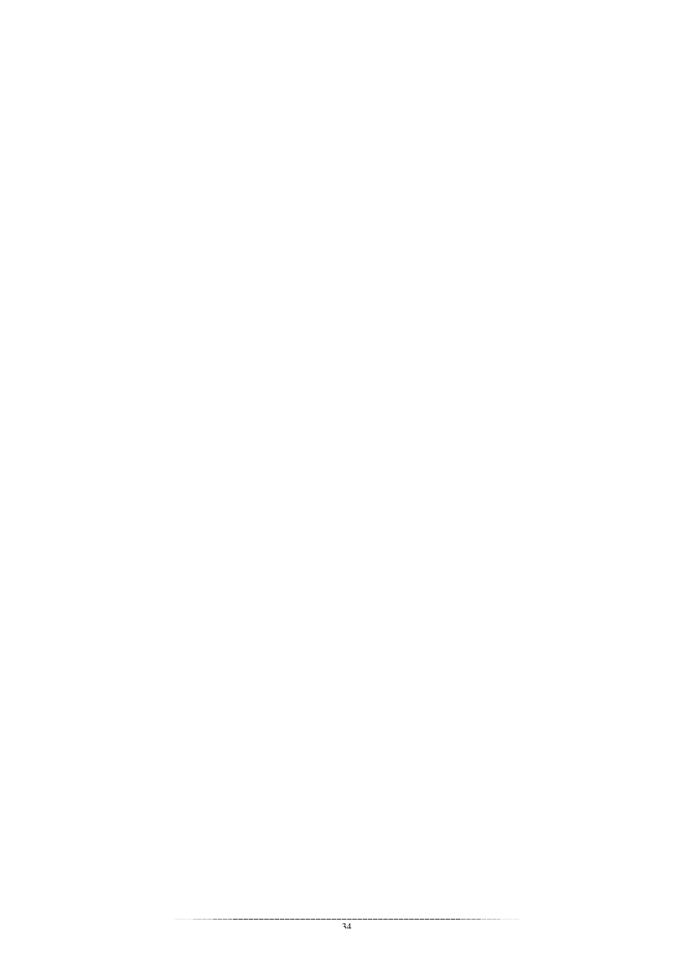$\overline{34}$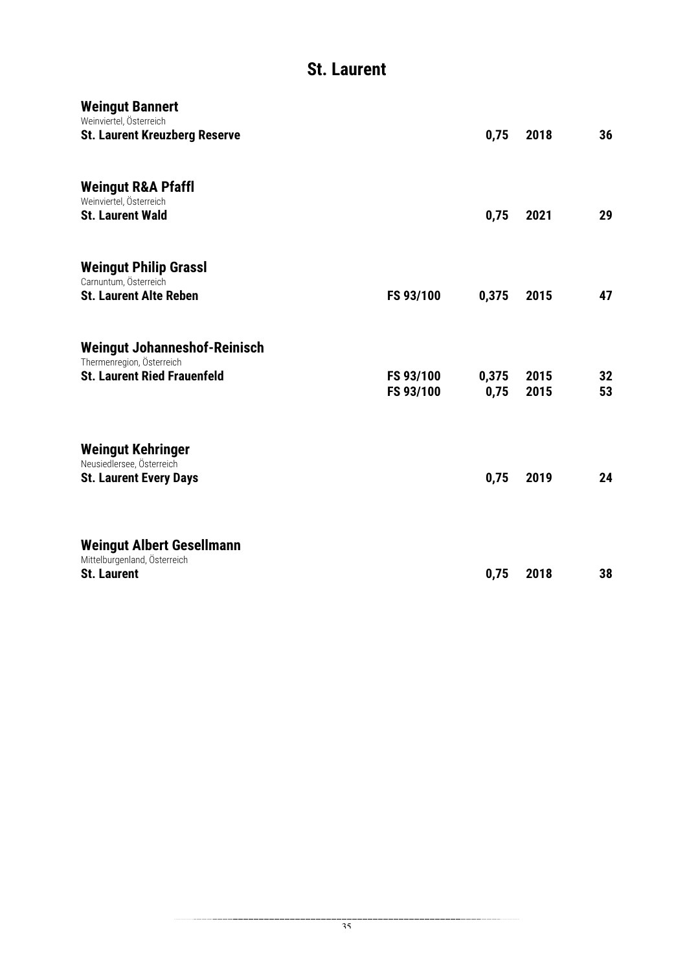### **St. Laurent**

| <b>Weingut Bannert</b><br>Weinviertel, Österreich<br><b>St. Laurent Kreuzberg Reserve</b>              |                               | 0,75          | 2018         | 36       |
|--------------------------------------------------------------------------------------------------------|-------------------------------|---------------|--------------|----------|
| <b>Weingut R&amp;A Pfaffl</b><br>Weinviertel, Österreich<br><b>St. Laurent Wald</b>                    |                               | 0,75          | 2021         | 29       |
| <b>Weingut Philip Grassl</b><br>Carnuntum, Österreich<br><b>St. Laurent Alte Reben</b>                 | FS 93/100                     | 0,375         | 2015         | 47       |
| <b>Weingut Johanneshof-Reinisch</b><br>Thermenregion, Österreich<br><b>St. Laurent Ried Frauenfeld</b> | <b>FS 93/100</b><br>FS 93/100 | 0,375<br>0,75 | 2015<br>2015 | 32<br>53 |
| <b>Weingut Kehringer</b><br>Neusiedlersee, Österreich<br><b>St. Laurent Every Days</b>                 |                               | 0,75          | 2019         | 24       |
| <b>Weingut Albert Gesellmann</b><br>Mittelburgenland, Österreich<br><b>St. Laurent</b>                 |                               | 0,75          | 2018         | 38       |

 $\overline{\overline{\overline{35}}}$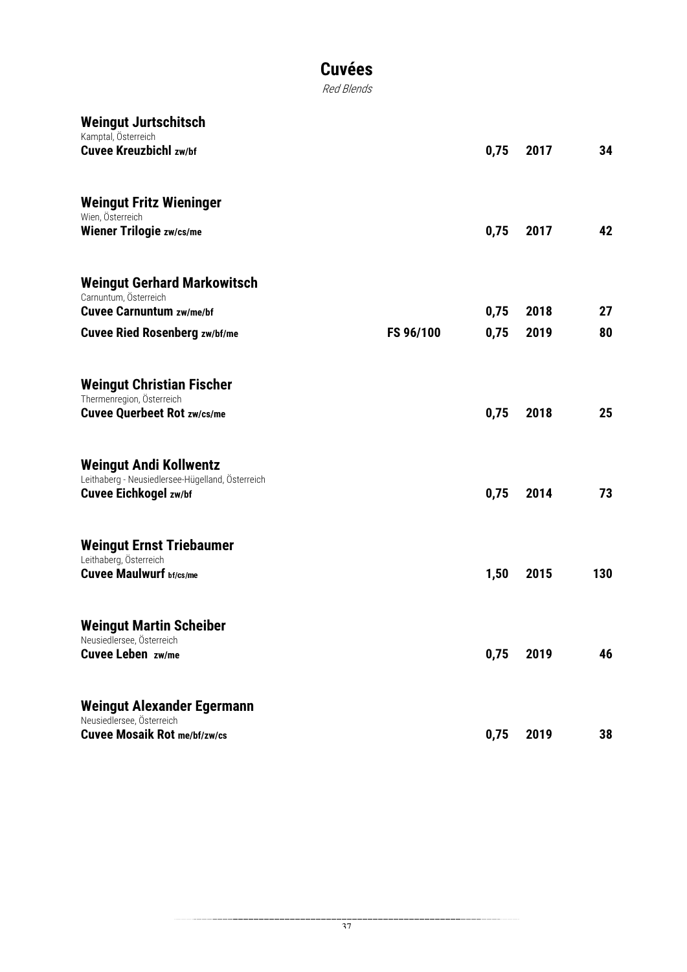### **Cuvées**

Red Blends

| <b>Weingut Jurtschitsch</b><br>Kamptal, Österreich<br><b>Cuvee Kreuzbichl zw/bf</b>                               |           | 0,75 | 2017 | 34         |
|-------------------------------------------------------------------------------------------------------------------|-----------|------|------|------------|
| <b>Weingut Fritz Wieninger</b><br>Wien, Österreich<br><b>Wiener Trilogie zw/cs/me</b>                             |           | 0,75 | 2017 | 42         |
| <b>Weingut Gerhard Markowitsch</b><br>Carnuntum, Österreich                                                       |           |      |      |            |
| <b>Cuvee Carnuntum zw/me/bf</b>                                                                                   |           | 0,75 | 2018 | 27         |
| <b>Cuvee Ried Rosenberg zw/bf/me</b>                                                                              | FS 96/100 | 0,75 | 2019 | 80         |
| <b>Weingut Christian Fischer</b><br>Thermenregion, Österreich<br><b>Cuvee Querbeet Rot zw/cs/me</b>               |           | 0,75 | 2018 | 25         |
| <b>Weingut Andi Kollwentz</b><br>Leithaberg - Neusiedlersee-Hügelland, Österreich<br><b>Cuvee Eichkogel zw/bf</b> |           | 0,75 | 2014 | 73         |
| <b>Weingut Ernst Triebaumer</b><br>Leithaberg, Österreich<br><b>Cuvee Maulwurf bf/cs/me</b>                       |           | 1,50 | 2015 | <b>130</b> |
| <b>Weingut Martin Scheiber</b><br>Neusiedlersee, Österreich<br><b>Cuvee Leben zw/me</b>                           |           | 0,75 | 2019 | 46         |
| Weingut Alexander Egermann<br>Neusiedlersee. Österreich                                                           |           |      |      |            |

**Cuvee Mosaik Rot me/bf/zw/cs** 

0,75 2019 38

 $\frac{1}{37}$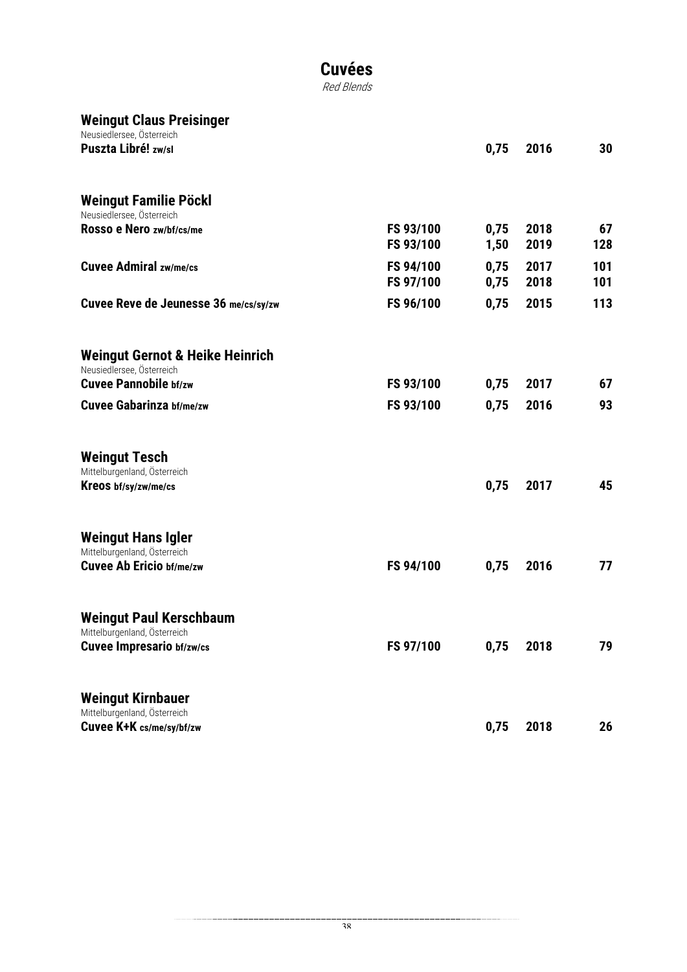## **Cuvées**

Red Blends

| <b>Weingut Claus Preisinger</b>                           |                               |              |              |            |
|-----------------------------------------------------------|-------------------------------|--------------|--------------|------------|
| Neusiedlersee, Österreich<br>Puszta Libré! zw/sl          |                               | 0,75         | 2016         | 30         |
| Weingut Familie Pöckl                                     |                               |              |              |            |
| Neusiedlersee, Österreich                                 |                               |              |              |            |
| Rosso e Nero zw/bf/cs/me                                  | FS 93/100<br><b>FS 93/100</b> | 0,75<br>1,50 | 2018<br>2019 | 67<br>128  |
| <b>Cuvee Admiral zw/me/cs</b>                             | FS 94/100<br><b>FS 97/100</b> | 0,75<br>0,75 | 2017<br>2018 | 101<br>101 |
| Cuvee Reve de Jeunesse 36 me/cs/sy/zw                     | FS 96/100                     | 0,75         | 2015         | 113        |
| Weingut Gernot & Heike Heinrich                           |                               |              |              |            |
| Neusiedlersee, Österreich<br><b>Cuvee Pannobile bf/zw</b> |                               |              |              |            |
|                                                           | FS 93/100                     | 0,75         | 2017         | 67         |
| <b>Cuvee Gabarinza bf/me/zw</b>                           | FS 93/100                     | 0,75         | 2016         | 93         |
| <b>Weingut Tesch</b>                                      |                               |              |              |            |
| Mittelburgenland, Österreich                              |                               |              |              |            |
| <b>Kreos bf/sy/zw/me/cs</b>                               |                               | 0,75         | 2017         | 45         |
| <b>Weingut Hans Igler</b>                                 |                               |              |              |            |
| Mittelburgenland, Österreich                              |                               |              |              |            |
| <b>Cuvee Ab Ericio bf/me/zw</b>                           | FS 94/100                     | 0,75         | 2016         | 77         |
| <b>Weingut Paul Kerschbaum</b>                            |                               |              |              |            |
| Mittelburgenland, Österreich                              |                               |              |              |            |
| <b>Cuvee Impresario bf/zw/cs</b>                          | FS 97/100                     | 0,75         | 2018         | 79         |
| <b>Weingut Kirnbauer</b>                                  |                               |              |              |            |
| Mittelburgenland, Österreich                              |                               |              |              |            |
| Cuvee K+K cs/me/sy/bf/zw                                  |                               | 0,75         | 2018         | 26         |

 $\overline{38}$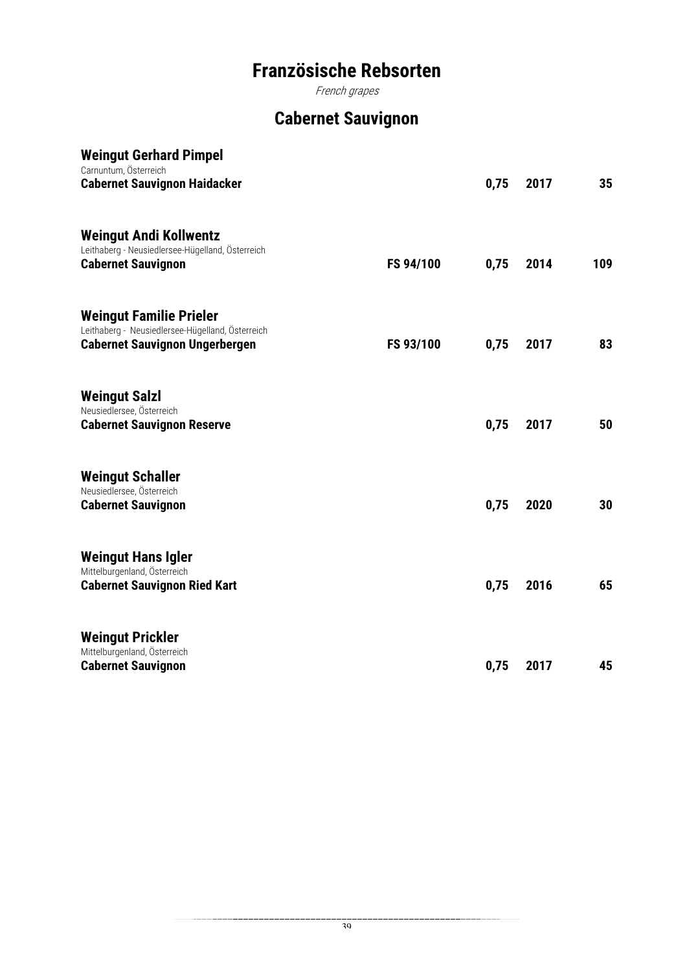### Französische Rebsorten

French grapes

### **Cabernet Sauvignon**

| <b>Weingut Gerhard Pimpel</b><br>Carnuntum, Österreich<br><b>Cabernet Sauvignon Haidacker</b>                               |           | 0,75 | 2017 | 35 <sub>1</sub> |
|-----------------------------------------------------------------------------------------------------------------------------|-----------|------|------|-----------------|
| <b>Weingut Andi Kollwentz</b><br>Leithaberg - Neusiedlersee-Hügelland, Österreich<br><b>Cabernet Sauvignon</b>              | FS 94/100 | 0,75 | 2014 | 109             |
| <b>Weingut Familie Prieler</b><br>Leithaberg - Neusiedlersee-Hügelland, Österreich<br><b>Cabernet Sauvignon Ungerbergen</b> | FS 93/100 | 0,75 | 2017 | 83              |
| <b>Weingut Salzl</b><br>Neusiedlersee, Österreich<br><b>Cabernet Sauvignon Reserve</b>                                      |           | 0,75 | 2017 | 50              |
| <b>Weingut Schaller</b><br>Neusiedlersee, Österreich<br><b>Cabernet Sauvignon</b>                                           |           | 0,75 | 2020 | 30              |
| <b>Weingut Hans Igler</b><br>Mittelburgenland, Österreich<br><b>Cabernet Sauvignon Ried Kart</b>                            |           | 0,75 | 2016 | 65              |
| <b>Weingut Prickler</b><br>Mittelburgenland, Österreich<br><b>Cabernet Sauvignon</b>                                        |           | 0,75 | 2017 | 45              |

 $\overline{30}$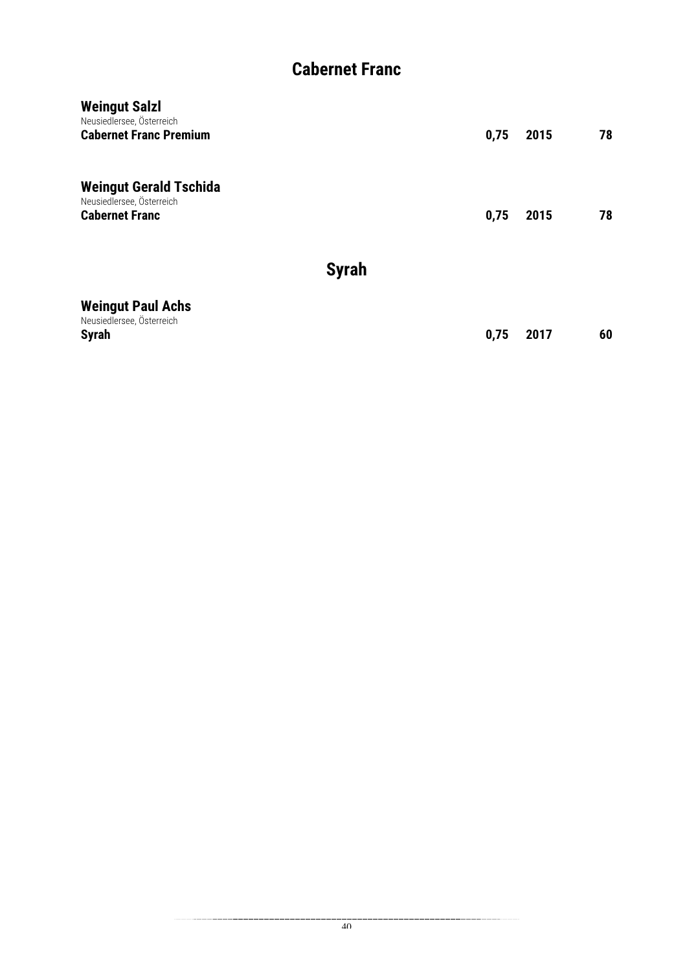### **Cabernet Franc**

| <b>Weingut Salzl</b><br>Neusiedlersee, Österreich<br><b>Cabernet Franc Premium</b>  | 0,75 | 2015 | 78 |
|-------------------------------------------------------------------------------------|------|------|----|
| <b>Weingut Gerald Tschida</b><br>Neusiedlersee, Österreich<br><b>Cabernet Franc</b> | 0,75 | 2015 | 78 |
| <b>Syrah</b>                                                                        |      |      |    |
| <b>Weingut Paul Achs</b><br>Neusiedlersee, Österreich<br><b>Syrah</b>               | 0,75 | 2017 | 60 |

 $\sqrt{40}$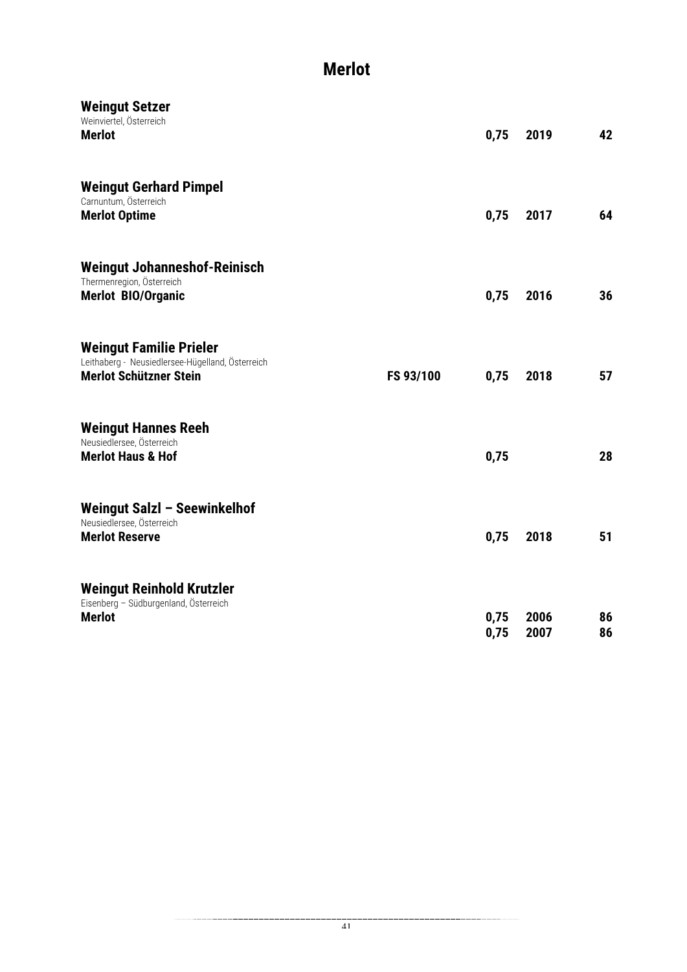### **Merlot**

| <b>Weingut Setzer</b><br>Weinviertel, Österreich<br><b>Merlot</b>                                                   |           | 0,75         | 2019         | 42       |
|---------------------------------------------------------------------------------------------------------------------|-----------|--------------|--------------|----------|
| <b>Weingut Gerhard Pimpel</b><br>Carnuntum, Österreich<br><b>Merlot Optime</b>                                      |           | 0,75         | 2017         | 64       |
| Weingut Johanneshof-Reinisch<br>Thermenregion, Österreich<br><b>Merlot BIO/Organic</b>                              |           | 0,75         | 2016         | 36       |
| <b>Weingut Familie Prieler</b><br>Leithaberg - Neusiedlersee-Hügelland, Österreich<br><b>Merlot Schützner Stein</b> | FS 93/100 | 0,75         | 2018         | 57       |
| <b>Weingut Hannes Reeh</b><br>Neusiedlersee, Österreich<br><b>Merlot Haus &amp; Hof</b>                             |           | 0,75         |              | 28       |
| Weingut Salzl - Seewinkelhof<br>Neusiedlersee, Österreich<br><b>Merlot Reserve</b>                                  |           | 0,75         | 2018         | 51       |
| <b>Weingut Reinhold Krutzler</b><br>Eisenberg - Südburgenland, Österreich<br><b>Merlot</b>                          |           | 0,75<br>0,75 | 2006<br>2007 | 86<br>86 |

 $\overline{41}$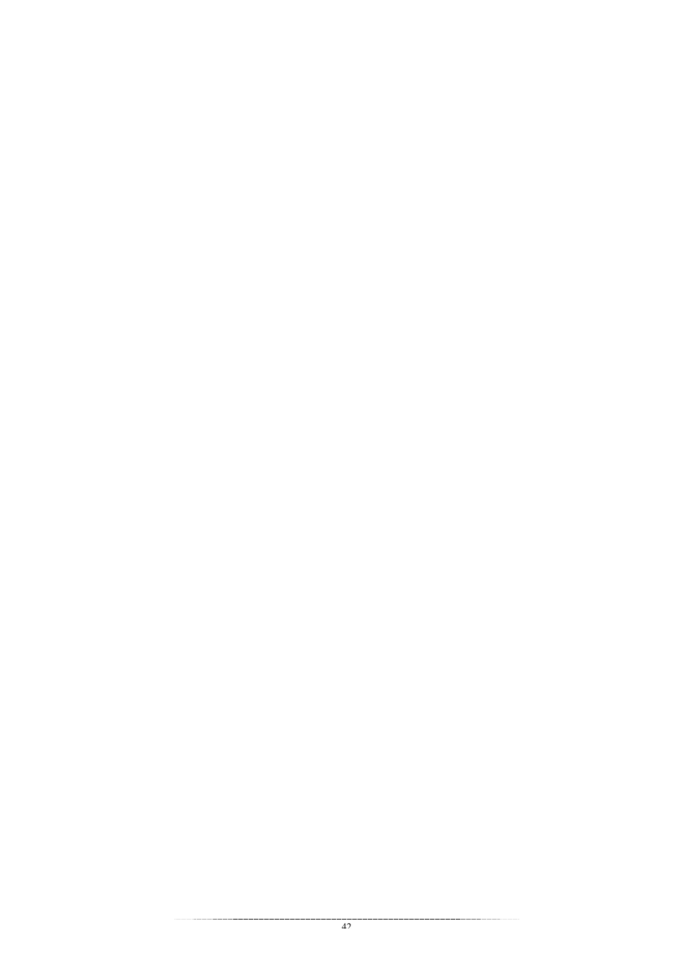$\overline{42}$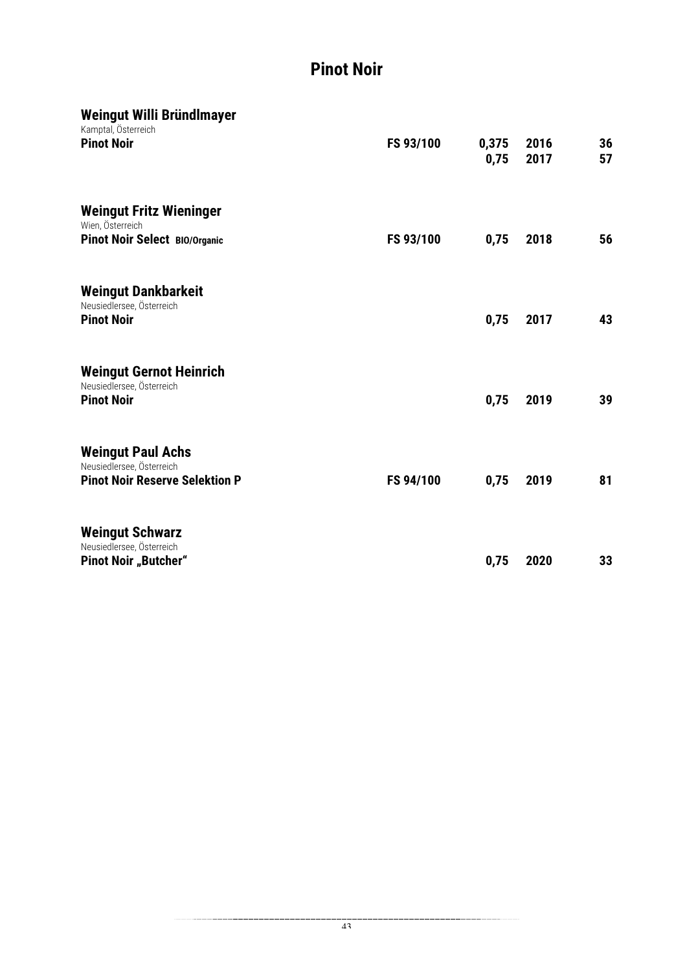### **Pinot Noir**

### Weingut Willi Bründlmayer

| Kamptal, Österreich<br><b>Pinot Noir</b>                                                       | FS 93/100 | 0,375<br>0,75 | 2016<br>2017 | 36<br>57 |
|------------------------------------------------------------------------------------------------|-----------|---------------|--------------|----------|
| <b>Weingut Fritz Wieninger</b><br>Wien, Österreich<br>Pinot Noir Select BIO/Organic            | FS 93/100 | 0,75          | 2018         | 56       |
| <b>Weingut Dankbarkeit</b><br>Neusiedlersee, Österreich<br><b>Pinot Noir</b>                   |           | 0,75          | 2017         | 43       |
| <b>Weingut Gernot Heinrich</b><br>Neusiedlersee, Österreich<br><b>Pinot Noir</b>               |           | 0,75          | 2019         | 39       |
| <b>Weingut Paul Achs</b><br>Neusiedlersee, Österreich<br><b>Pinot Noir Reserve Selektion P</b> | FS 94/100 | 0,75          | 2019         | 81       |
| <b>Weingut Schwarz</b><br>Neusiedlersee, Österreich<br><b>Pinot Noir "Butcher"</b>             |           | 0,75          | 2020         | 33       |

 $\overline{43}$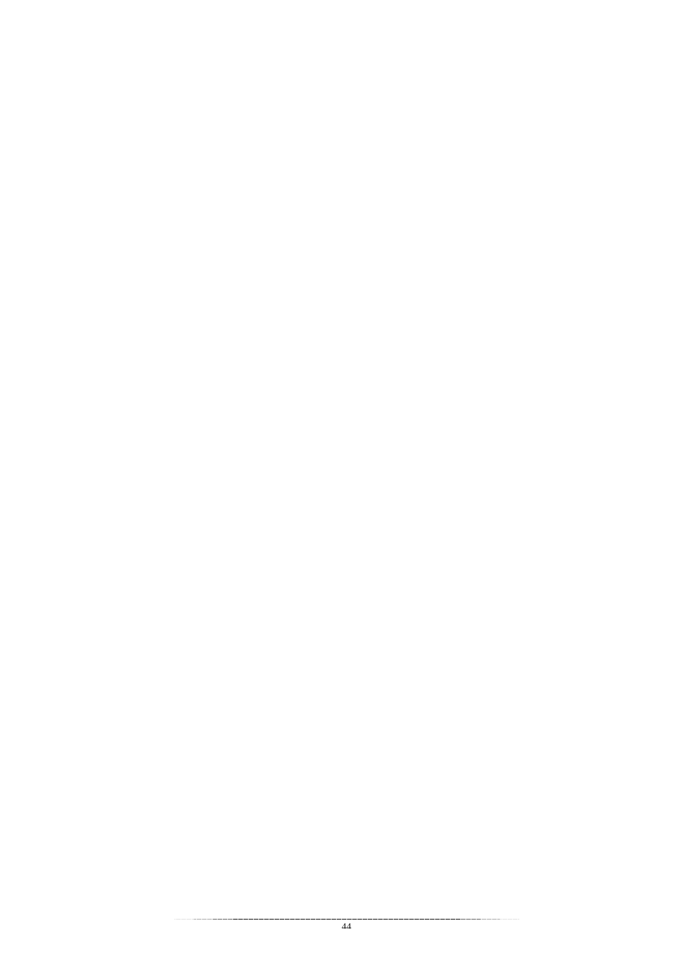$\overline{44}$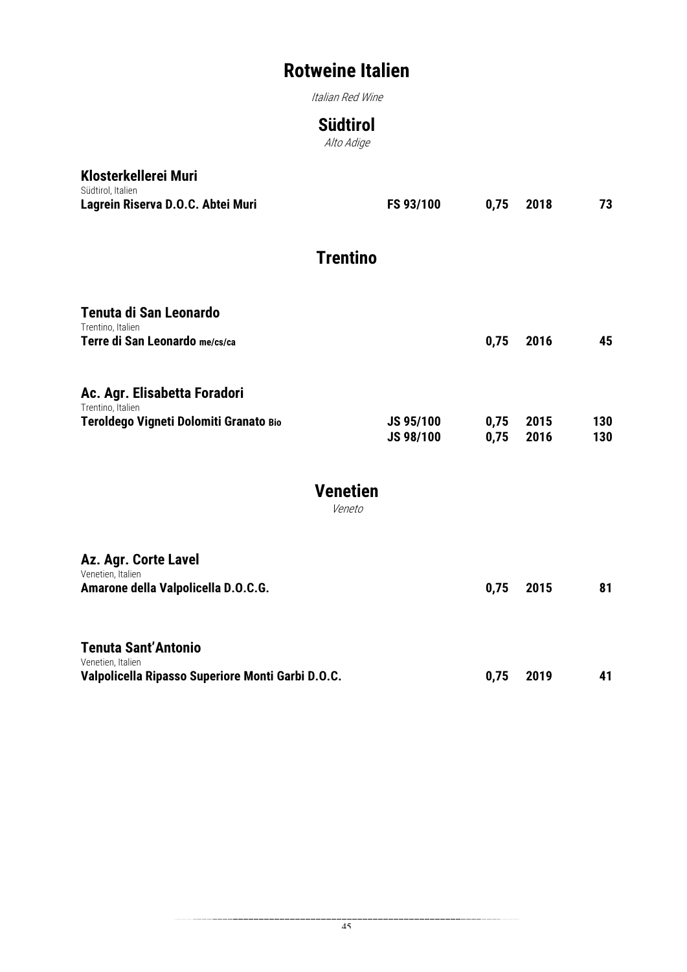### **Rotweine Italien**

Italian Red Wine

**Südtirol** 

Alto Adige

| <b>Klosterkellerei Muri</b><br>Südtirol, Italien            |                                      |              |              |                   |
|-------------------------------------------------------------|--------------------------------------|--------------|--------------|-------------------|
| Lagrein Riserva D.O.C. Abtei Muri                           | FS 93/100                            | 0,75         | 2018         | 73                |
|                                                             | <b>Trentino</b>                      |              |              |                   |
| <b>Tenuta di San Leonardo</b><br>Trentino, Italien          |                                      |              |              |                   |
| Terre di San Leonardo me/cs/ca                              |                                      | 0,75         | 2016         | 45                |
| Ac. Agr. Elisabetta Foradori                                |                                      |              |              |                   |
| Trentino, Italien<br>Teroldego Vigneti Dolomiti Granato Bio | <b>JS 95/100</b><br><b>JS 98/100</b> | 0,75<br>0,75 | 2015<br>2016 | <b>130</b><br>130 |
|                                                             | <b>Venetien</b><br>Veneto            |              |              |                   |
| Az. Agr. Corte Lavel                                        |                                      |              |              |                   |
| Venetien, Italien<br>Amarone della Valpolicella D.O.C.G.    |                                      | 0,75         | 2015         | 81                |
| <b>Tenuta Sant'Antonio</b><br>Venetien, Italien             |                                      |              |              |                   |
| Valpolicella Ripasso Superiore Monti Garbi D.O.C.           |                                      | 0,75         | 2019         | 41                |

 $\overline{45}$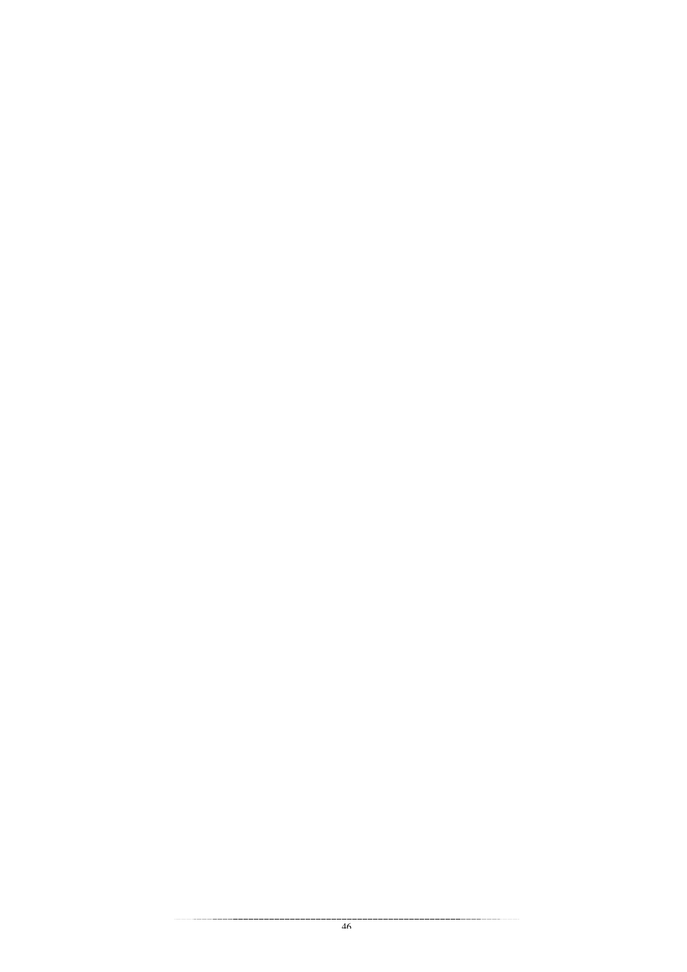$\overline{46}$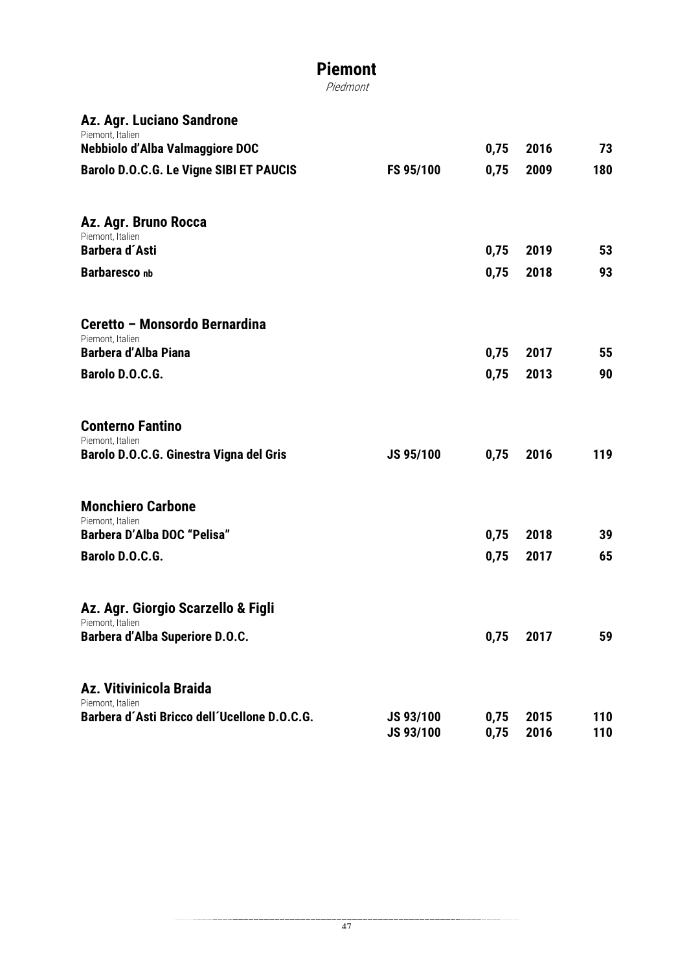### **Piemont**

Piedmont

| <b>Az. Agr. Luciano Sandrone</b>                                 |                  |      |      |     |
|------------------------------------------------------------------|------------------|------|------|-----|
| Piemont, Italien<br>Nebbiolo d'Alba Valmaggiore DOC              |                  | 0,75 | 2016 | 73  |
| <b>Barolo D.O.C.G. Le Vigne SIBI ET PAUCIS</b>                   | FS 95/100        | 0,75 | 2009 | 180 |
| Az. Agr. Bruno Rocca                                             |                  |      |      |     |
| Piemont, Italien<br><b>Barbera d'Asti</b>                        |                  | 0,75 | 2019 | 53  |
| <b>Barbaresco</b> nb                                             |                  | 0,75 | 2018 | 93  |
|                                                                  |                  |      |      |     |
| Ceretto - Monsordo Bernardina<br>Piemont, Italien                |                  |      |      |     |
| <b>Barbera d'Alba Piana</b>                                      |                  | 0,75 | 2017 | 55  |
| <b>Barolo D.O.C.G.</b>                                           |                  | 0,75 | 2013 | 90  |
|                                                                  |                  |      |      |     |
| <b>Conterno Fantino</b><br>Piemont, Italien                      |                  |      |      |     |
| Barolo D.O.C.G. Ginestra Vigna del Gris                          | <b>JS 95/100</b> | 0,75 | 2016 | 119 |
| <b>Monchiero Carbone</b>                                         |                  |      |      |     |
| Piemont, Italien                                                 |                  |      |      |     |
| <b>Barbera D'Alba DOC "Pelisa"</b>                               |                  | 0,75 | 2018 | 39  |
| <b>Barolo D.O.C.G.</b>                                           |                  | 0,75 | 2017 | 65  |
| Az. Agr. Giorgio Scarzello & Figli                               |                  |      |      |     |
| Piemont, Italien                                                 |                  |      |      |     |
| <b>Barbera d'Alba Superiore D.O.C.</b>                           |                  | 0,75 | 2017 | 59  |
| Az. Vitivinicola Braida                                          |                  |      |      |     |
| Piemont, Italien<br>Barbera d'Asti Bricco dell'Ucellone D.O.C.G. | <b>JS 93/100</b> | 0,75 | 2015 | 110 |
|                                                                  | <b>JS 93/100</b> | 0,75 | 2016 | 110 |

 $\overline{47}$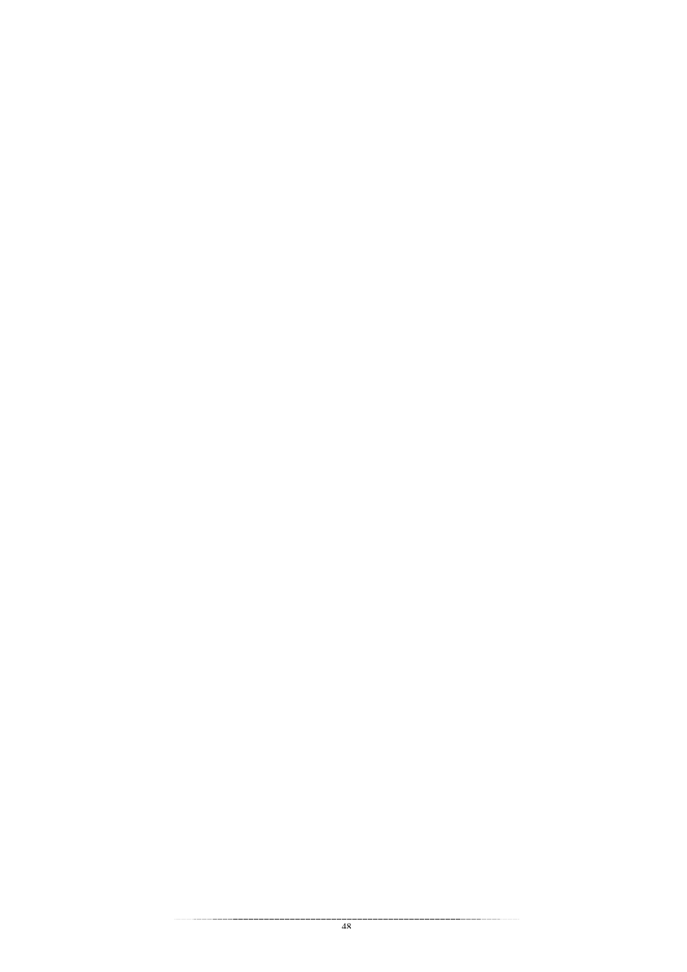$\overline{48}$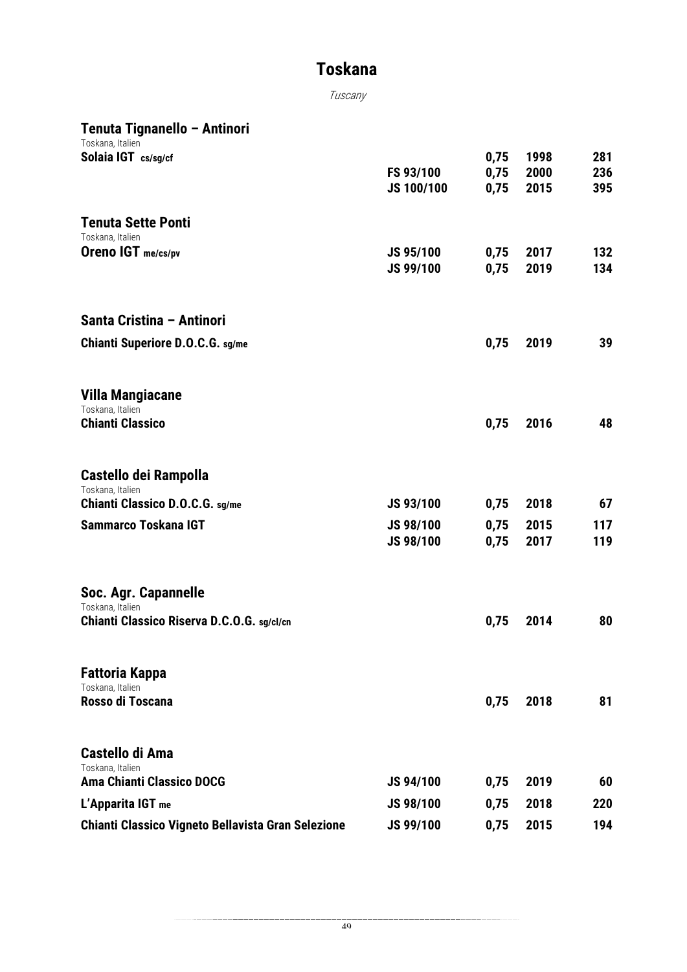### **Toskana**

Tuscany

| Tenuta Tignanello - Antinori               |                   |      |      |     |
|--------------------------------------------|-------------------|------|------|-----|
| Toskana, Italien<br>Solaia IGT cs/sg/cf    |                   | 0,75 | 1998 | 281 |
|                                            | <b>FS 93/100</b>  | 0,75 | 2000 | 236 |
|                                            | <b>JS 100/100</b> | 0,75 | 2015 | 395 |
| <b>Tenuta Sette Ponti</b>                  |                   |      |      |     |
| Toskana, Italien                           |                   |      |      |     |
| <b>Oreno IGT</b> me/cs/pv                  | <b>JS 95/100</b>  | 0,75 | 2017 | 132 |
|                                            | <b>JS 99/100</b>  | 0,75 | 2019 | 134 |
| Santa Cristina - Antinori                  |                   |      |      |     |
|                                            |                   |      |      |     |
| <b>Chianti Superiore D.O.C.G. sg/me</b>    |                   | 0,75 | 2019 | 39  |
| <b>Villa Mangiacane</b>                    |                   |      |      |     |
| Toskana, Italien                           |                   |      |      |     |
| <b>Chianti Classico</b>                    |                   | 0,75 | 2016 | 48  |
| Castello dei Rampolla                      |                   |      |      |     |
| Toskana, Italien                           |                   |      |      |     |
| Chianti Classico D.O.C.G. sg/me            | <b>JS 93/100</b>  | 0,75 | 2018 | 67  |
| <b>Sammarco Toskana IGT</b>                | <b>JS 98/100</b>  | 0,75 | 2015 | 117 |
|                                            | <b>JS 98/100</b>  | 0,75 | 2017 | 119 |
| <b>Soc. Agr. Capannelle</b>                |                   |      |      |     |
| Toskana, Italien                           |                   |      |      |     |
| Chianti Classico Riserva D.C.O.G. sg/cl/cn |                   | 0,75 | 2014 | 80  |
| Fattoria Kappa                             |                   |      |      |     |
| Toskana, Italien                           |                   |      |      |     |

Rosso di Toscana

 $0,75$ 2018 81

### **Castello di Ama**

| Toskana, Italien                                          |                  |      |      |     |
|-----------------------------------------------------------|------------------|------|------|-----|
| <b>Ama Chianti Classico DOCG</b>                          | <b>JS 94/100</b> | 0.75 | 2019 | 60  |
| L'Apparita IGT me                                         | <b>JS 98/100</b> | 0.75 | 2018 | 220 |
| <b>Chianti Classico Vigneto Bellavista Gran Selezione</b> | <b>JS 99/100</b> | 0.75 | 2015 | 194 |

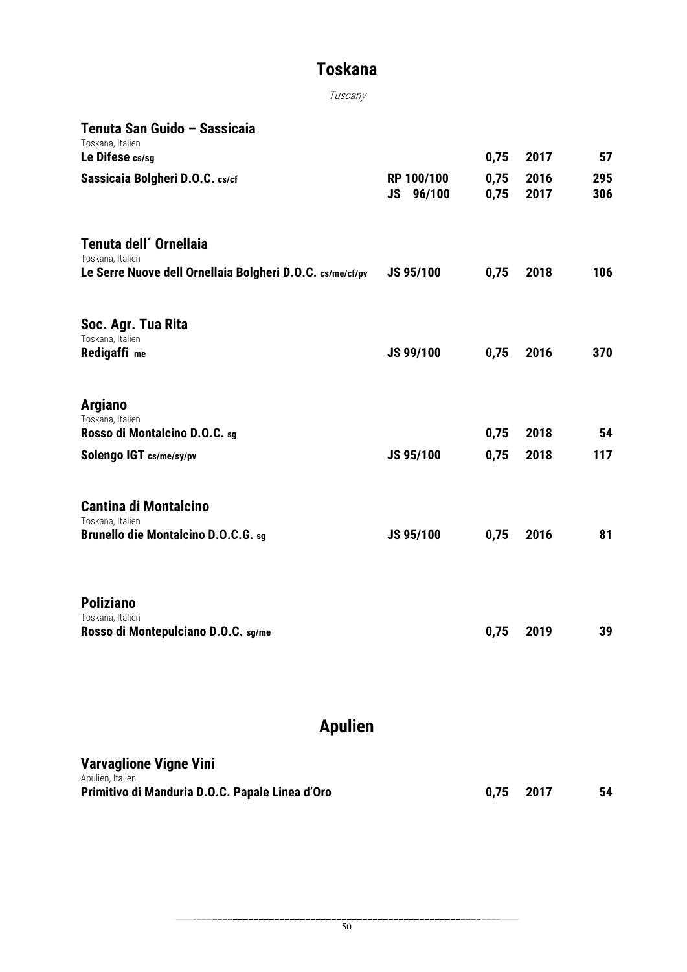### **Toskana**

Tuscany

| Tenuta San Guido - Sassicaia<br>Toskana, Italien               |                                   |              |              |            |
|----------------------------------------------------------------|-----------------------------------|--------------|--------------|------------|
| Le Difese cs/sg                                                |                                   | 0,75         | 2017         | 57         |
| Sassicaia Bolgheri D.O.C. cs/cf                                | RP 100/100<br>96/100<br><b>JS</b> | 0,75<br>0,75 | 2016<br>2017 | 295<br>306 |
| Tenuta dell' Ornellaia<br>Toskana, Italien                     |                                   |              |              |            |
| Le Serre Nuove dell Ornellaia Bolgheri D.O.C. cs/me/cf/pv      | <b>JS 95/100</b>                  | 0,75         | 2018         | 106        |
| Soc. Agr. Tua Rita<br>Toskana, Italien                         |                                   |              |              |            |
| <b>Redigaffi</b> me                                            | <b>JS 99/100</b>                  | 0,75         | 2016         | 370        |
| <b>Argiano</b>                                                 |                                   |              |              |            |
| Toskana, Italien<br>Rosso di Montalcino D.O.C. sg              |                                   | 0,75         | 2018         | 54         |
| Solengo IGT cs/me/sy/pv                                        | <b>JS 95/100</b>                  | 0,75         | 2018         | 117        |
| <b>Cantina di Montalcino</b>                                   |                                   |              |              |            |
| Toskana, Italien<br><b>Brunello die Montalcino D.O.C.G. sg</b> | <b>JS 95/100</b>                  | 0,75         | 2016         | 81         |
| <b>Poliziano</b>                                               |                                   |              |              |            |
| Toskana, Italien                                               |                                   |              |              |            |
| Rosso di Montepulciano D.O.C. sg/me                            |                                   | 0,75         | 2019         | 39         |

### **Apulien**

## Varvaglione Vigne Vini<br>Apulien, Italien

## Primitivo di Manduria D.O.C. Papale Linea d'Oro

#### 0,75 2017 54

 $\overline{50}$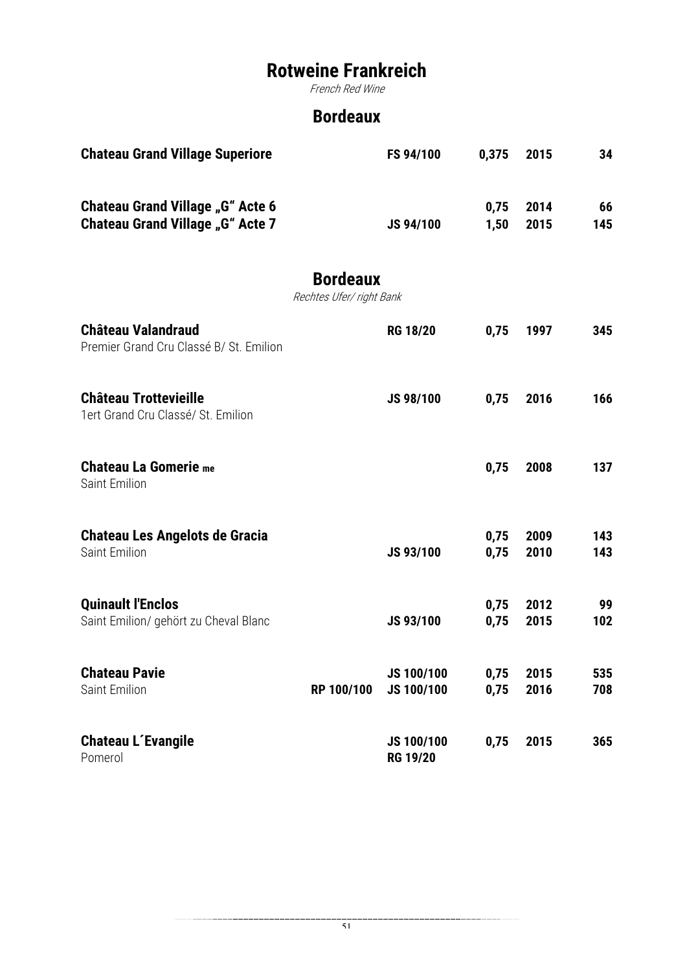### **Rotweine Frankreich**

French Red Wine

### **Bordeaux**

| <b>Chateau Grand Village Superiore</b>                                             |                                             | FS 94/100                              | 0,375        | 2015         | 34         |
|------------------------------------------------------------------------------------|---------------------------------------------|----------------------------------------|--------------|--------------|------------|
| <b>Chateau Grand Village, G" Acte 6</b><br><b>Chateau Grand Village "G" Acte 7</b> |                                             | <b>JS 94/100</b>                       | 0,75<br>1,50 | 2014<br>2015 | 66<br>145  |
|                                                                                    | <b>Bordeaux</b><br>Rechtes Ufer/ right Bank |                                        |              |              |            |
| <b>Château Valandraud</b><br>Premier Grand Cru Classé B/ St. Emilion               |                                             | <b>RG 18/20</b>                        | 0,75         | 1997         | 345        |
| <b>Château Trottevieille</b><br>1ert Grand Cru Classé/ St. Emilion                 |                                             | <b>JS 98/100</b>                       | 0,75         | 2016         | 166        |
| <b>Chateau La Gomerie</b> me<br><b>Saint Emilion</b>                               |                                             |                                        | 0,75         | 2008         | 137        |
| <b>Chateau Les Angelots de Gracia</b><br><b>Saint Emilion</b>                      |                                             | <b>JS 93/100</b>                       | 0,75<br>0,75 | 2009<br>2010 | 143<br>143 |
| <b>Quinault l'Enclos</b><br>Saint Emilion/ gehört zu Cheval Blanc                  |                                             | <b>JS 93/100</b>                       | 0,75<br>0,75 | 2012<br>2015 | 99<br>102  |
| <b>Chateau Pavie</b><br><b>Saint Emilion</b>                                       | <b>RP 100/100</b>                           | <b>JS 100/100</b><br><b>JS 100/100</b> | 0,75<br>0,75 | 2015<br>2016 | 535<br>708 |

## **Chateau L'Evangile**<br>Pomerol

#### **JS 100/100<br>RG 19/20**  $0,75$ 2015 365

 $\overline{51}$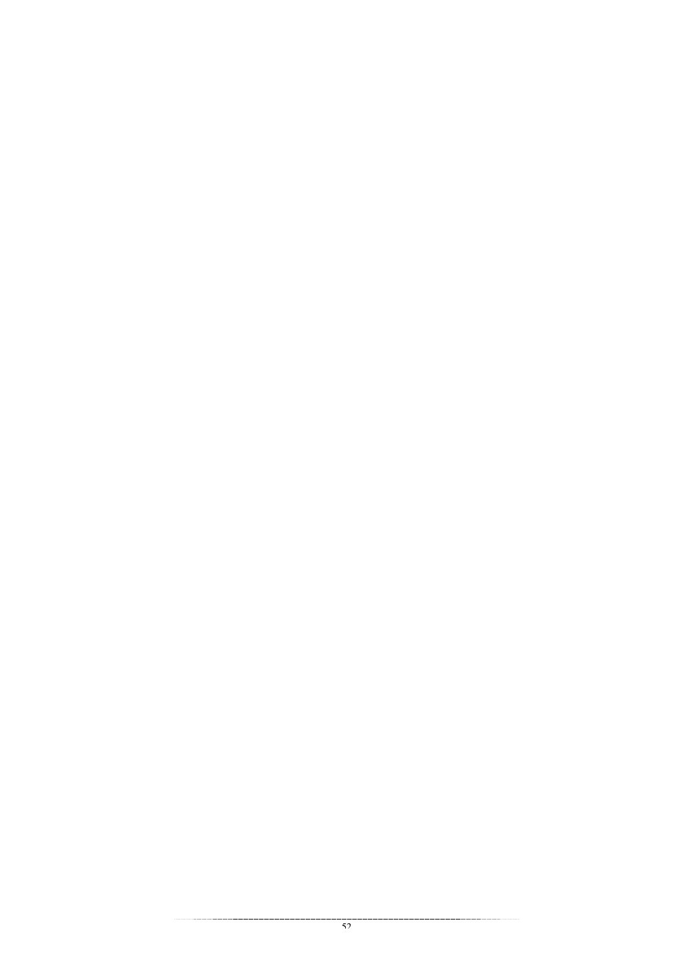$\overline{52}$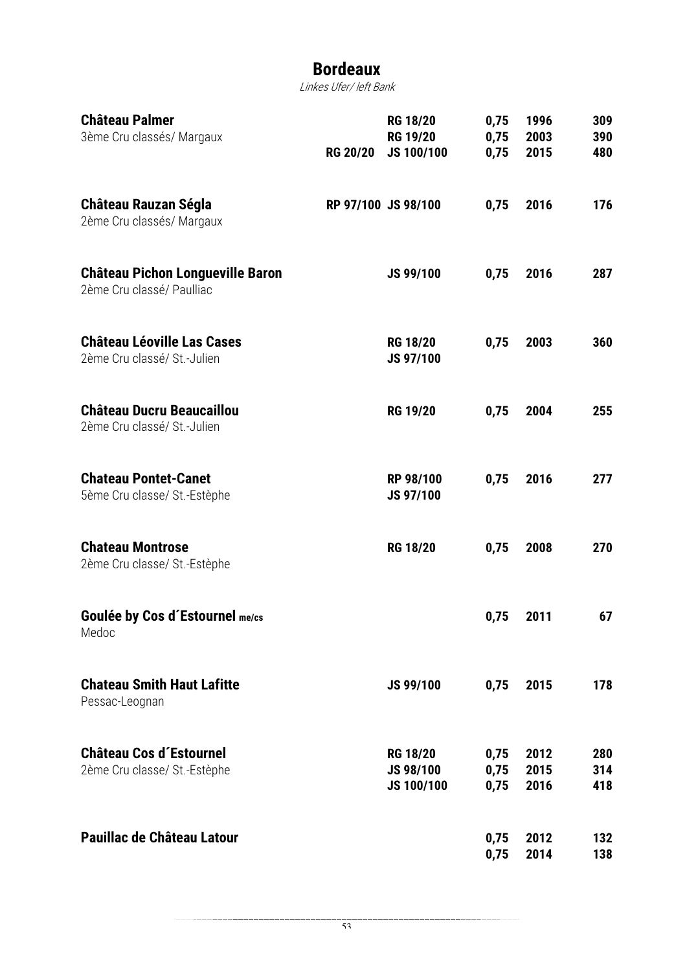### **Bordeaux**

Linkes Ufer/ left Bank

| <b>Château Palmer</b><br>3ème Cru classés/ Margaux                   | <b>RG 20/20</b> | <b>RG 18/20</b><br><b>RG 19/20</b><br><b>JS 100/100</b> | 0,75<br>0,75<br>0,75 | 1996<br>2003<br>2015 | 309<br>390<br>480 |
|----------------------------------------------------------------------|-----------------|---------------------------------------------------------|----------------------|----------------------|-------------------|
| <b>Château Rauzan Ségla</b><br>2ème Cru classés/ Margaux             |                 | RP 97/100 JS 98/100                                     | 0,75                 | 2016                 | 176               |
| <b>Château Pichon Longueville Baron</b><br>2ème Cru classé/ Paulliac |                 | <b>JS 99/100</b>                                        | 0,75                 | 2016                 | 287               |
| <b>Château Léoville Las Cases</b><br>2ème Cru classé/ St.-Julien     |                 | <b>RG 18/20</b><br><b>JS 97/100</b>                     | 0,75                 | 2003                 | 360               |
| <b>Château Ducru Beaucaillou</b><br>2ème Cru classé/ St.-Julien      |                 | <b>RG 19/20</b>                                         | 0,75                 | 2004                 | 255               |
| <b>Chateau Pontet-Canet</b><br>5ème Cru classe/ St.-Estèphe          |                 | RP 98/100<br><b>JS 97/100</b>                           | 0,75                 | 2016                 | 277               |
| <b>Chateau Montrose</b><br>2ème Cru classe/ St.-Estèphe              |                 | <b>RG 18/20</b>                                         | 0,75                 | 2008                 | <b>270</b>        |
| Goulée by Cos d'Estournel me/cs<br>Medoc                             |                 |                                                         | 0,75                 | 2011                 | 67                |
| <b>Chateau Smith Haut Lafitte</b><br>Pessac-Leognan                  |                 | <b>JS 99/100</b>                                        | 0,75                 | 2015                 | 178               |

### **Château Cos d'Estournel**

2ème Cru classe/ St.-Estèphe

| <b>RG 18/20</b>   | $0.75$ 2012 | 280 |
|-------------------|-------------|-----|
| <b>JS 98/100</b>  | $0.75$ 2015 | 314 |
| <b>JS 100/100</b> | $0.75$ 2016 | 418 |

### Pauillac de Château Latour

 $0,75$ 2012 132  $0,75$ 2014 138

 $\overline{53}$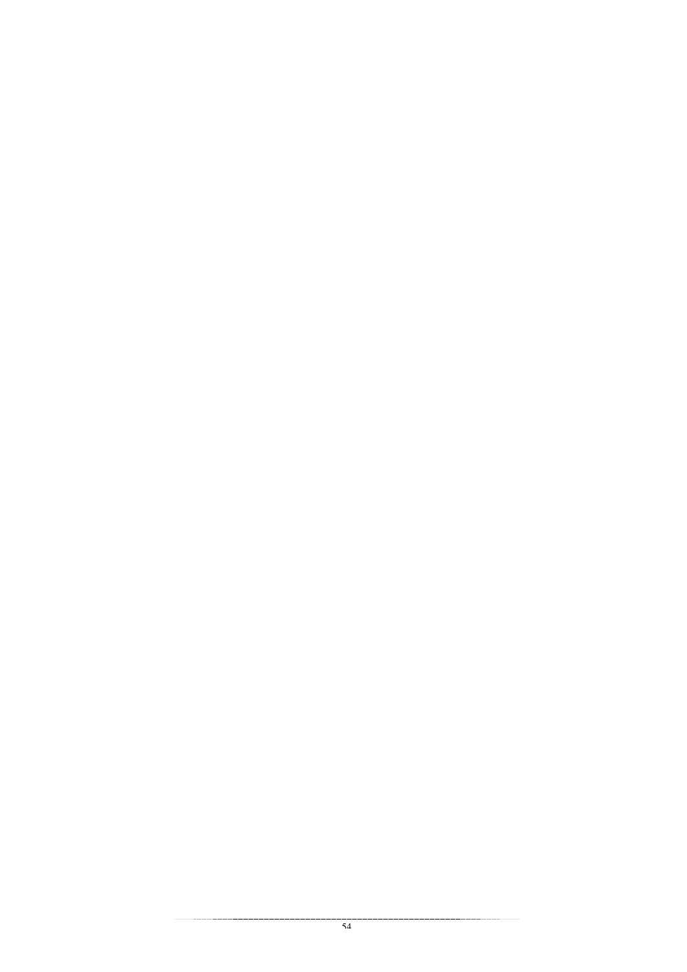$\overline{54}$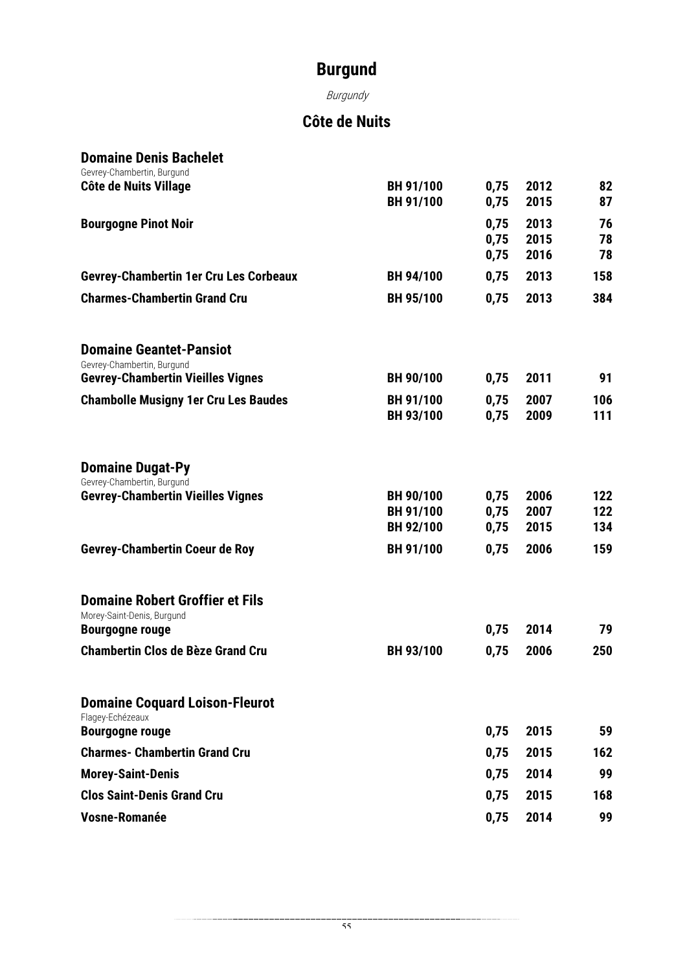### **Burgund**

### Burgundy

### **Côte de Nuits**

### **Domaine Denis Bachelet**

| Gevrey-Chambertin, Burgund                                             |                  |      |      |     |
|------------------------------------------------------------------------|------------------|------|------|-----|
| Côte de Nuits Village                                                  | <b>BH 91/100</b> | 0,75 | 2012 | 82  |
|                                                                        | <b>BH 91/100</b> | 0,75 | 2015 | 87  |
| <b>Bourgogne Pinot Noir</b>                                            |                  | 0,75 | 2013 | 76  |
|                                                                        |                  | 0,75 | 2015 | 78  |
|                                                                        |                  | 0,75 | 2016 | 78  |
| <b>Gevrey-Chambertin 1er Cru Les Corbeaux</b>                          | <b>BH 94/100</b> | 0,75 | 2013 | 158 |
| <b>Charmes-Chambertin Grand Cru</b>                                    | <b>BH 95/100</b> | 0,75 | 2013 | 384 |
| <b>Domaine Geantet-Pansiot</b>                                         |                  |      |      |     |
| Gevrey-Chambertin, Burgund<br><b>Gevrey-Chambertin Vieilles Vignes</b> | <b>BH 90/100</b> | 0,75 | 2011 | 91  |
| <b>Chambolle Musigny 1er Cru Les Baudes</b>                            | <b>BH 91/100</b> | 0,75 | 2007 | 106 |
|                                                                        | <b>BH 93/100</b> | 0,75 | 2009 | 111 |
| <b>Domaine Dugat-Py</b><br>Gevrey-Chambertin, Burgund                  |                  |      |      |     |
| <b>Gevrey-Chambertin Vieilles Vignes</b>                               | <b>BH 90/100</b> | 0,75 | 2006 | 122 |
|                                                                        | <b>BH 91/100</b> | 0,75 | 2007 | 122 |
|                                                                        | <b>BH 92/100</b> | 0,75 | 2015 | 134 |
| <b>Gevrey-Chambertin Coeur de Roy</b>                                  | <b>BH 91/100</b> | 0,75 | 2006 | 159 |
| <b>Domaine Robert Groffier et Fils</b><br>Morey-Saint-Denis, Burgund   |                  |      |      |     |
| <b>Bourgogne rouge</b>                                                 |                  | 0,75 | 2014 | 79  |
| <b>Chambertin Clos de Bèze Grand Cru</b>                               | <b>BH 93/100</b> | 0,75 | 2006 | 250 |
| <b>Domaine Coquard Loison-Fleurot</b>                                  |                  |      |      |     |

Hagey-Echézeaux 0.75 2015 **Bourgoane rouge** 

| <b>Bourgogne rouge</b>               |      | 0.75 2015   | 59  |
|--------------------------------------|------|-------------|-----|
| <b>Charmes- Chambertin Grand Cru</b> |      | 0.75 2015   | 162 |
| <b>Morey-Saint-Denis</b>             |      | $0.75$ 2014 | 99  |
| <b>Clos Saint-Denis Grand Cru</b>    |      | 0.75 2015   | 168 |
| <b>Vosne-Romanée</b>                 | 0.75 | 2014        | 99  |

 $\overline{\phantom{1}55}$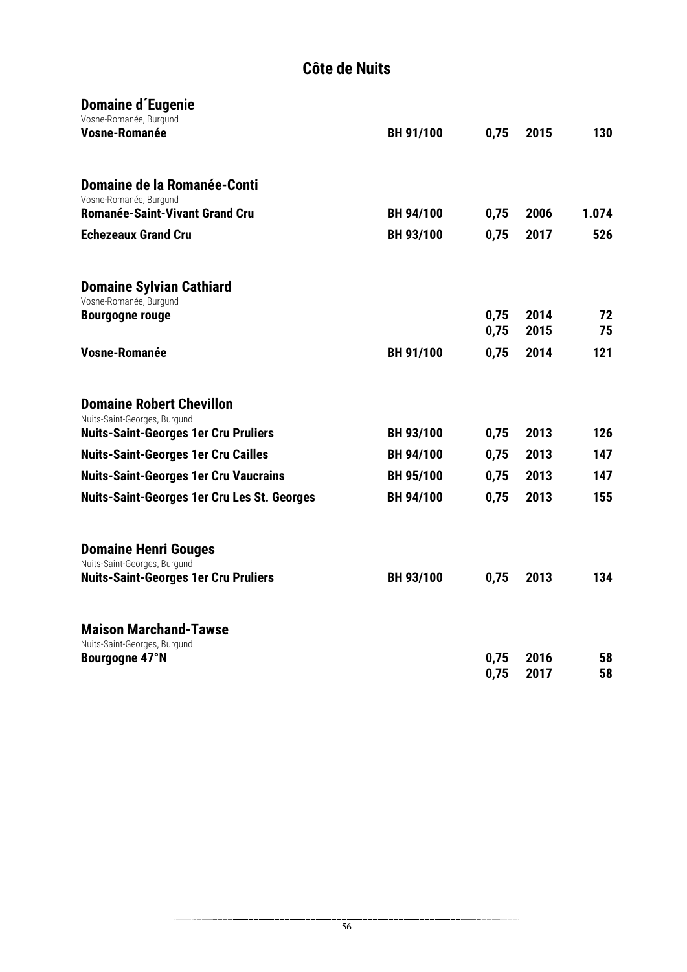### **Côte de Nuits**

| Domaine d'Eugenie                                                           |                  |      |      |       |
|-----------------------------------------------------------------------------|------------------|------|------|-------|
| Vosne-Romanée, Burgund<br><b>Vosne-Romanée</b>                              | <b>BH 91/100</b> | 0,75 | 2015 | 130   |
|                                                                             |                  |      |      |       |
| Domaine de la Romanée-Conti<br>Vosne-Romanée, Burgund                       |                  |      |      |       |
| <b>Romanée-Saint-Vivant Grand Cru</b>                                       | <b>BH 94/100</b> | 0,75 | 2006 | 1.074 |
| <b>Echezeaux Grand Cru</b>                                                  | <b>BH 93/100</b> | 0,75 | 2017 | 526   |
| <b>Domaine Sylvian Cathiard</b>                                             |                  |      |      |       |
| Vosne-Romanée, Burgund<br><b>Bourgogne rouge</b>                            |                  | 0,75 | 2014 | 72    |
|                                                                             |                  | 0,75 | 2015 | 75    |
| <b>Vosne-Romanée</b>                                                        | <b>BH 91/100</b> | 0,75 | 2014 | 121   |
| <b>Domaine Robert Chevillon</b>                                             |                  |      |      |       |
| Nuits-Saint-Georges, Burgund<br><b>Nuits-Saint-Georges 1er Cru Pruliers</b> | <b>BH 93/100</b> | 0,75 | 2013 | 126   |
| <b>Nuits-Saint-Georges 1er Cru Cailles</b>                                  | <b>BH 94/100</b> | 0,75 | 2013 | 147   |
| <b>Nuits-Saint-Georges 1er Cru Vaucrains</b>                                | <b>BH 95/100</b> | 0,75 | 2013 | 147   |
| <b>Nuits-Saint-Georges 1er Cru Les St. Georges</b>                          | <b>BH 94/100</b> | 0,75 | 2013 | 155   |
| <b>Domaine Henri Gouges</b><br>Nuits-Saint-Georges, Burgund                 |                  |      |      |       |
| <b>Nuits-Saint-Georges 1er Cru Pruliers</b>                                 | <b>BH 93/100</b> | 0,75 | 2013 | 134   |
| <b>Maison Marchand-Tawse</b>                                                |                  |      |      |       |
| Nuits-Saint-Georges, Burgund<br>Bourgogne 47°N                              |                  | 0,75 | 2016 | 58    |
|                                                                             |                  | 0,75 | 2017 | 58    |

 $\overline{\phantom{1}56}$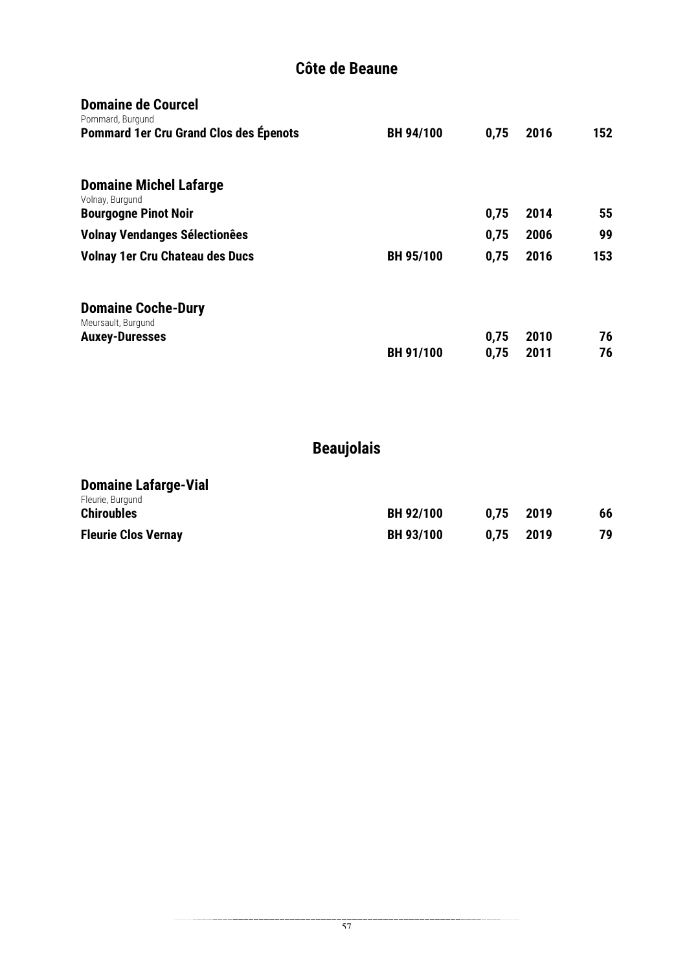### **Côte de Beaune**

| Domaine de Courcel<br>Pommard, Burgund           |                  |      |      |     |
|--------------------------------------------------|------------------|------|------|-----|
| <b>Pommard 1er Cru Grand Clos des Épenots</b>    | <b>BH 94/100</b> | 0,75 | 2016 | 152 |
| <b>Domaine Michel Lafarge</b><br>Volnay, Burgund |                  |      |      |     |
| <b>Bourgogne Pinot Noir</b>                      |                  | 0,75 | 2014 | 55  |
| <b>Volnay Vendanges Sélectionêes</b>             |                  | 0,75 | 2006 | 99  |
| <b>Volnay 1er Cru Chateau des Ducs</b>           | <b>BH 95/100</b> | 0,75 | 2016 | 153 |
| <b>Domaine Coche-Dury</b><br>Meursault, Burgund  |                  |      |      |     |
| <b>Auxey-Duresses</b>                            |                  | 0,75 | 2010 | 76  |
|                                                  | <b>BH 91/100</b> | 0,75 | 2011 | 76  |

**Beaujolais** 

| <b>Domaine Lafarge-Vial</b> |                  |      |      |    |
|-----------------------------|------------------|------|------|----|
| Fleurie, Burgund            |                  |      |      |    |
| <b>Chiroubles</b>           | <b>BH 92/100</b> | 0.75 | 2019 | 66 |
| <b>Fleurie Clos Vernay</b>  | <b>BH 93/100</b> | 0.75 | 2019 | 79 |

 $\overline{57}$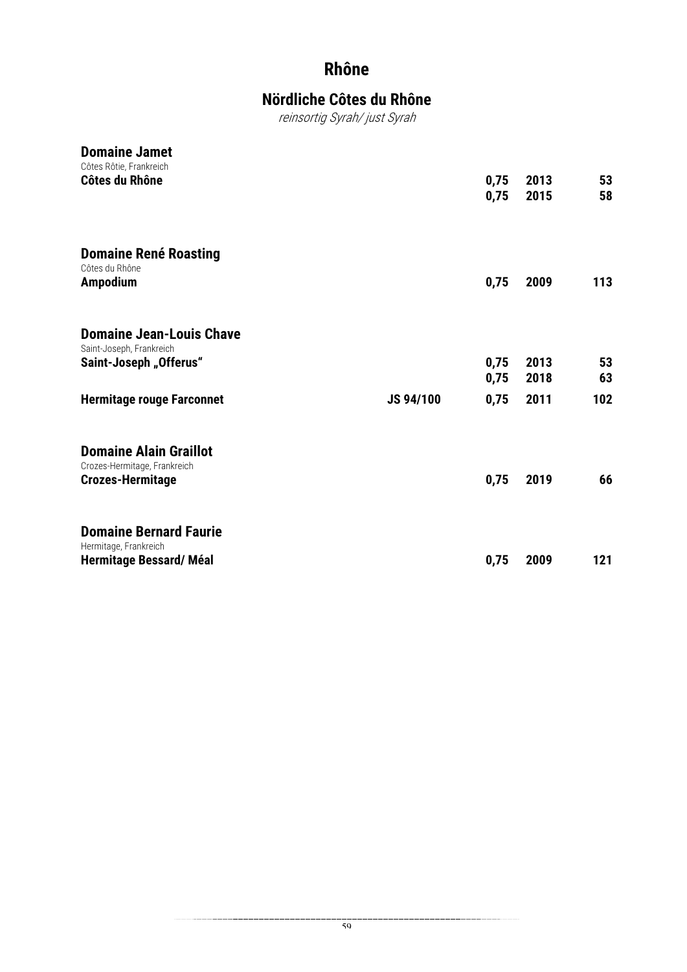### Rhône

### Nördliche Côtes du Rhône

reinsortig Syrah/ just Syrah

| <b>Domaine Jamet</b><br>Côtes Rôtie, Frankreich         |                  |              |              |          |
|---------------------------------------------------------|------------------|--------------|--------------|----------|
| <b>Côtes du Rhône</b>                                   |                  | 0,75<br>0,75 | 2013<br>2015 | 53<br>58 |
|                                                         |                  |              |              |          |
| <b>Domaine René Roasting</b><br>Côtes du Rhône          |                  |              |              |          |
| <b>Ampodium</b>                                         |                  | 0,75         | 2009         | 113      |
| <b>Domaine Jean-Louis Chave</b>                         |                  |              |              |          |
| Saint-Joseph, Frankreich<br>Saint-Joseph "Offerus"      |                  | 0,75         | 2013         | 53       |
|                                                         |                  | 0,75         | 2018         | 63       |
| <b>Hermitage rouge Farconnet</b>                        | <b>JS 94/100</b> | 0,75         | 2011         | 102      |
| <b>Domaine Alain Graillot</b>                           |                  |              |              |          |
| Crozes-Hermitage, Frankreich<br><b>Crozes-Hermitage</b> |                  | 0,75         | 2019         | 66       |
|                                                         |                  |              |              |          |
| <b>Domaine Bernard Faurie</b>                           |                  |              |              |          |
| Hermitage, Frankreich<br><b>Hermitage Bessard/Méal</b>  |                  | 0,75         | 2009         | 121      |

 $\overline{50}$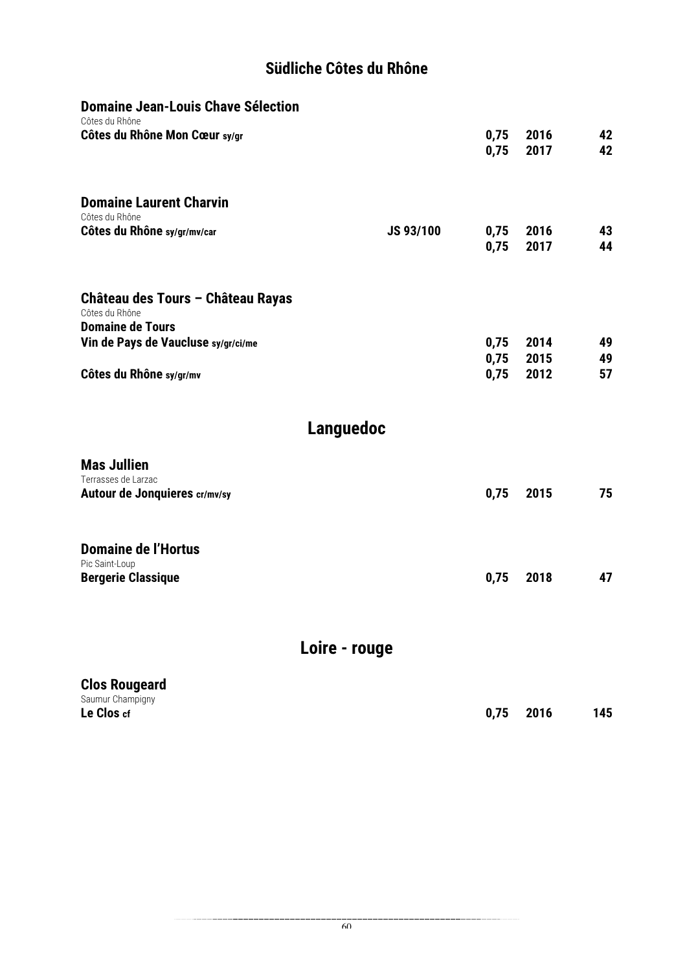### Südliche Côtes du Rhône

| <b>Domaine Jean-Louis Chave Sélection</b>           |                  |              |              |          |
|-----------------------------------------------------|------------------|--------------|--------------|----------|
| Côtes du Rhône<br>Côtes du Rhône Mon Cœur sy/gr     |                  | 0,75<br>0,75 | 2016<br>2017 | 42<br>42 |
| <b>Domaine Laurent Charvin</b><br>Côtes du Rhône    |                  |              |              |          |
| Côtes du Rhône sy/gr/mv/car                         | <b>JS 93/100</b> | 0,75<br>0,75 | 2016<br>2017 | 43<br>44 |
| Château des Tours - Château Rayas<br>Côtes du Rhône |                  |              |              |          |
| <b>Domaine de Tours</b>                             |                  |              |              |          |
| Vin de Pays de Vaucluse sy/gr/ci/me                 |                  | 0,75         | 2014         | 49       |
|                                                     |                  | 0,75         | 2015         | 49       |
| Côtes du Rhône sy/gr/mv                             |                  | 0,75         | 2012         | 57       |
|                                                     | <b>Languedoc</b> |              |              |          |
| <b>Mas Jullien</b>                                  |                  |              |              |          |
| Terrasses de Larzac                                 |                  |              |              |          |
| <b>Autour de Jonquieres cr/mv/sy</b>                |                  | 0,75         | 2015         | 75       |
| <b>Domaine de l'Hortus</b>                          |                  |              |              |          |
| Pic Saint-Loup                                      |                  |              |              |          |
| <b>Bergerie Classique</b>                           |                  | 0,75         | 2018         | 47       |
|                                                     |                  |              |              |          |

Loire - rouge

145

| <b>Clos Rougeard</b> |      |      |
|----------------------|------|------|
| Saumur Champigny     |      |      |
| Le Clos cf           | 0.75 | 2016 |

 $\overline{60}$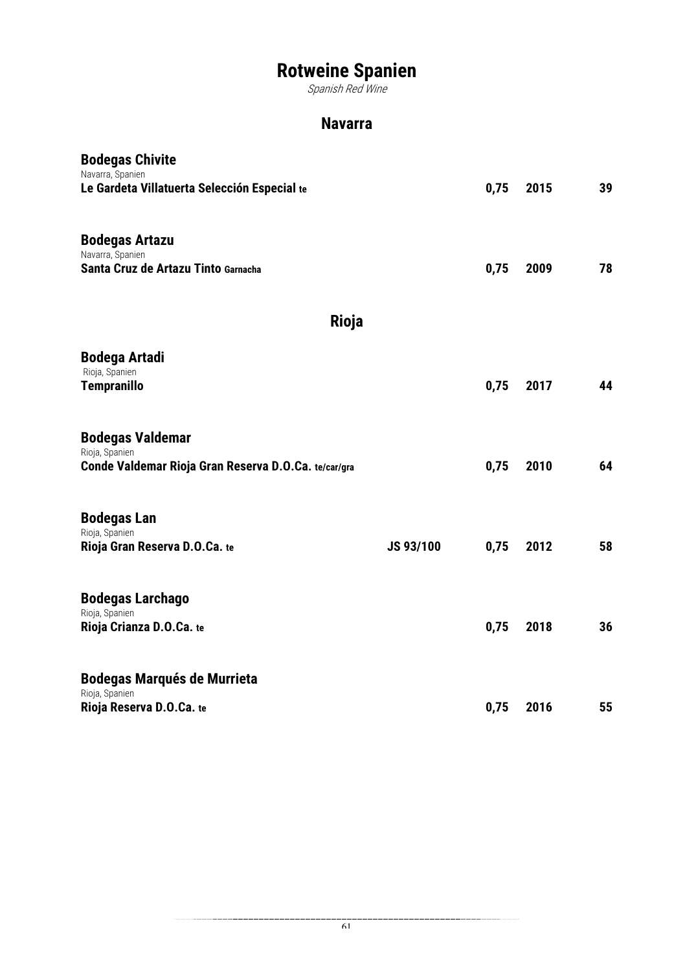# **Rotweine Spanien**<br>Spanish Red Wine

### **Navarra**

| <b>Bodegas Chivite</b>                                                 |                  |      |      |    |
|------------------------------------------------------------------------|------------------|------|------|----|
| Navarra, Spanien<br>Le Gardeta Villatuerta Selección Especial te       |                  | 0,75 | 2015 | 39 |
| <b>Bodegas Artazu</b><br>Navarra, Spanien                              |                  |      |      |    |
| Santa Cruz de Artazu Tinto Garnacha                                    |                  | 0,75 | 2009 | 78 |
| <b>Rioja</b>                                                           |                  |      |      |    |
| <b>Bodega Artadi</b>                                                   |                  |      |      |    |
| Rioja, Spanien<br><b>Tempranillo</b>                                   |                  | 0,75 | 2017 | 44 |
| <b>Bodegas Valdemar</b>                                                |                  |      |      |    |
| Rioja, Spanien<br>Conde Valdemar Rioja Gran Reserva D.O.Ca. te/car/gra |                  | 0,75 | 2010 | 64 |
| <b>Bodegas Lan</b>                                                     |                  |      |      |    |
| Rioja, Spanien<br>Rioja Gran Reserva D.O.Ca. te                        | <b>JS 93/100</b> | 0,75 | 2012 | 58 |
| <b>Bodegas Larchago</b>                                                |                  |      |      |    |
| Rioja, Spanien<br>Rioja Crianza D.O.Ca. te                             |                  | 0,75 | 2018 | 36 |
| <b>Bodegas Marqués de Murrieta</b>                                     |                  |      |      |    |
| Rioja, Spanien                                                         |                  |      |      |    |
| Rioja Reserva D.O.Ca. te                                               |                  | 0,75 | 2016 | 55 |

 $\overline{61}$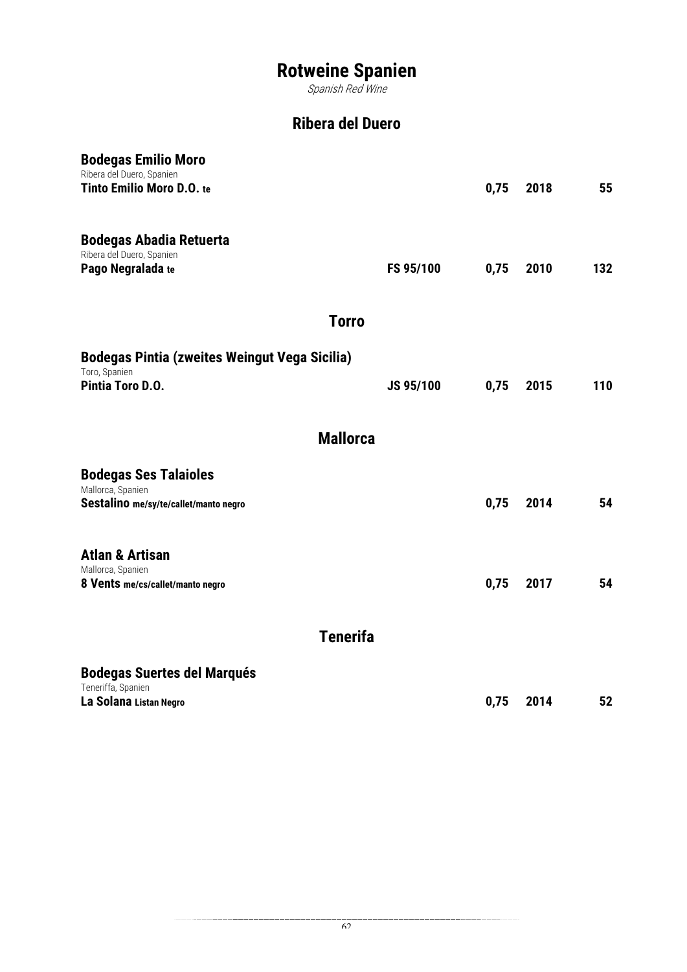## **Rotweine Spanien**

Spanish Red Wine

### **Ribera del Duero**

| <b>Bodegas Emilio Moro</b><br>Ribera del Duero, Spanien |                  |      |      |     |
|---------------------------------------------------------|------------------|------|------|-----|
| Tinto Emilio Moro D.O. te                               |                  | 0,75 | 2018 | 55  |
| <b>Bodegas Abadia Retuerta</b>                          |                  |      |      |     |
| Ribera del Duero, Spanien<br>Pago Negralada te          | FS 95/100        | 0,75 | 2010 | 132 |
|                                                         | <b>Torro</b>     |      |      |     |
| <b>Bodegas Pintia (zweites Weingut Vega Sicilia)</b>    |                  |      |      |     |
| Toro, Spanien                                           |                  |      |      |     |
| <b>Pintia Toro D.O.</b>                                 | <b>JS 95/100</b> | 0,75 | 2015 | 110 |
|                                                         | <b>Mallorca</b>  |      |      |     |
| <b>Bodegas Ses Talaioles</b><br>Mallorca, Spanien       |                  |      |      |     |
| Sestalino me/sy/te/callet/manto negro                   |                  | 0,75 | 2014 | 54  |
| Atlan & Artisan                                         |                  |      |      |     |
| Mallorca, Spanien<br>8 Vents me/cs/callet/manto negro   |                  | 0,75 | 2017 | 54  |
|                                                         |                  |      |      |     |
|                                                         | <b>Tenerifa</b>  |      |      |     |
| <b>Bodegas Suertes del Marqués</b>                      |                  |      |      |     |
| Teneriffa, Spanien<br>La Solana Listan Negro            |                  | 0,75 | 2014 | 52  |

 $\overline{62}$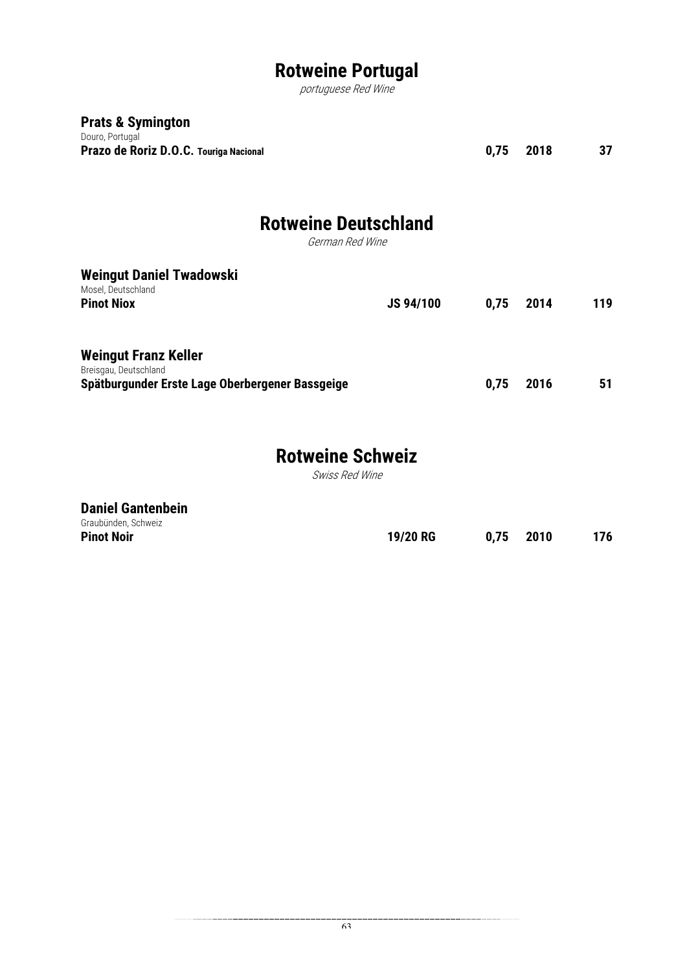### **Rotweine Portugal**

portuguese Red Wine

**Prats & Symington**<br>Douro, Portugal

Prazo de Roriz D.O.C. Touriga Nacional

0,75 2018  $37$ 

### **Rotweine Deutschland**

German Red Wine

| <b>Weingut Daniel Twadowski</b>                 |                  |      |      |     |
|-------------------------------------------------|------------------|------|------|-----|
| Mosel, Deutschland                              |                  |      |      |     |
| <b>Pinot Niox</b>                               | <b>JS 94/100</b> | 0.75 | 2014 | 119 |
| <b>Weingut Franz Keller</b>                     |                  |      |      |     |
| Breisgau, Deutschland                           |                  |      |      |     |
| Spätburgunder Erste Lage Oberbergener Bassgeige |                  | 0.75 | 2016 | 51  |
|                                                 |                  |      |      |     |

### **Rotweine Schweiz**

**Swiss Red Wine** 

| <b>Daniel Gantenbein</b> |          |      |      |     |
|--------------------------|----------|------|------|-----|
| Graubünden, Schweiz      |          |      |      |     |
| <b>Pinot Noir</b>        | 19/20 RG | 0.75 | 2010 | 176 |

 $63$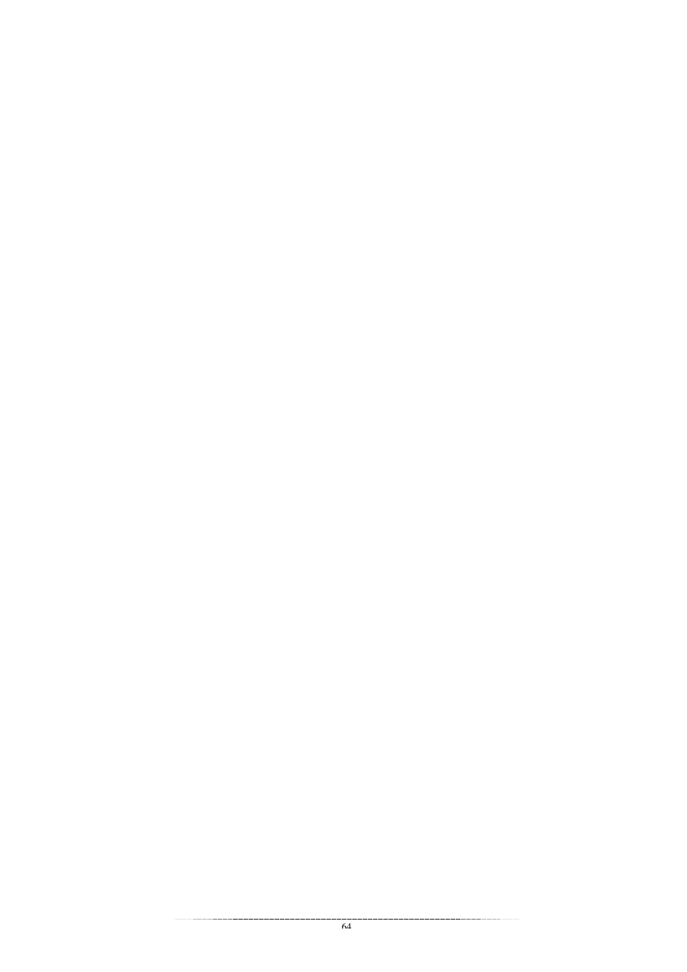$\overline{64}$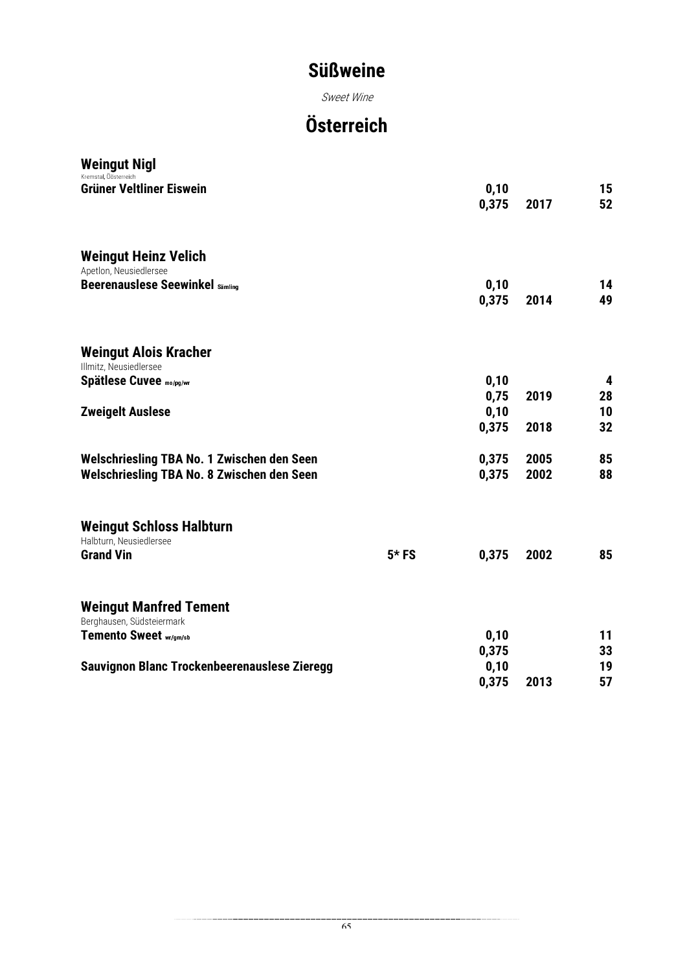### **Süßweine**

Sweet Wine

## Österreich

| <b>Weingut Nigl</b>                                        |        |               |      |          |
|------------------------------------------------------------|--------|---------------|------|----------|
| Kremstal, Öösterreich<br><b>Grüner Veltliner Eiswein</b>   |        | 0,10<br>0,375 | 2017 | 15<br>52 |
| <b>Weingut Heinz Velich</b><br>Apetlon, Neusiedlersee      |        |               |      |          |
| <b>Beerenauslese Seewinkel sämling</b>                     |        | 0,10<br>0,375 | 2014 | 14<br>49 |
| <b>Weingut Alois Kracher</b>                               |        |               |      |          |
| Illmitz, Neusiedlersee<br>Spätlese Cuvee mo/pg/wr          |        | 0,10          |      | 4        |
|                                                            |        | 0,75          | 2019 | 28       |
| <b>Zweigelt Auslese</b>                                    |        | 0,10<br>0,375 | 2018 | 10<br>32 |
| Welschriesling TBA No. 1 Zwischen den Seen                 |        | 0,375         | 2005 | 85       |
| Welschriesling TBA No. 8 Zwischen den Seen                 |        | 0,375         | 2002 | 88       |
| <b>Weingut Schloss Halbturn</b><br>Halbturn, Neusiedlersee |        |               |      |          |
| <b>Grand Vin</b>                                           | $5*FS$ | 0,375         | 2002 | 85       |
| <b>Weingut Manfred Tement</b>                              |        |               |      |          |
| Berghausen, Südsteiermark                                  |        |               |      |          |
| Temento Sweet wr/gm/sb                                     |        | 0,10          |      | 11       |
| Sauvignon Blanc Trockenbeerenauslese Zieregg               |        | 0,375<br>0,10 |      | 33<br>19 |
|                                                            |        | 0,375         | 2013 | 57       |

 $\overline{65}$